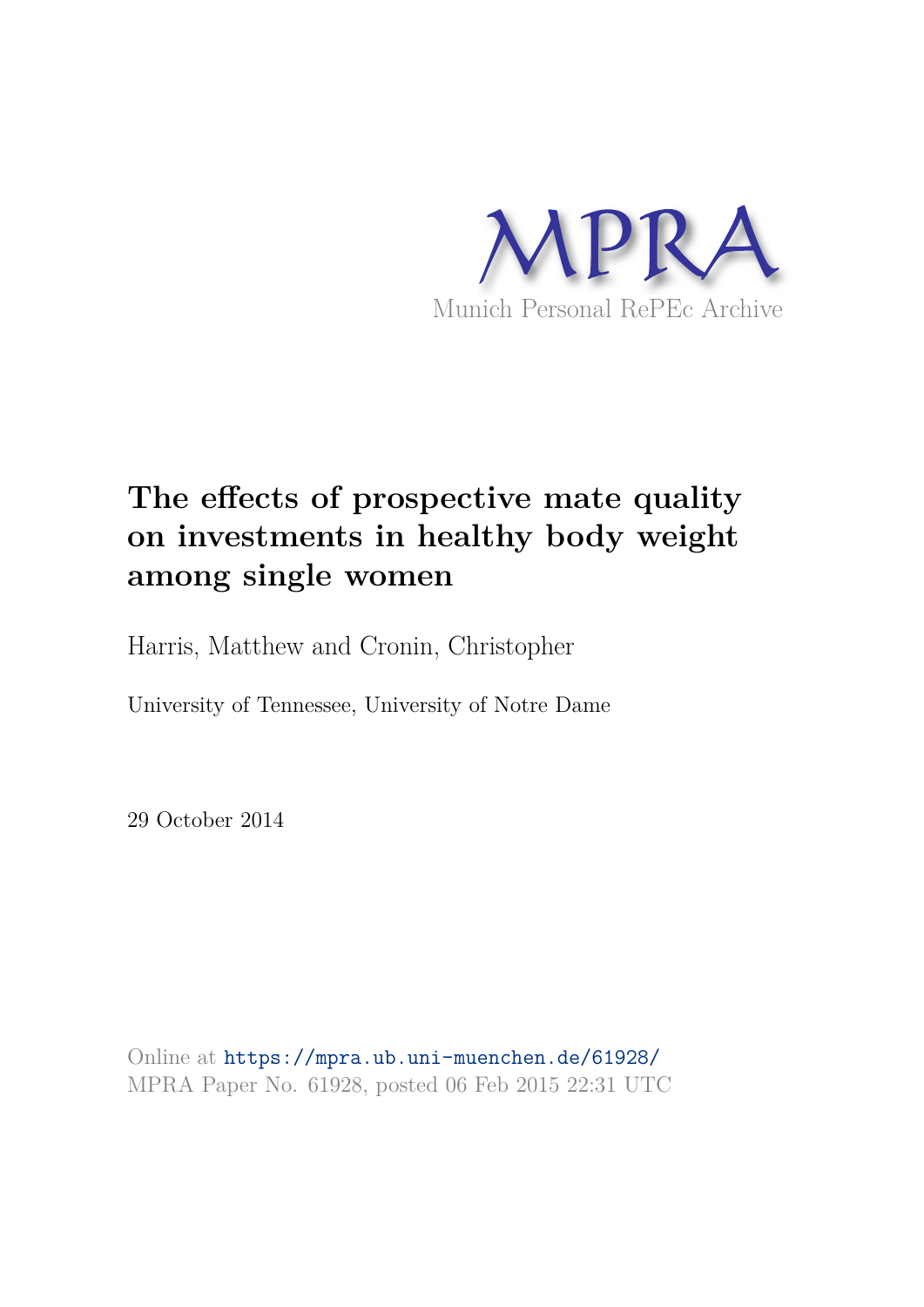

# **The effects of prospective mate quality on investments in healthy body weight among single women**

Harris, Matthew and Cronin, Christopher

University of Tennessee, University of Notre Dame

29 October 2014

Online at https://mpra.ub.uni-muenchen.de/61928/ MPRA Paper No. 61928, posted 06 Feb 2015 22:31 UTC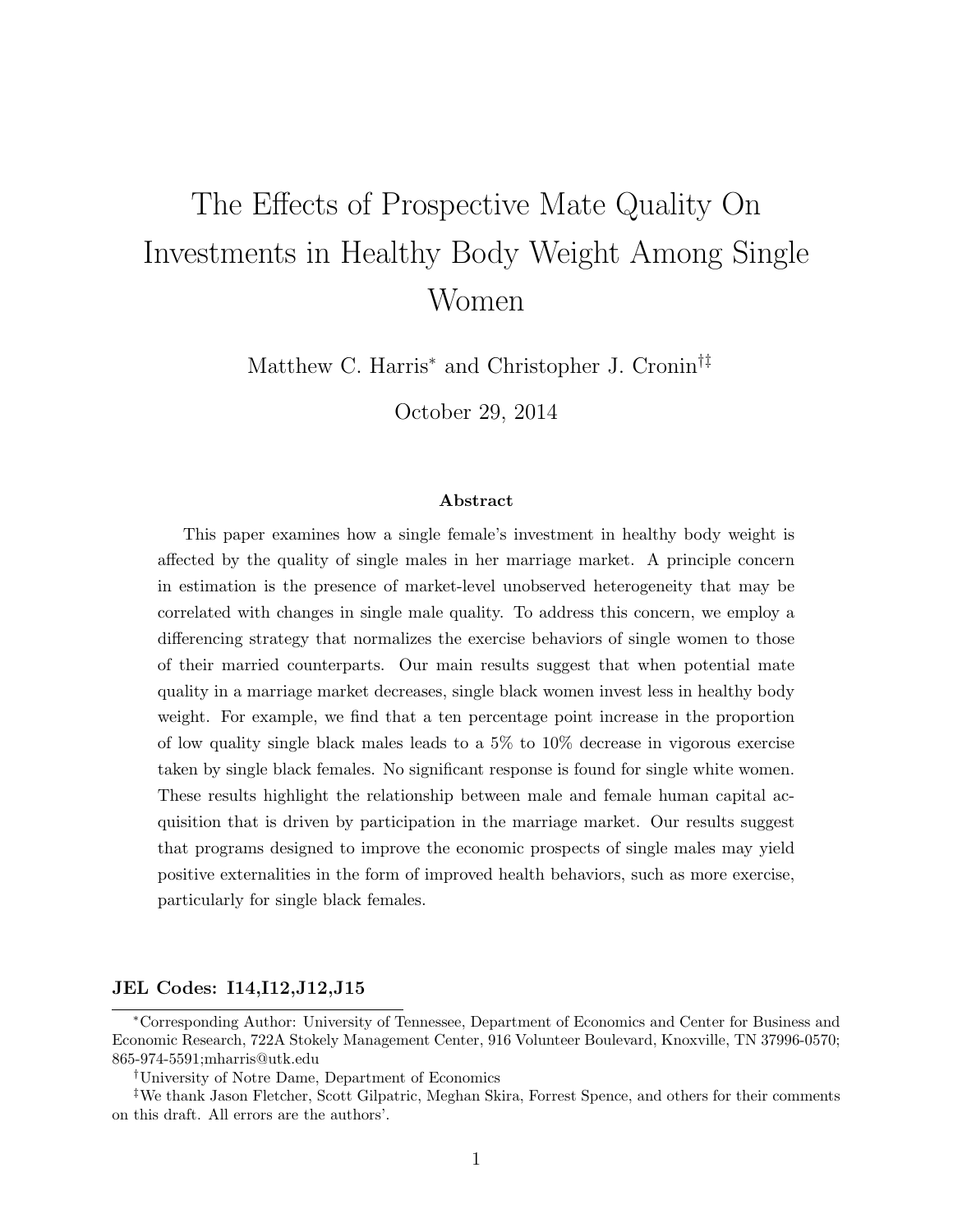# The Effects of Prospective Mate Quality On Investments in Healthy Body Weight Among Single Women

Matthew C. Harris<sup>∗</sup> and Christopher J. Cronin†‡

October 29, 2014

#### Abstract

This paper examines how a single female's investment in healthy body weight is affected by the quality of single males in her marriage market. A principle concern in estimation is the presence of market-level unobserved heterogeneity that may be correlated with changes in single male quality. To address this concern, we employ a differencing strategy that normalizes the exercise behaviors of single women to those of their married counterparts. Our main results suggest that when potential mate quality in a marriage market decreases, single black women invest less in healthy body weight. For example, we find that a ten percentage point increase in the proportion of low quality single black males leads to a 5% to 10% decrease in vigorous exercise taken by single black females. No significant response is found for single white women. These results highlight the relationship between male and female human capital acquisition that is driven by participation in the marriage market. Our results suggest that programs designed to improve the economic prospects of single males may yield positive externalities in the form of improved health behaviors, such as more exercise, particularly for single black females.

#### JEL Codes: I14,I12,J12,J15

†University of Notre Dame, Department of Economics

<sup>∗</sup>Corresponding Author: University of Tennessee, Department of Economics and Center for Business and Economic Research, 722A Stokely Management Center, 916 Volunteer Boulevard, Knoxville, TN 37996-0570; 865-974-5591;mharris@utk.edu

<sup>‡</sup>We thank Jason Fletcher, Scott Gilpatric, Meghan Skira, Forrest Spence, and others for their comments on this draft. All errors are the authors'.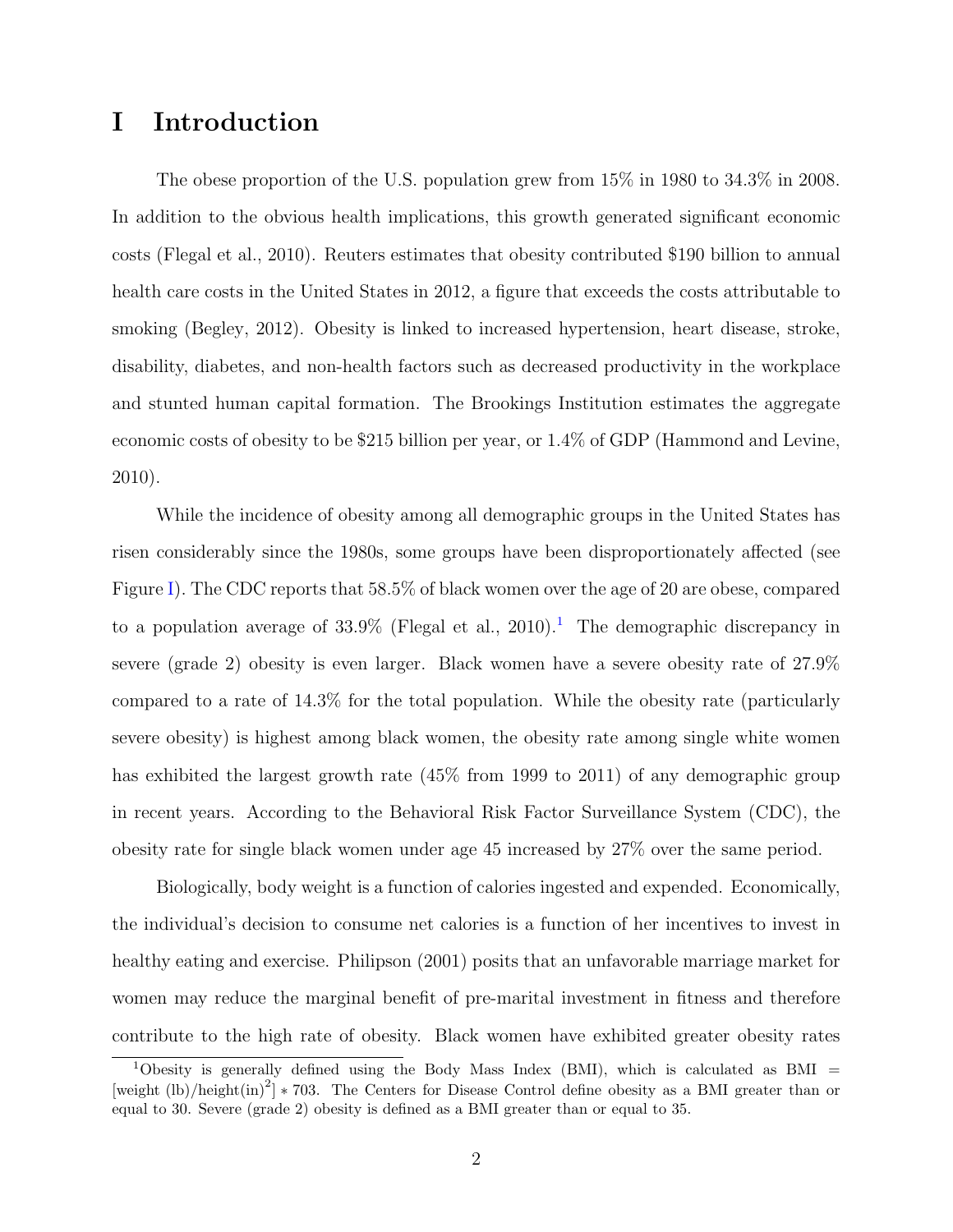# I Introduction

The obese proportion of the U.S. population grew from 15% in 1980 to 34.3% in 2008. In addition to the obvious health implications, this growth generated significant economic costs (Flegal et al., 2010). Reuters estimates that obesity contributed \$190 billion to annual health care costs in the United States in 2012, a figure that exceeds the costs attributable to smoking (Begley, 2012). Obesity is linked to increased hypertension, heart disease, stroke, disability, diabetes, and non-health factors such as decreased productivity in the workplace and stunted human capital formation. The Brookings Institution estimates the aggregate economic costs of obesity to be \$215 billion per year, or 1.4% of GDP (Hammond and Levine, 2010).

While the incidence of obesity among all demographic groups in the United States has risen considerably since the 1980s, some groups have been disproportionately affected (see Figure I). The CDC reports that 58.5% of black women over the age of 20 are obese, compared to a population average of  $33.9\%$  (Flegal et al., 2010).<sup>1</sup> The demographic discrepancy in severe (grade 2) obesity is even larger. Black women have a severe obesity rate of 27.9% compared to a rate of 14.3% for the total population. While the obesity rate (particularly severe obesity) is highest among black women, the obesity rate among single white women has exhibited the largest growth rate (45% from 1999 to 2011) of any demographic group in recent years. According to the Behavioral Risk Factor Surveillance System (CDC), the obesity rate for single black women under age 45 increased by 27% over the same period.

Biologically, body weight is a function of calories ingested and expended. Economically, the individual's decision to consume net calories is a function of her incentives to invest in healthy eating and exercise. Philipson (2001) posits that an unfavorable marriage market for women may reduce the marginal benefit of pre-marital investment in fitness and therefore contribute to the high rate of obesity. Black women have exhibited greater obesity rates

<sup>&</sup>lt;sup>1</sup>Obesity is generally defined using the Body Mass Index (BMI), which is calculated as BMI = [weight  $(lb)/\text{height(in)}^2$ ] \* 703. The Centers for Disease Control define obesity as a BMI greater than or equal to 30. Severe (grade 2) obesity is defined as a BMI greater than or equal to 35.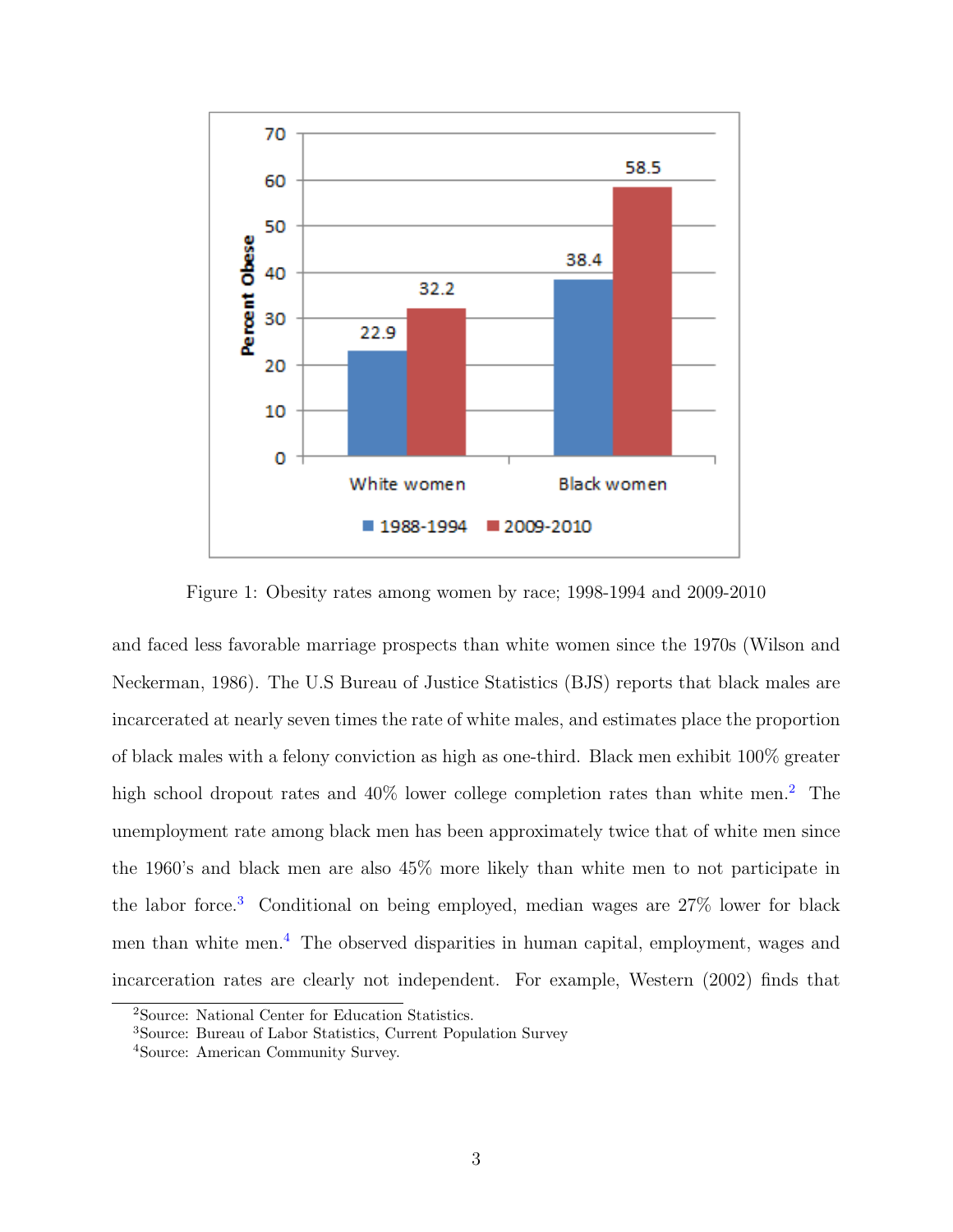

Figure 1: Obesity rates among women by race; 1998-1994 and 2009-2010

and faced less favorable marriage prospects than white women since the 1970s (Wilson and Neckerman, 1986). The U.S Bureau of Justice Statistics (BJS) reports that black males are incarcerated at nearly seven times the rate of white males, and estimates place the proportion of black males with a felony conviction as high as one-third. Black men exhibit 100% greater high school dropout rates and  $40\%$  lower college completion rates than white men.<sup>2</sup> The unemployment rate among black men has been approximately twice that of white men since the 1960's and black men are also 45% more likely than white men to not participate in the labor force.<sup>3</sup> Conditional on being employed, median wages are 27% lower for black men than white men.<sup>4</sup> The observed disparities in human capital, employment, wages and incarceration rates are clearly not independent. For example, Western (2002) finds that

<sup>2</sup>Source: National Center for Education Statistics.

<sup>3</sup>Source: Bureau of Labor Statistics, Current Population Survey

<sup>4</sup>Source: American Community Survey.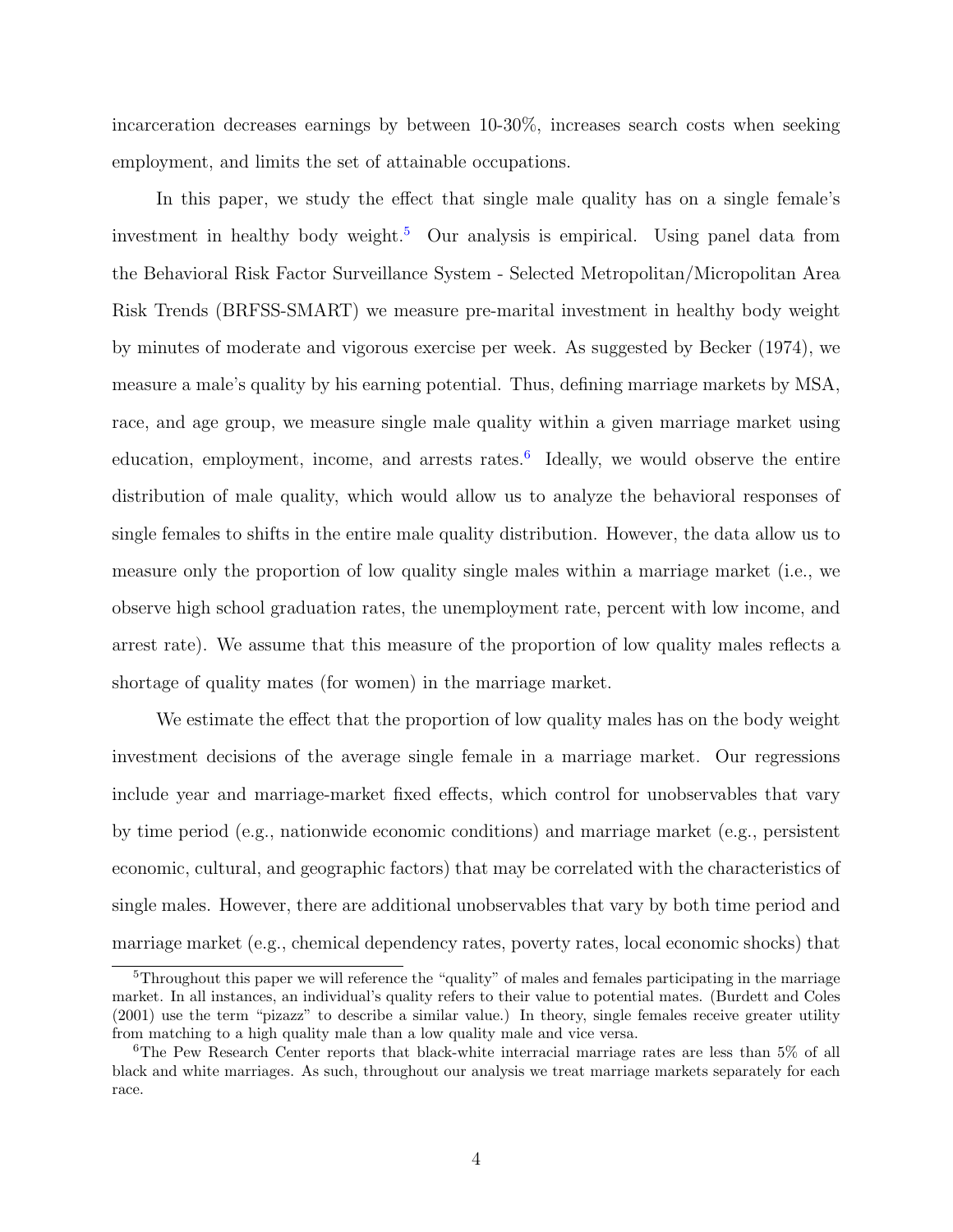incarceration decreases earnings by between 10-30%, increases search costs when seeking employment, and limits the set of attainable occupations.

In this paper, we study the effect that single male quality has on a single female's investment in healthy body weight.<sup>5</sup> Our analysis is empirical. Using panel data from the Behavioral Risk Factor Surveillance System - Selected Metropolitan/Micropolitan Area Risk Trends (BRFSS-SMART) we measure pre-marital investment in healthy body weight by minutes of moderate and vigorous exercise per week. As suggested by Becker (1974), we measure a male's quality by his earning potential. Thus, defining marriage markets by MSA, race, and age group, we measure single male quality within a given marriage market using education, employment, income, and arrests rates.<sup>6</sup> Ideally, we would observe the entire distribution of male quality, which would allow us to analyze the behavioral responses of single females to shifts in the entire male quality distribution. However, the data allow us to measure only the proportion of low quality single males within a marriage market (i.e., we observe high school graduation rates, the unemployment rate, percent with low income, and arrest rate). We assume that this measure of the proportion of low quality males reflects a shortage of quality mates (for women) in the marriage market.

We estimate the effect that the proportion of low quality males has on the body weight investment decisions of the average single female in a marriage market. Our regressions include year and marriage-market fixed effects, which control for unobservables that vary by time period (e.g., nationwide economic conditions) and marriage market (e.g., persistent economic, cultural, and geographic factors) that may be correlated with the characteristics of single males. However, there are additional unobservables that vary by both time period and marriage market (e.g., chemical dependency rates, poverty rates, local economic shocks) that

<sup>&</sup>lt;sup>5</sup>Throughout this paper we will reference the "quality" of males and females participating in the marriage market. In all instances, an individual's quality refers to their value to potential mates. (Burdett and Coles (2001) use the term "pizazz" to describe a similar value.) In theory, single females receive greater utility from matching to a high quality male than a low quality male and vice versa.

<sup>6</sup>The Pew Research Center reports that black-white interracial marriage rates are less than 5% of all black and white marriages. As such, throughout our analysis we treat marriage markets separately for each race.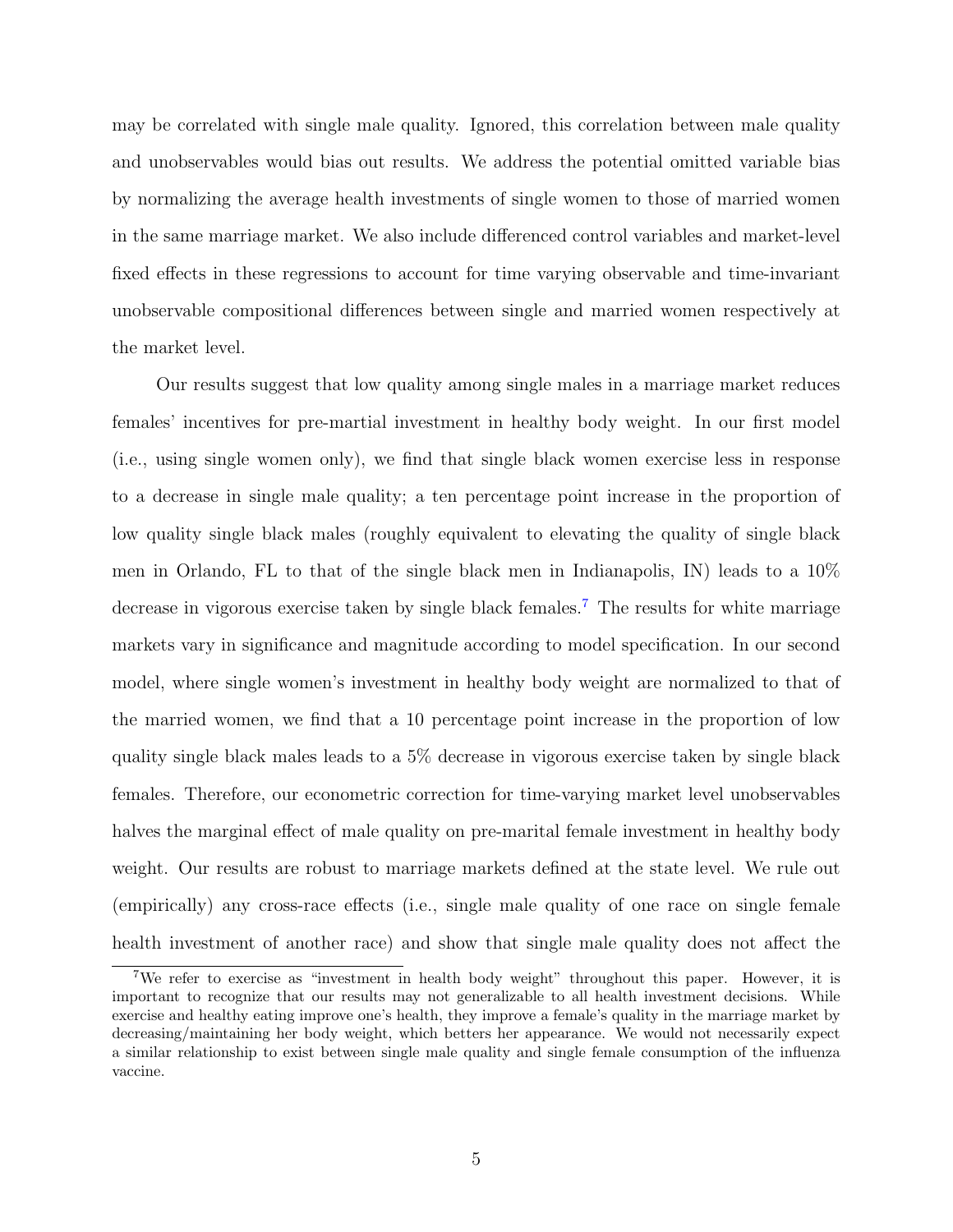may be correlated with single male quality. Ignored, this correlation between male quality and unobservables would bias out results. We address the potential omitted variable bias by normalizing the average health investments of single women to those of married women in the same marriage market. We also include differenced control variables and market-level fixed effects in these regressions to account for time varying observable and time-invariant unobservable compositional differences between single and married women respectively at the market level.

Our results suggest that low quality among single males in a marriage market reduces females' incentives for pre-martial investment in healthy body weight. In our first model (i.e., using single women only), we find that single black women exercise less in response to a decrease in single male quality; a ten percentage point increase in the proportion of low quality single black males (roughly equivalent to elevating the quality of single black men in Orlando, FL to that of the single black men in Indianapolis, IN) leads to a 10% decrease in vigorous exercise taken by single black females.<sup>7</sup> The results for white marriage markets vary in significance and magnitude according to model specification. In our second model, where single women's investment in healthy body weight are normalized to that of the married women, we find that a 10 percentage point increase in the proportion of low quality single black males leads to a 5% decrease in vigorous exercise taken by single black females. Therefore, our econometric correction for time-varying market level unobservables halves the marginal effect of male quality on pre-marital female investment in healthy body weight. Our results are robust to marriage markets defined at the state level. We rule out (empirically) any cross-race effects (i.e., single male quality of one race on single female health investment of another race) and show that single male quality does not affect the

<sup>7</sup>We refer to exercise as "investment in health body weight" throughout this paper. However, it is important to recognize that our results may not generalizable to all health investment decisions. While exercise and healthy eating improve one's health, they improve a female's quality in the marriage market by decreasing/maintaining her body weight, which betters her appearance. We would not necessarily expect a similar relationship to exist between single male quality and single female consumption of the influenza vaccine.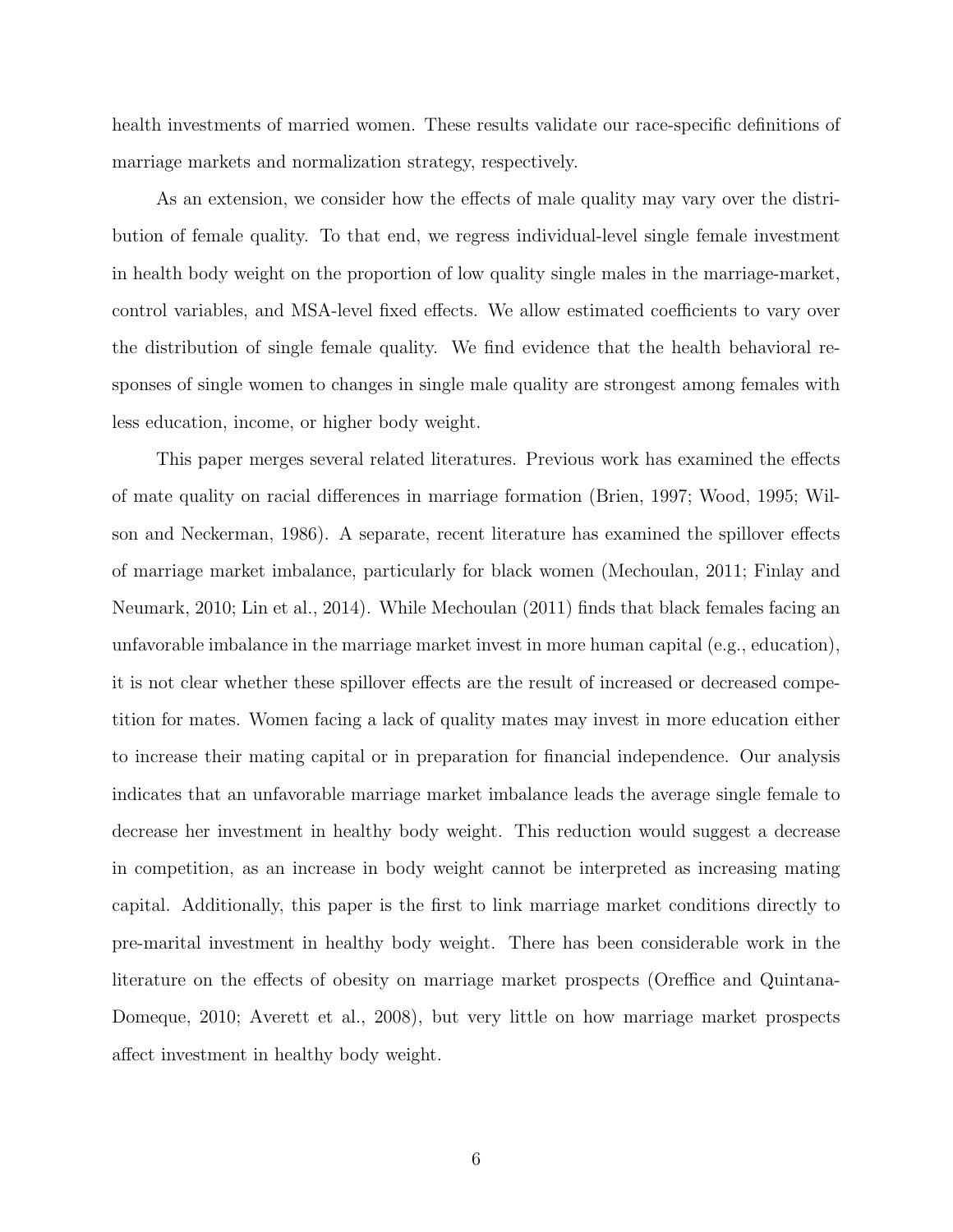health investments of married women. These results validate our race-specific definitions of marriage markets and normalization strategy, respectively.

As an extension, we consider how the effects of male quality may vary over the distribution of female quality. To that end, we regress individual-level single female investment in health body weight on the proportion of low quality single males in the marriage-market, control variables, and MSA-level fixed effects. We allow estimated coefficients to vary over the distribution of single female quality. We find evidence that the health behavioral responses of single women to changes in single male quality are strongest among females with less education, income, or higher body weight.

This paper merges several related literatures. Previous work has examined the effects of mate quality on racial differences in marriage formation (Brien, 1997; Wood, 1995; Wilson and Neckerman, 1986). A separate, recent literature has examined the spillover effects of marriage market imbalance, particularly for black women (Mechoulan, 2011; Finlay and Neumark, 2010; Lin et al., 2014). While Mechoulan (2011) finds that black females facing an unfavorable imbalance in the marriage market invest in more human capital (e.g., education), it is not clear whether these spillover effects are the result of increased or decreased competition for mates. Women facing a lack of quality mates may invest in more education either to increase their mating capital or in preparation for financial independence. Our analysis indicates that an unfavorable marriage market imbalance leads the average single female to decrease her investment in healthy body weight. This reduction would suggest a decrease in competition, as an increase in body weight cannot be interpreted as increasing mating capital. Additionally, this paper is the first to link marriage market conditions directly to pre-marital investment in healthy body weight. There has been considerable work in the literature on the effects of obesity on marriage market prospects (Oreffice and Quintana-Domeque, 2010; Averett et al., 2008), but very little on how marriage market prospects affect investment in healthy body weight.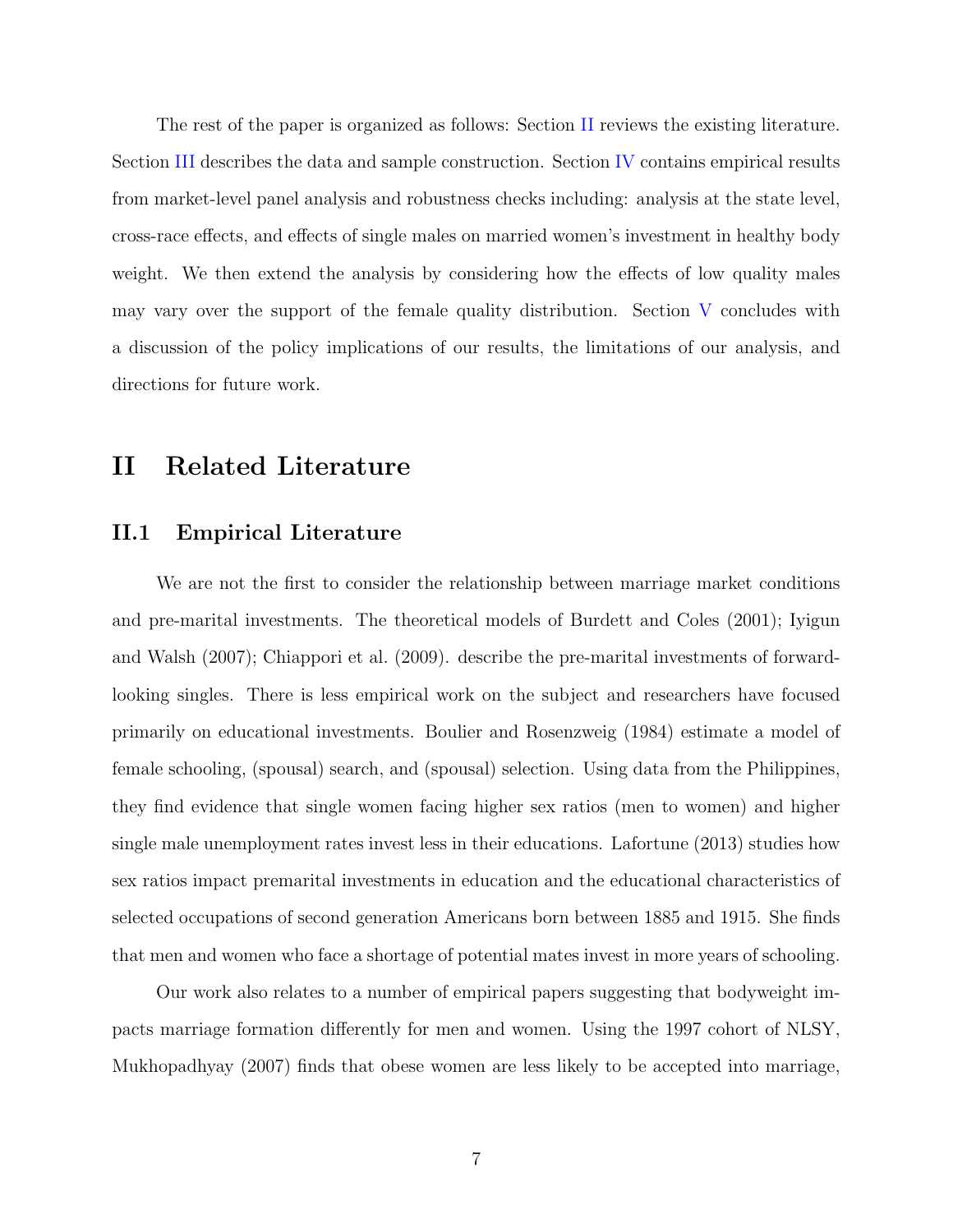The rest of the paper is organized as follows: Section II reviews the existing literature. Section III describes the data and sample construction. Section IV contains empirical results from market-level panel analysis and robustness checks including: analysis at the state level, cross-race effects, and effects of single males on married women's investment in healthy body weight. We then extend the analysis by considering how the effects of low quality males may vary over the support of the female quality distribution. Section V concludes with a discussion of the policy implications of our results, the limitations of our analysis, and directions for future work.

## II Related Literature

## II.1 Empirical Literature

We are not the first to consider the relationship between marriage market conditions and pre-marital investments. The theoretical models of Burdett and Coles (2001); Iyigun and Walsh (2007); Chiappori et al. (2009). describe the pre-marital investments of forwardlooking singles. There is less empirical work on the subject and researchers have focused primarily on educational investments. Boulier and Rosenzweig (1984) estimate a model of female schooling, (spousal) search, and (spousal) selection. Using data from the Philippines, they find evidence that single women facing higher sex ratios (men to women) and higher single male unemployment rates invest less in their educations. Lafortune (2013) studies how sex ratios impact premarital investments in education and the educational characteristics of selected occupations of second generation Americans born between 1885 and 1915. She finds that men and women who face a shortage of potential mates invest in more years of schooling.

Our work also relates to a number of empirical papers suggesting that bodyweight impacts marriage formation differently for men and women. Using the 1997 cohort of NLSY, Mukhopadhyay (2007) finds that obese women are less likely to be accepted into marriage,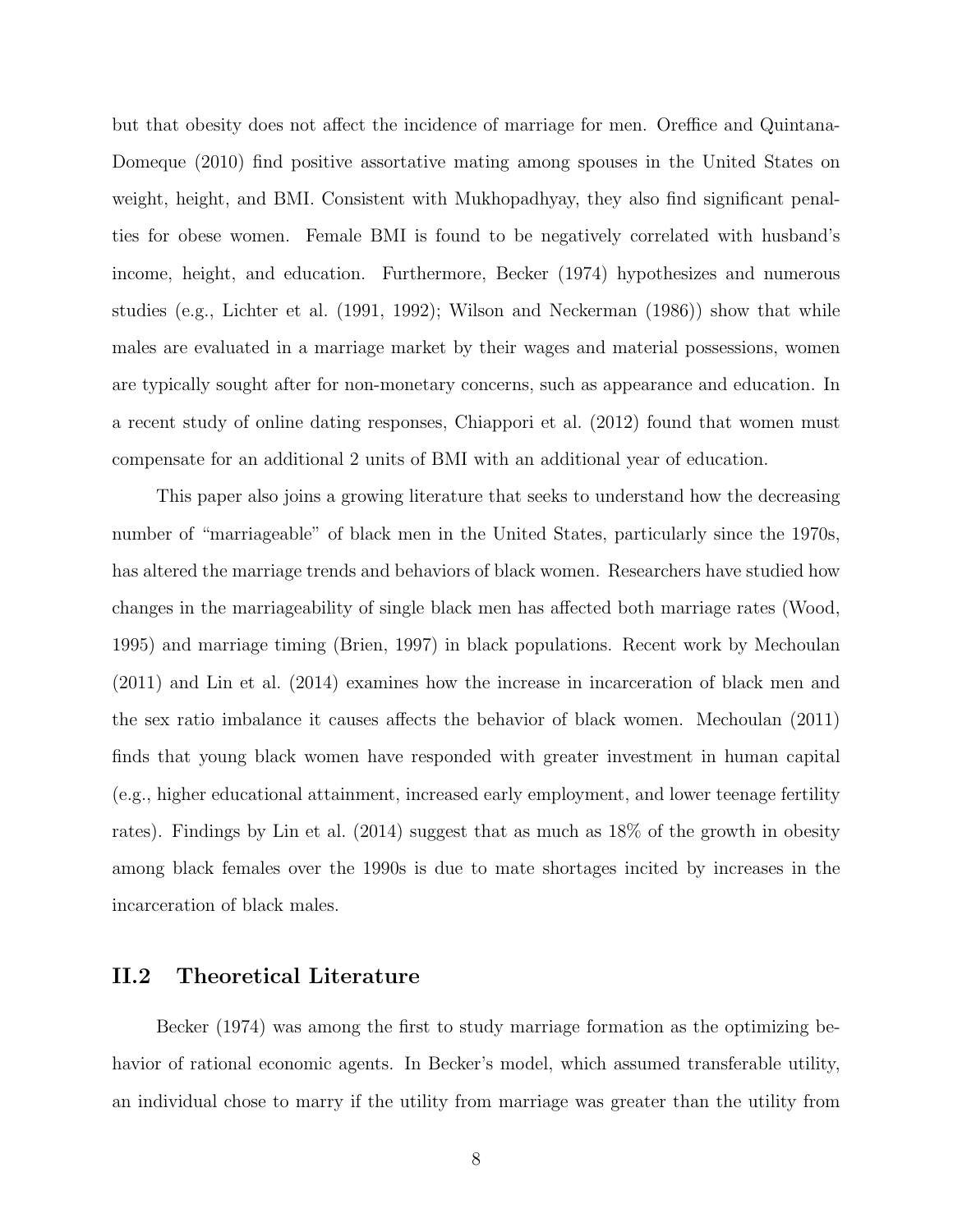but that obesity does not affect the incidence of marriage for men. Oreffice and Quintana-Domeque (2010) find positive assortative mating among spouses in the United States on weight, height, and BMI. Consistent with Mukhopadhyay, they also find significant penalties for obese women. Female BMI is found to be negatively correlated with husband's income, height, and education. Furthermore, Becker (1974) hypothesizes and numerous studies (e.g., Lichter et al. (1991, 1992); Wilson and Neckerman (1986)) show that while males are evaluated in a marriage market by their wages and material possessions, women are typically sought after for non-monetary concerns, such as appearance and education. In a recent study of online dating responses, Chiappori et al. (2012) found that women must compensate for an additional 2 units of BMI with an additional year of education.

This paper also joins a growing literature that seeks to understand how the decreasing number of "marriageable" of black men in the United States, particularly since the 1970s, has altered the marriage trends and behaviors of black women. Researchers have studied how changes in the marriageability of single black men has affected both marriage rates (Wood, 1995) and marriage timing (Brien, 1997) in black populations. Recent work by Mechoulan (2011) and Lin et al. (2014) examines how the increase in incarceration of black men and the sex ratio imbalance it causes affects the behavior of black women. Mechoulan (2011) finds that young black women have responded with greater investment in human capital (e.g., higher educational attainment, increased early employment, and lower teenage fertility rates). Findings by Lin et al. (2014) suggest that as much as 18% of the growth in obesity among black females over the 1990s is due to mate shortages incited by increases in the incarceration of black males.

## II.2 Theoretical Literature

Becker (1974) was among the first to study marriage formation as the optimizing behavior of rational economic agents. In Becker's model, which assumed transferable utility, an individual chose to marry if the utility from marriage was greater than the utility from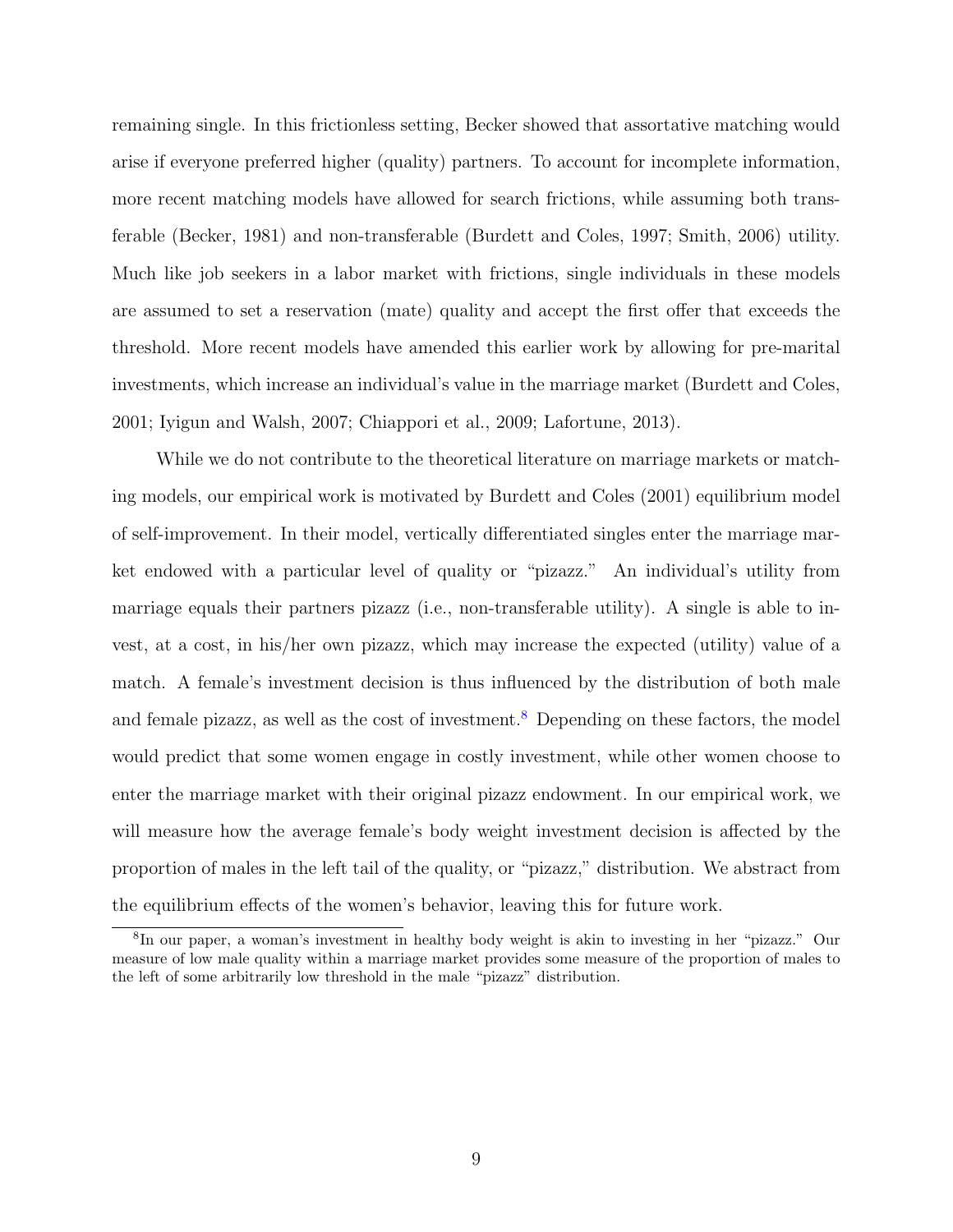remaining single. In this frictionless setting, Becker showed that assortative matching would arise if everyone preferred higher (quality) partners. To account for incomplete information, more recent matching models have allowed for search frictions, while assuming both transferable (Becker, 1981) and non-transferable (Burdett and Coles, 1997; Smith, 2006) utility. Much like job seekers in a labor market with frictions, single individuals in these models are assumed to set a reservation (mate) quality and accept the first offer that exceeds the threshold. More recent models have amended this earlier work by allowing for pre-marital investments, which increase an individual's value in the marriage market (Burdett and Coles, 2001; Iyigun and Walsh, 2007; Chiappori et al., 2009; Lafortune, 2013).

While we do not contribute to the theoretical literature on marriage markets or matching models, our empirical work is motivated by Burdett and Coles (2001) equilibrium model of self-improvement. In their model, vertically differentiated singles enter the marriage market endowed with a particular level of quality or "pizazz." An individual's utility from marriage equals their partners pizazz (i.e., non-transferable utility). A single is able to invest, at a cost, in his/her own pizazz, which may increase the expected (utility) value of a match. A female's investment decision is thus influenced by the distribution of both male and female pizazz, as well as the cost of investment.<sup>8</sup> Depending on these factors, the model would predict that some women engage in costly investment, while other women choose to enter the marriage market with their original pizazz endowment. In our empirical work, we will measure how the average female's body weight investment decision is affected by the proportion of males in the left tail of the quality, or "pizazz," distribution. We abstract from the equilibrium effects of the women's behavior, leaving this for future work.

<sup>8</sup> In our paper, a woman's investment in healthy body weight is akin to investing in her "pizazz." Our measure of low male quality within a marriage market provides some measure of the proportion of males to the left of some arbitrarily low threshold in the male "pizazz" distribution.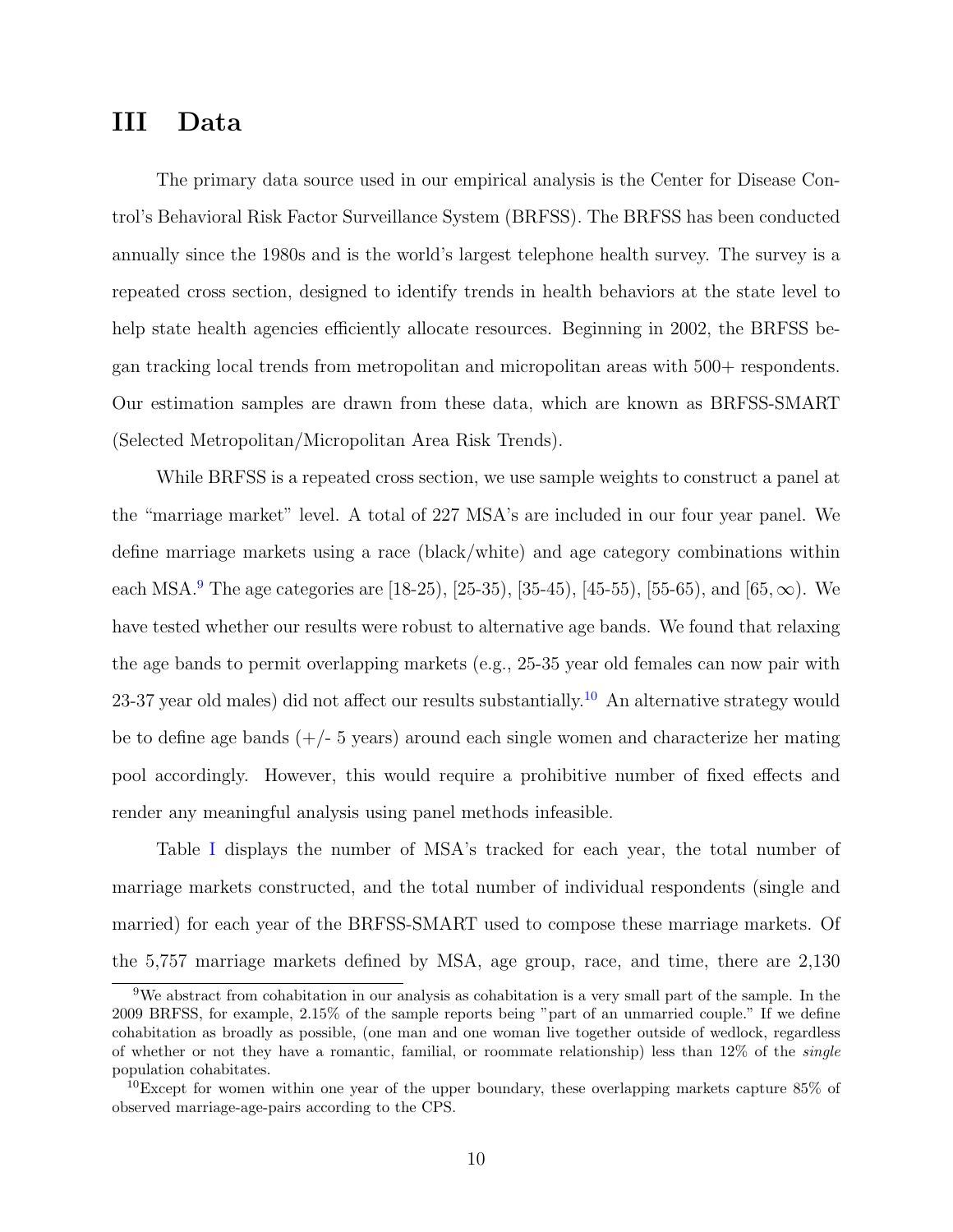# III Data

The primary data source used in our empirical analysis is the Center for Disease Control's Behavioral Risk Factor Surveillance System (BRFSS). The BRFSS has been conducted annually since the 1980s and is the world's largest telephone health survey. The survey is a repeated cross section, designed to identify trends in health behaviors at the state level to help state health agencies efficiently allocate resources. Beginning in 2002, the BRFSS began tracking local trends from metropolitan and micropolitan areas with 500+ respondents. Our estimation samples are drawn from these data, which are known as BRFSS-SMART (Selected Metropolitan/Micropolitan Area Risk Trends).

While BRFSS is a repeated cross section, we use sample weights to construct a panel at the "marriage market" level. A total of 227 MSA's are included in our four year panel. We define marriage markets using a race (black/white) and age category combinations within each MSA.<sup>9</sup> The age categories are [18-25], [25-35], [35-45], [45-55], [55-65], and [65,  $\infty$ ]. We have tested whether our results were robust to alternative age bands. We found that relaxing the age bands to permit overlapping markets (e.g., 25-35 year old females can now pair with 23-37 year old males) did not affect our results substantially.<sup>10</sup> An alternative strategy would be to define age bands  $(+/- 5$  years) around each single women and characterize her mating pool accordingly. However, this would require a prohibitive number of fixed effects and render any meaningful analysis using panel methods infeasible.

Table I displays the number of MSA's tracked for each year, the total number of marriage markets constructed, and the total number of individual respondents (single and married) for each year of the BRFSS-SMART used to compose these marriage markets. Of the 5,757 marriage markets defined by MSA, age group, race, and time, there are 2,130

<sup>9</sup>We abstract from cohabitation in our analysis as cohabitation is a very small part of the sample. In the 2009 BRFSS, for example, 2.15% of the sample reports being "part of an unmarried couple." If we define cohabitation as broadly as possible, (one man and one woman live together outside of wedlock, regardless of whether or not they have a romantic, familial, or roommate relationship) less than 12% of the single population cohabitates.

<sup>&</sup>lt;sup>10</sup>Except for women within one year of the upper boundary, these overlapping markets capture  $85\%$  of observed marriage-age-pairs according to the CPS.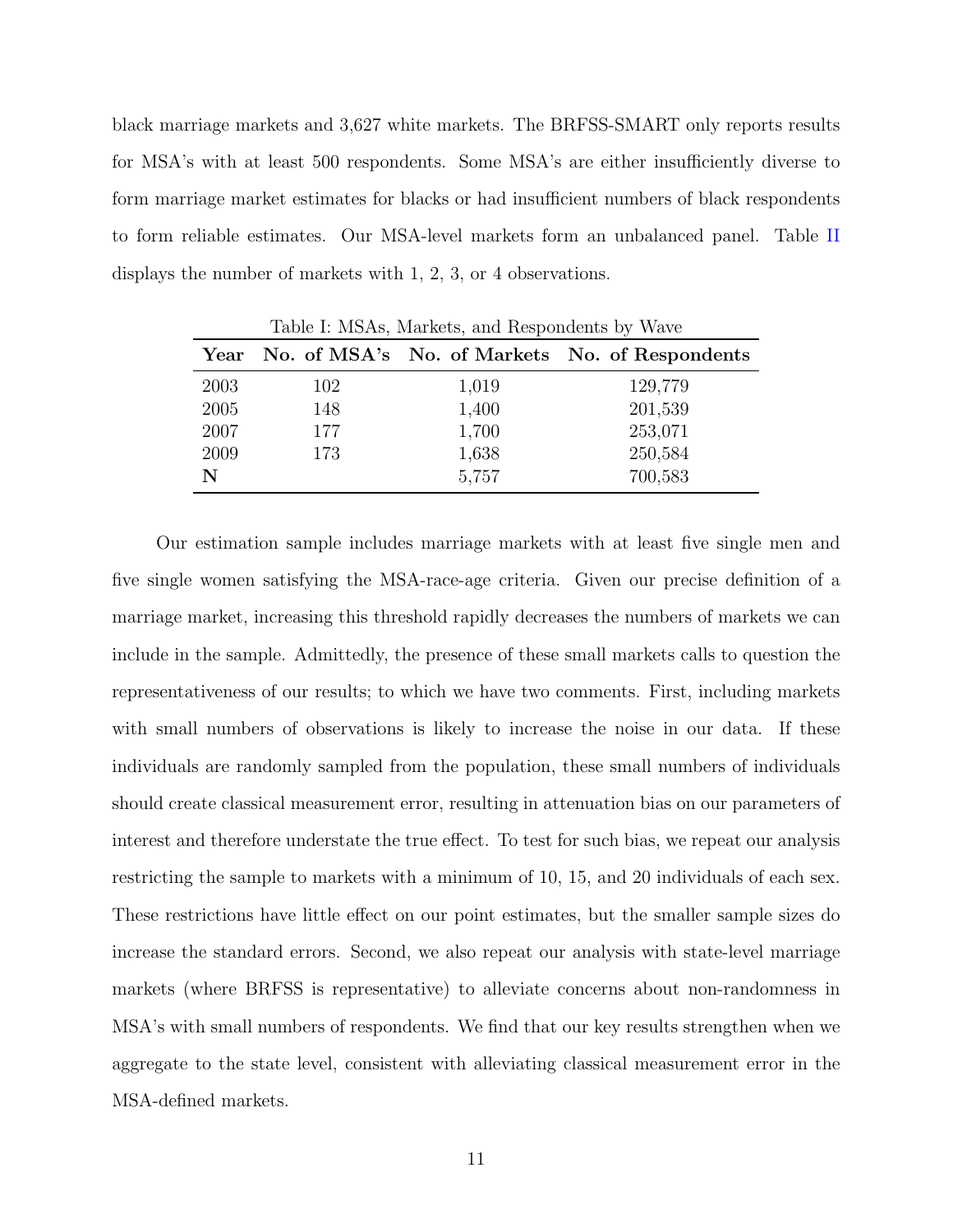black marriage markets and 3,627 white markets. The BRFSS-SMART only reports results for MSA's with at least 500 respondents. Some MSA's are either insufficiently diverse to form marriage market estimates for blacks or had insufficient numbers of black respondents to form reliable estimates. Our MSA-level markets form an unbalanced panel. Table II displays the number of markets with 1, 2, 3, or 4 observations.

|      | Table I: MSAs, Markets, and Respondents by Wave |       |                                                |  |  |  |
|------|-------------------------------------------------|-------|------------------------------------------------|--|--|--|
| Year |                                                 |       | No. of MSA's No. of Markets No. of Respondents |  |  |  |
| 2003 | 102                                             | 1,019 | 129,779                                        |  |  |  |
| 2005 | 148                                             | 1,400 | 201,539                                        |  |  |  |
| 2007 | 177                                             | 1,700 | 253,071                                        |  |  |  |
| 2009 | 173                                             | 1,638 | 250,584                                        |  |  |  |
| N    |                                                 | 5,757 | 700,583                                        |  |  |  |

 $T$  II I MOA MARKETS

Our estimation sample includes marriage markets with at least five single men and five single women satisfying the MSA-race-age criteria. Given our precise definition of a marriage market, increasing this threshold rapidly decreases the numbers of markets we can include in the sample. Admittedly, the presence of these small markets calls to question the representativeness of our results; to which we have two comments. First, including markets with small numbers of observations is likely to increase the noise in our data. If these individuals are randomly sampled from the population, these small numbers of individuals should create classical measurement error, resulting in attenuation bias on our parameters of interest and therefore understate the true effect. To test for such bias, we repeat our analysis restricting the sample to markets with a minimum of 10, 15, and 20 individuals of each sex. These restrictions have little effect on our point estimates, but the smaller sample sizes do increase the standard errors. Second, we also repeat our analysis with state-level marriage markets (where BRFSS is representative) to alleviate concerns about non-randomness in MSA's with small numbers of respondents. We find that our key results strengthen when we aggregate to the state level, consistent with alleviating classical measurement error in the MSA-defined markets.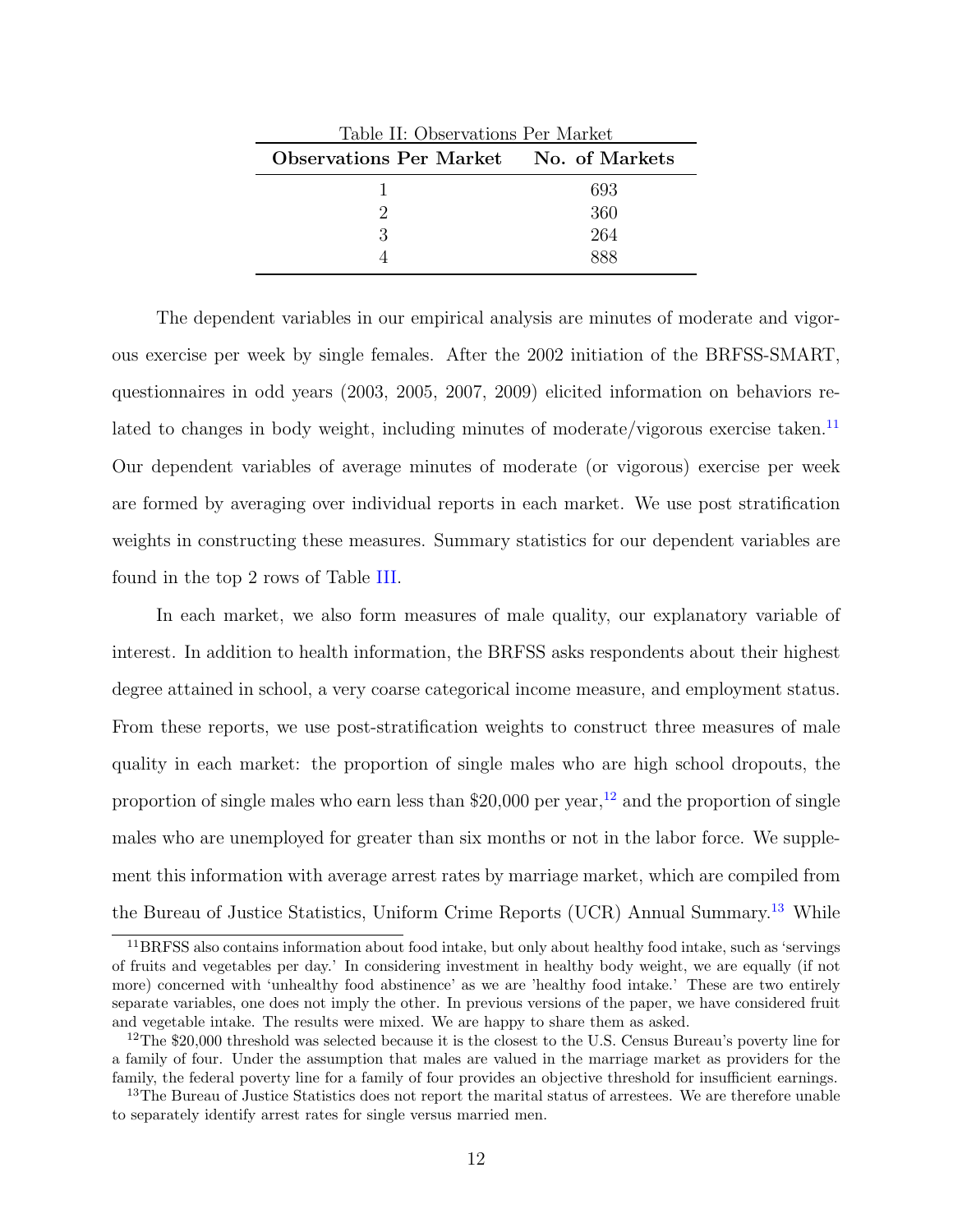| Table II: Observations Per Market      |     |  |  |  |  |
|----------------------------------------|-----|--|--|--|--|
| Observations Per Market No. of Markets |     |  |  |  |  |
|                                        | 693 |  |  |  |  |
|                                        | 360 |  |  |  |  |
|                                        | 264 |  |  |  |  |
|                                        |     |  |  |  |  |

The dependent variables in our empirical analysis are minutes of moderate and vigorous exercise per week by single females. After the 2002 initiation of the BRFSS-SMART, questionnaires in odd years (2003, 2005, 2007, 2009) elicited information on behaviors related to changes in body weight, including minutes of moderate/vigorous exercise taken.<sup>11</sup> Our dependent variables of average minutes of moderate (or vigorous) exercise per week are formed by averaging over individual reports in each market. We use post stratification weights in constructing these measures. Summary statistics for our dependent variables are found in the top 2 rows of Table III.

In each market, we also form measures of male quality, our explanatory variable of interest. In addition to health information, the BRFSS asks respondents about their highest degree attained in school, a very coarse categorical income measure, and employment status. From these reports, we use post-stratification weights to construct three measures of male quality in each market: the proportion of single males who are high school dropouts, the proportion of single males who earn less than  $$20,000$  per year,<sup>12</sup> and the proportion of single males who are unemployed for greater than six months or not in the labor force. We supplement this information with average arrest rates by marriage market, which are compiled from the Bureau of Justice Statistics, Uniform Crime Reports (UCR) Annual Summary.<sup>13</sup> While

<sup>&</sup>lt;sup>11</sup>BRFSS also contains information about food intake, but only about healthy food intake, such as 'servings of fruits and vegetables per day.' In considering investment in healthy body weight, we are equally (if not more) concerned with 'unhealthy food abstinence' as we are 'healthy food intake.' These are two entirely separate variables, one does not imply the other. In previous versions of the paper, we have considered fruit and vegetable intake. The results were mixed. We are happy to share them as asked.

<sup>&</sup>lt;sup>12</sup>The \$20,000 threshold was selected because it is the closest to the U.S. Census Bureau's poverty line for a family of four. Under the assumption that males are valued in the marriage market as providers for the family, the federal poverty line for a family of four provides an objective threshold for insufficient earnings.

<sup>&</sup>lt;sup>13</sup>The Bureau of Justice Statistics does not report the marital status of arrestees. We are therefore unable to separately identify arrest rates for single versus married men.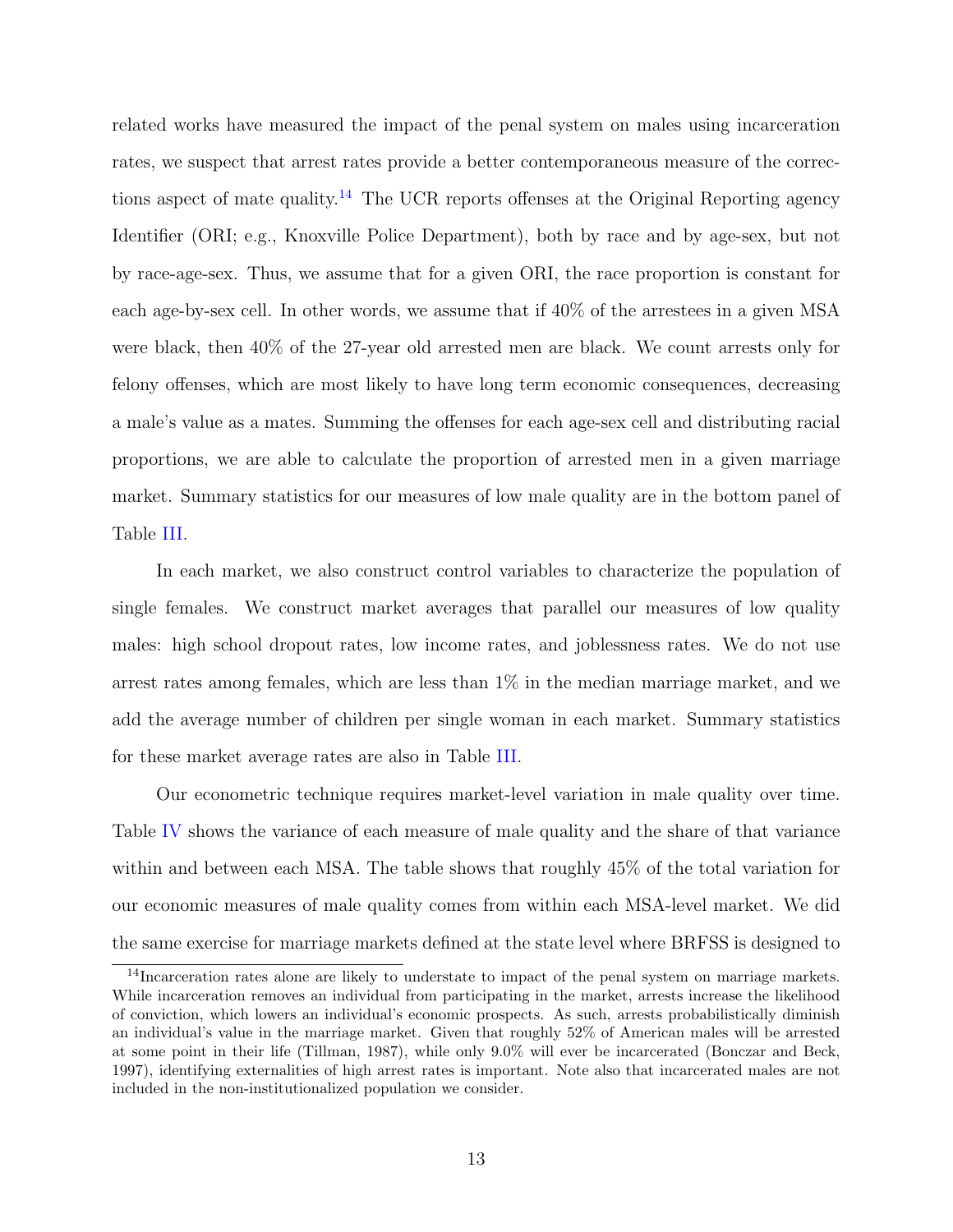related works have measured the impact of the penal system on males using incarceration rates, we suspect that arrest rates provide a better contemporaneous measure of the corrections aspect of mate quality.<sup>14</sup> The UCR reports offenses at the Original Reporting agency Identifier (ORI; e.g., Knoxville Police Department), both by race and by age-sex, but not by race-age-sex. Thus, we assume that for a given ORI, the race proportion is constant for each age-by-sex cell. In other words, we assume that if 40% of the arrestees in a given MSA were black, then 40% of the 27-year old arrested men are black. We count arrests only for felony offenses, which are most likely to have long term economic consequences, decreasing a male's value as a mates. Summing the offenses for each age-sex cell and distributing racial proportions, we are able to calculate the proportion of arrested men in a given marriage market. Summary statistics for our measures of low male quality are in the bottom panel of Table III.

In each market, we also construct control variables to characterize the population of single females. We construct market averages that parallel our measures of low quality males: high school dropout rates, low income rates, and joblessness rates. We do not use arrest rates among females, which are less than 1% in the median marriage market, and we add the average number of children per single woman in each market. Summary statistics for these market average rates are also in Table III.

Our econometric technique requires market-level variation in male quality over time. Table IV shows the variance of each measure of male quality and the share of that variance within and between each MSA. The table shows that roughly 45% of the total variation for our economic measures of male quality comes from within each MSA-level market. We did the same exercise for marriage markets defined at the state level where BRFSS is designed to

<sup>&</sup>lt;sup>14</sup>Incarceration rates alone are likely to understate to impact of the penal system on marriage markets. While incarceration removes an individual from participating in the market, arrests increase the likelihood of conviction, which lowers an individual's economic prospects. As such, arrests probabilistically diminish an individual's value in the marriage market. Given that roughly 52% of American males will be arrested at some point in their life (Tillman, 1987), while only 9.0% will ever be incarcerated (Bonczar and Beck, 1997), identifying externalities of high arrest rates is important. Note also that incarcerated males are not included in the non-institutionalized population we consider.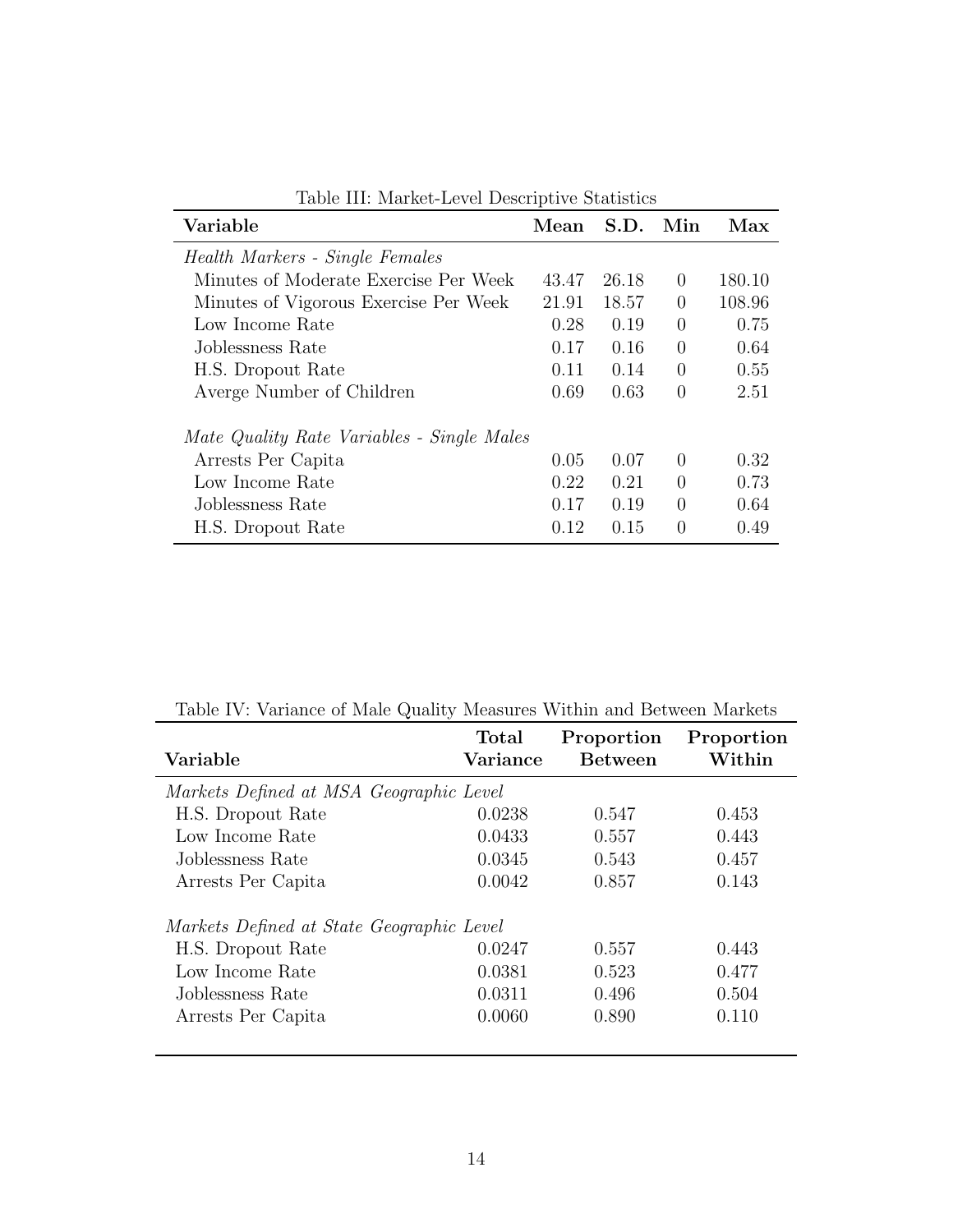| Variable                                   | Mean  | S.D.  | Min      | Max    |
|--------------------------------------------|-------|-------|----------|--------|
| Health Markers - Single Females            |       |       |          |        |
| Minutes of Moderate Exercise Per Week      | 43.47 | 26.18 | $\Omega$ | 180.10 |
| Minutes of Vigorous Exercise Per Week      | 21.91 | 18.57 | $\Omega$ | 108.96 |
| Low Income Rate                            | 0.28  | 0.19  | 0        | 0.75   |
| Joblessness Rate                           | 0.17  | 0.16  | $\Omega$ | 0.64   |
| H.S. Dropout Rate                          | 0.11  | 0.14  | $\theta$ | 0.55   |
| Averge Number of Children                  | 0.69  | 0.63  | $\Omega$ | 2.51   |
| Mate Quality Rate Variables - Single Males |       |       |          |        |
| Arrests Per Capita                         | 0.05  | 0.07  | $\Omega$ | 0.32   |
| Low Income Rate                            | 0.22  | 0.21  | $\Omega$ | 0.73   |
| Joblessness Rate                           | 0.17  | 0.19  | $\Omega$ | 0.64   |
| H.S. Dropout Rate                          | 0.12  | 0.15  | $\Omega$ | 0.49   |

Table III: Market-Level Descriptive Statistics

| <b>Total</b><br>Variance | Proportion<br><b>Between</b>                                                         | Proportion<br>Within |
|--------------------------|--------------------------------------------------------------------------------------|----------------------|
|                          |                                                                                      |                      |
| 0.0238                   | 0.547                                                                                | 0.453                |
| 0.0433                   | 0.557                                                                                | 0.443                |
| 0.0345                   | 0.543                                                                                | 0.457                |
| 0.0042                   | 0.857                                                                                | 0.143                |
|                          |                                                                                      |                      |
| 0.0247                   | 0.557                                                                                | 0.443                |
| 0.0381                   | 0.523                                                                                | 0.477                |
| 0.0311                   | 0.496                                                                                | 0.504                |
| 0.0060                   | 0.890                                                                                | 0.110                |
|                          | Markets Defined at MSA Geographic Level<br>Markets Defined at State Geographic Level |                      |

Table IV: Variance of Male Quality Measures Within and Between Markets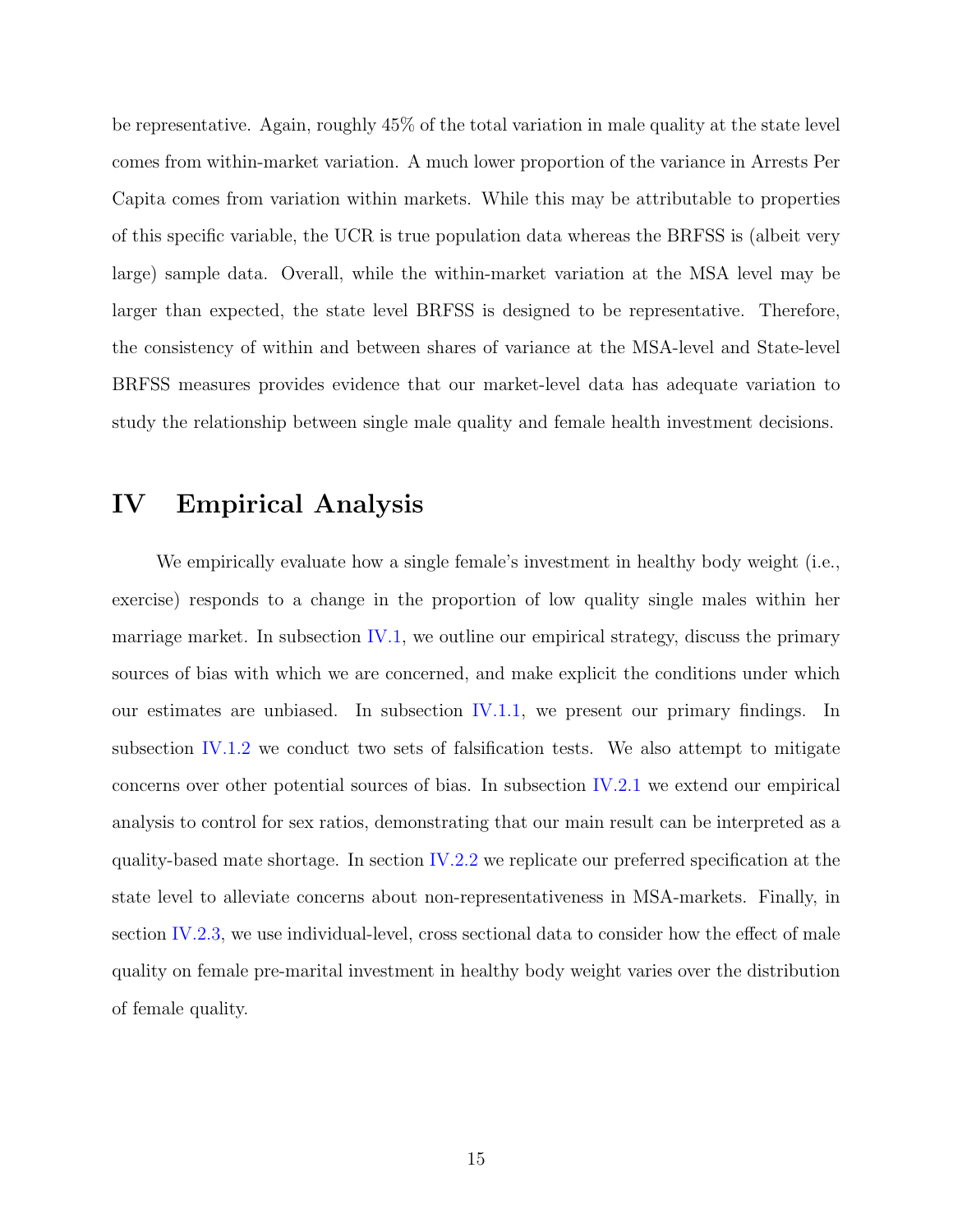be representative. Again, roughly 45% of the total variation in male quality at the state level comes from within-market variation. A much lower proportion of the variance in Arrests Per Capita comes from variation within markets. While this may be attributable to properties of this specific variable, the UCR is true population data whereas the BRFSS is (albeit very large) sample data. Overall, while the within-market variation at the MSA level may be larger than expected, the state level BRFSS is designed to be representative. Therefore, the consistency of within and between shares of variance at the MSA-level and State-level BRFSS measures provides evidence that our market-level data has adequate variation to study the relationship between single male quality and female health investment decisions.

## IV Empirical Analysis

We empirically evaluate how a single female's investment in healthy body weight (i.e., exercise) responds to a change in the proportion of low quality single males within her marriage market. In subsection IV.1, we outline our empirical strategy, discuss the primary sources of bias with which we are concerned, and make explicit the conditions under which our estimates are unbiased. In subsection IV.1.1, we present our primary findings. In subsection IV.1.2 we conduct two sets of falsification tests. We also attempt to mitigate concerns over other potential sources of bias. In subsection IV.2.1 we extend our empirical analysis to control for sex ratios, demonstrating that our main result can be interpreted as a quality-based mate shortage. In section IV.2.2 we replicate our preferred specification at the state level to alleviate concerns about non-representativeness in MSA-markets. Finally, in section IV.2.3, we use individual-level, cross sectional data to consider how the effect of male quality on female pre-marital investment in healthy body weight varies over the distribution of female quality.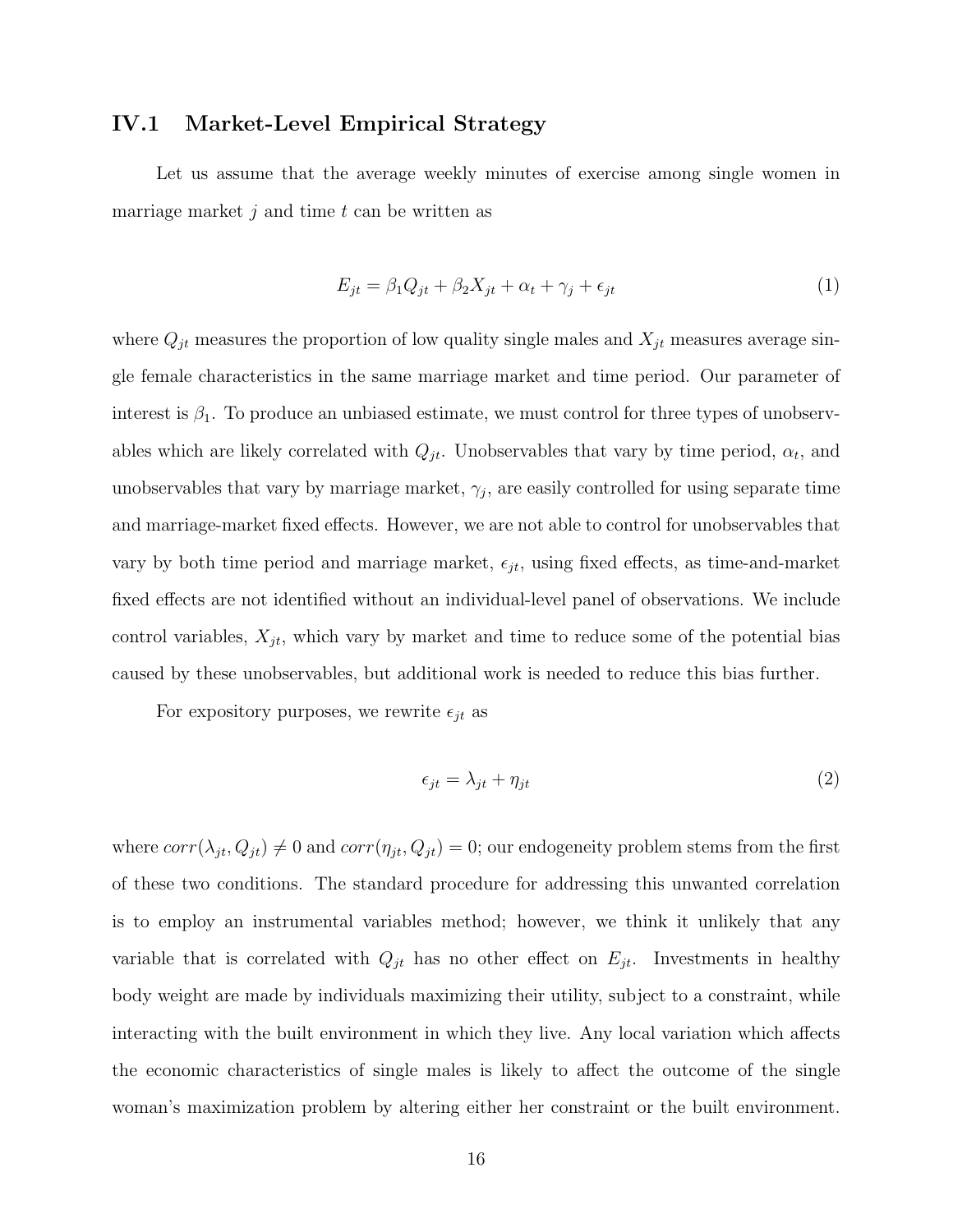## IV.1 Market-Level Empirical Strategy

Let us assume that the average weekly minutes of exercise among single women in marriage market  $j$  and time  $t$  can be written as

$$
E_{jt} = \beta_1 Q_{jt} + \beta_2 X_{jt} + \alpha_t + \gamma_j + \epsilon_{jt}
$$
\n<sup>(1)</sup>

where  $Q_{jt}$  measures the proportion of low quality single males and  $X_{jt}$  measures average single female characteristics in the same marriage market and time period. Our parameter of interest is  $\beta_1$ . To produce an unbiased estimate, we must control for three types of unobservables which are likely correlated with  $Q_{jt}$ . Unobservables that vary by time period,  $\alpha_t$ , and unobservables that vary by marriage market,  $\gamma_j$ , are easily controlled for using separate time and marriage-market fixed effects. However, we are not able to control for unobservables that vary by both time period and marriage market,  $\epsilon_{jt}$ , using fixed effects, as time-and-market fixed effects are not identified without an individual-level panel of observations. We include control variables,  $X_{jt}$ , which vary by market and time to reduce some of the potential bias caused by these unobservables, but additional work is needed to reduce this bias further.

For expository purposes, we rewrite  $\epsilon_{jt}$  as

$$
\epsilon_{jt} = \lambda_{jt} + \eta_{jt} \tag{2}
$$

where  $corr(\lambda_{jt}, Q_{jt}) \neq 0$  and  $corr(\eta_{jt}, Q_{jt}) = 0$ ; our endogeneity problem stems from the first of these two conditions. The standard procedure for addressing this unwanted correlation is to employ an instrumental variables method; however, we think it unlikely that any variable that is correlated with  $Q_{jt}$  has no other effect on  $E_{jt}$ . Investments in healthy body weight are made by individuals maximizing their utility, subject to a constraint, while interacting with the built environment in which they live. Any local variation which affects the economic characteristics of single males is likely to affect the outcome of the single woman's maximization problem by altering either her constraint or the built environment.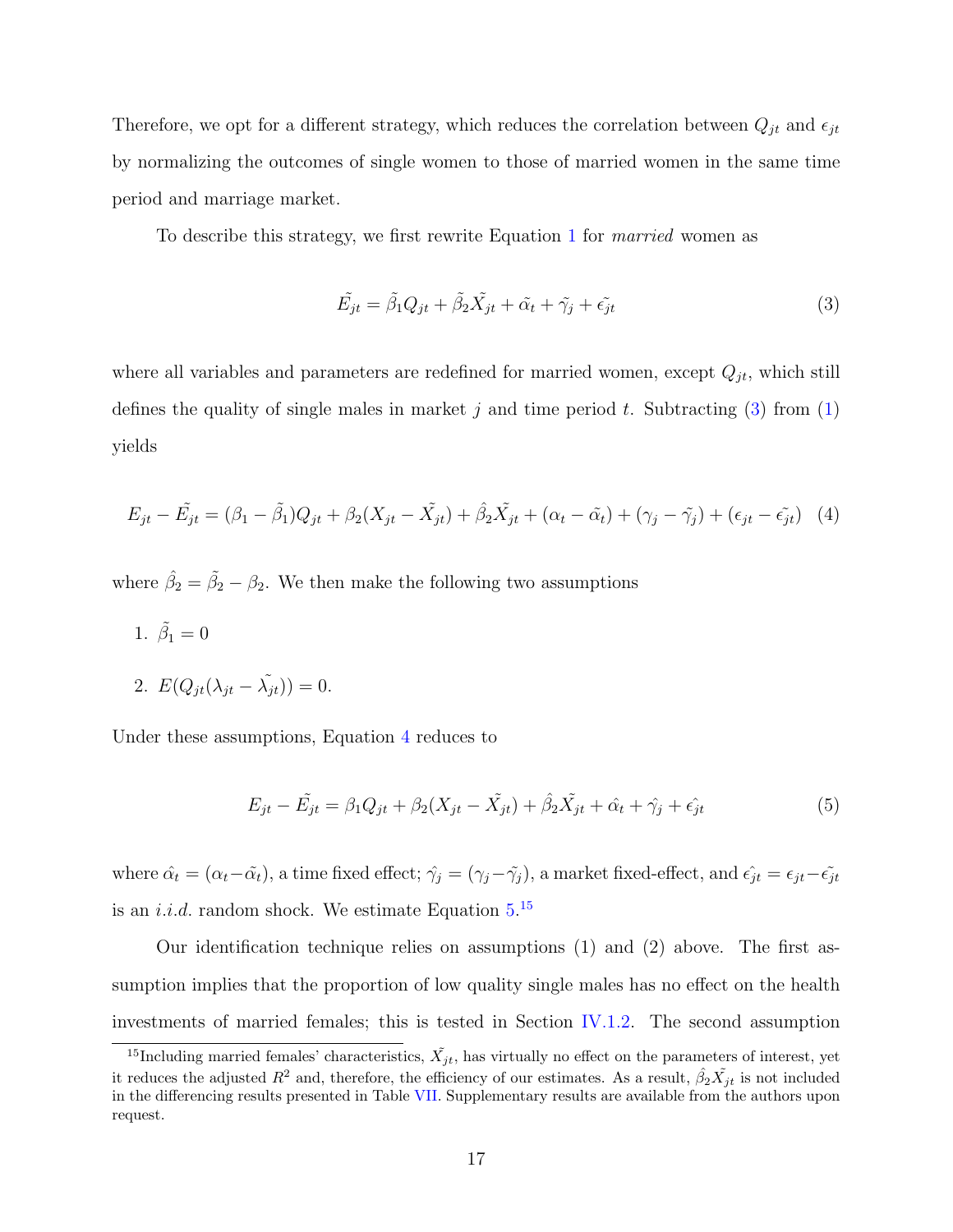Therefore, we opt for a different strategy, which reduces the correlation between  $Q_{jt}$  and  $\epsilon_{jt}$ by normalizing the outcomes of single women to those of married women in the same time period and marriage market.

To describe this strategy, we first rewrite Equation 1 for married women as

$$
\tilde{E_{jt}} = \tilde{\beta}_1 Q_{jt} + \tilde{\beta}_2 \tilde{X_{jt}} + \tilde{\alpha}_t + \tilde{\gamma}_j + \tilde{\epsilon}_{jt}
$$
\n(3)

where all variables and parameters are redefined for married women, except  $Q_{jt}$ , which still defines the quality of single males in market j and time period t. Subtracting  $(3)$  from  $(1)$ yields

$$
E_{jt} - \tilde{E_{jt}} = (\beta_1 - \tilde{\beta_1})Q_{jt} + \beta_2(X_{jt} - \tilde{X_{jt}}) + \hat{\beta_2}\tilde{X_{jt}} + (\alpha_t - \tilde{\alpha_t}) + (\gamma_j - \tilde{\gamma_j}) + (\epsilon_{jt} - \tilde{\epsilon_{jt}})
$$
(4)

where  $\hat{\beta}_2 = \tilde{\beta}_2 - \beta_2$ . We then make the following two assumptions

1.  $\tilde{\beta}_1 = 0$ 

2. 
$$
E(Q_{jt}(\lambda_{jt} - \tilde{\lambda_{jt}})) = 0.
$$

Under these assumptions, Equation 4 reduces to

$$
E_{jt} - \tilde{E_{jt}} = \beta_1 Q_{jt} + \beta_2 (X_{jt} - \tilde{X_{jt}}) + \hat{\beta_2} \tilde{X_{jt}} + \hat{\alpha}_t + \hat{\gamma}_j + \hat{\epsilon}_{jt}
$$
(5)

where  $\hat{\alpha_t} = (\alpha_t - \tilde{\alpha_t})$ , a time fixed effect;  $\hat{\gamma}_j = (\gamma_j - \tilde{\gamma}_j)$ , a market fixed-effect, and  $\hat{\epsilon_{jt}} = \epsilon_{jt} - \tilde{\epsilon_{jt}}$ is an *i.i.d.* random shock. We estimate Equation  $5^{15}$ 

Our identification technique relies on assumptions (1) and (2) above. The first assumption implies that the proportion of low quality single males has no effect on the health investments of married females; this is tested in Section IV.1.2. The second assumption

<sup>&</sup>lt;sup>15</sup>Including married females' characteristics,  $\tilde{X_{jt}}$ , has virtually no effect on the parameters of interest, yet it reduces the adjusted  $R^2$  and, therefore, the efficiency of our estimates. As a result,  $\hat{\beta}_2 \tilde{X_{jt}}$  is not included in the differencing results presented in Table VII. Supplementary results are available from the authors upon request.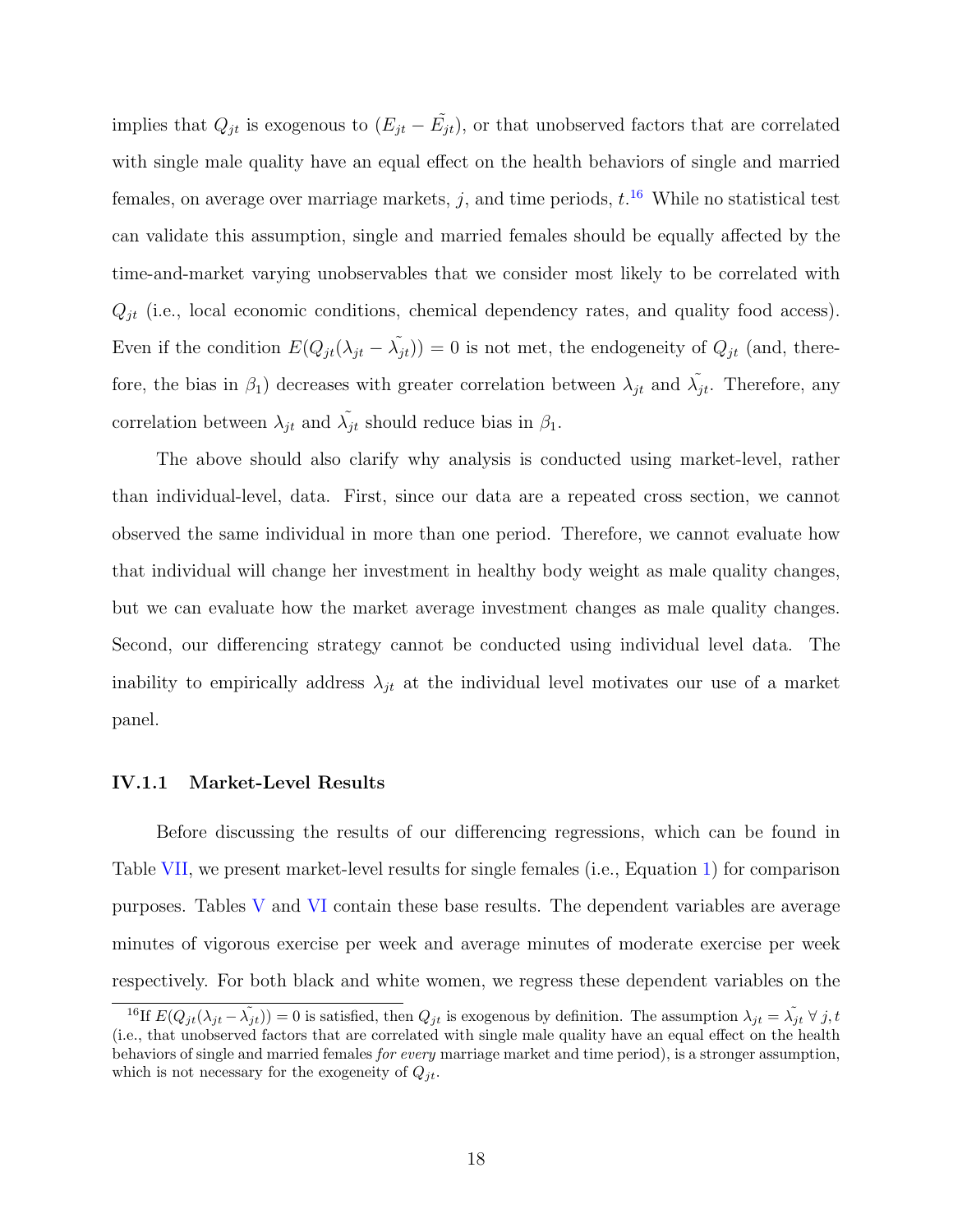implies that  $Q_{jt}$  is exogenous to  $(E_{jt} - \tilde{E_{jt}})$ , or that unobserved factors that are correlated with single male quality have an equal effect on the health behaviors of single and married females, on average over marriage markets,  $j$ , and time periods,  $t^{16}$  While no statistical test can validate this assumption, single and married females should be equally affected by the time-and-market varying unobservables that we consider most likely to be correlated with  $Q_{jt}$  (i.e., local economic conditions, chemical dependency rates, and quality food access). Even if the condition  $E(Q_{jt}(\lambda_{jt} - \tilde{\lambda_{jt}})) = 0$  is not met, the endogeneity of  $Q_{jt}$  (and, therefore, the bias in  $\beta_1$ ) decreases with greater correlation between  $\lambda_{jt}$  and  $\tilde{\lambda_{jt}}$ . Therefore, any correlation between  $\lambda_{jt}$  and  $\tilde{\lambda_{jt}}$  should reduce bias in  $\beta_1$ .

The above should also clarify why analysis is conducted using market-level, rather than individual-level, data. First, since our data are a repeated cross section, we cannot observed the same individual in more than one period. Therefore, we cannot evaluate how that individual will change her investment in healthy body weight as male quality changes, but we can evaluate how the market average investment changes as male quality changes. Second, our differencing strategy cannot be conducted using individual level data. The inability to empirically address  $\lambda_{jt}$  at the individual level motivates our use of a market panel.

#### IV.1.1 Market-Level Results

Before discussing the results of our differencing regressions, which can be found in Table VII, we present market-level results for single females (i.e., Equation 1) for comparison purposes. Tables V and VI contain these base results. The dependent variables are average minutes of vigorous exercise per week and average minutes of moderate exercise per week respectively. For both black and white women, we regress these dependent variables on the

<sup>&</sup>lt;sup>16</sup>If  $E(Q_{jt}(\lambda_{jt}-\tilde{\lambda_{jt}}))=0$  is satisfied, then  $Q_{jt}$  is exogenous by definition. The assumption  $\lambda_{jt}=\tilde{\lambda_{jt}}\ \forall\ j,t$ (i.e., that unobserved factors that are correlated with single male quality have an equal effect on the health behaviors of single and married females for every marriage market and time period), is a stronger assumption, which is not necessary for the exogeneity of  $Q_{jt}$ .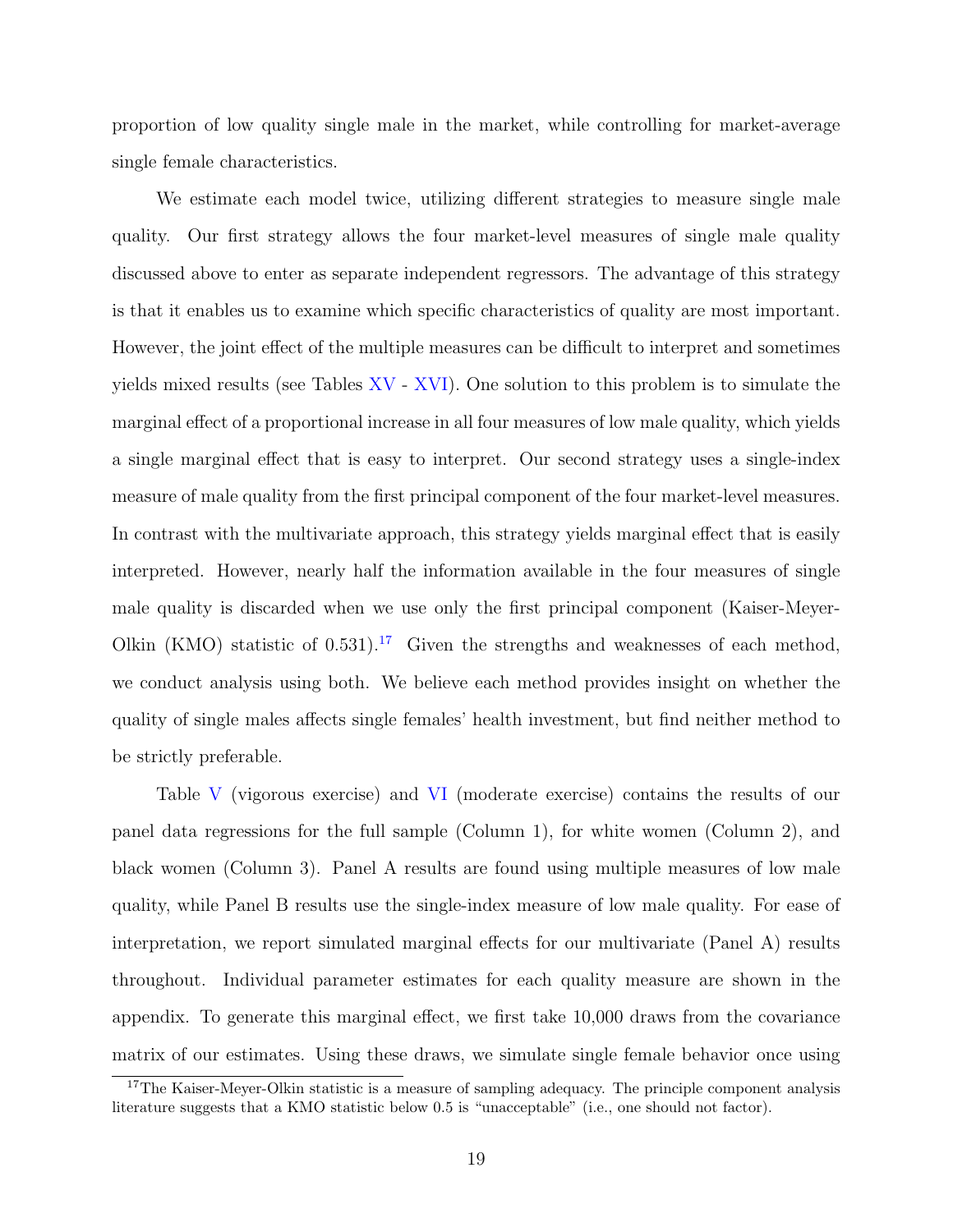proportion of low quality single male in the market, while controlling for market-average single female characteristics.

We estimate each model twice, utilizing different strategies to measure single male quality. Our first strategy allows the four market-level measures of single male quality discussed above to enter as separate independent regressors. The advantage of this strategy is that it enables us to examine which specific characteristics of quality are most important. However, the joint effect of the multiple measures can be difficult to interpret and sometimes yields mixed results (see Tables XV - XVI). One solution to this problem is to simulate the marginal effect of a proportional increase in all four measures of low male quality, which yields a single marginal effect that is easy to interpret. Our second strategy uses a single-index measure of male quality from the first principal component of the four market-level measures. In contrast with the multivariate approach, this strategy yields marginal effect that is easily interpreted. However, nearly half the information available in the four measures of single male quality is discarded when we use only the first principal component (Kaiser-Meyer-Olkin (KMO) statistic of  $(0.531)$ .<sup>17</sup> Given the strengths and weaknesses of each method, we conduct analysis using both. We believe each method provides insight on whether the quality of single males affects single females' health investment, but find neither method to be strictly preferable.

Table V (vigorous exercise) and VI (moderate exercise) contains the results of our panel data regressions for the full sample (Column 1), for white women (Column 2), and black women (Column 3). Panel A results are found using multiple measures of low male quality, while Panel B results use the single-index measure of low male quality. For ease of interpretation, we report simulated marginal effects for our multivariate (Panel A) results throughout. Individual parameter estimates for each quality measure are shown in the appendix. To generate this marginal effect, we first take 10,000 draws from the covariance matrix of our estimates. Using these draws, we simulate single female behavior once using

 $17$ The Kaiser-Meyer-Olkin statistic is a measure of sampling adequacy. The principle component analysis literature suggests that a KMO statistic below 0.5 is "unacceptable" (i.e., one should not factor).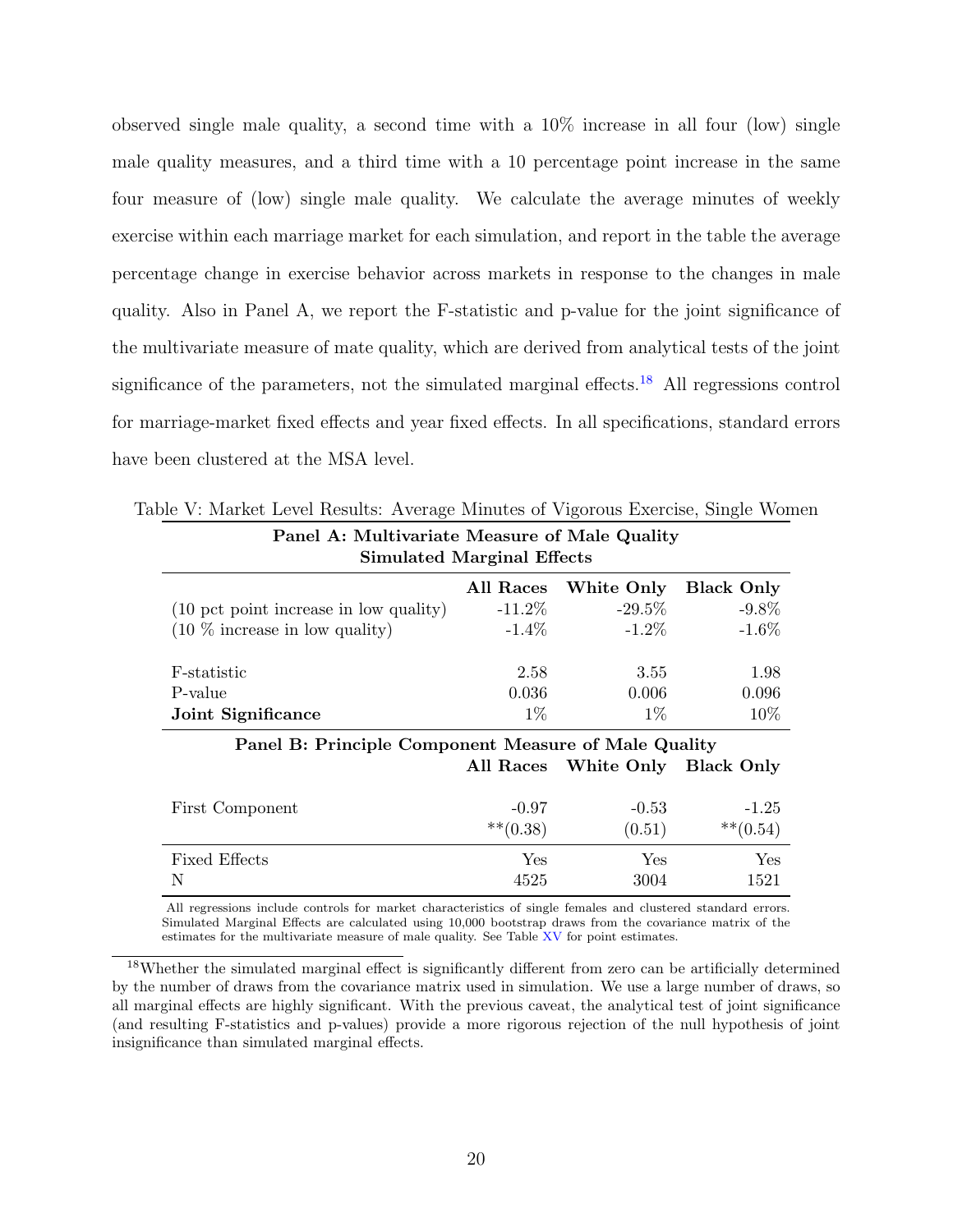observed single male quality, a second time with a  $10\%$  increase in all four (low) single male quality measures, and a third time with a 10 percentage point increase in the same four measure of (low) single male quality. We calculate the average minutes of weekly exercise within each marriage market for each simulation, and report in the table the average percentage change in exercise behavior across markets in response to the changes in male quality. Also in Panel A, we report the F-statistic and p-value for the joint significance of the multivariate measure of mate quality, which are derived from analytical tests of the joint significance of the parameters, not the simulated marginal effects.<sup>18</sup> All regressions control for marriage-market fixed effects and year fixed effects. In all specifications, standard errors have been clustered at the MSA level.

| Panel A: Multivariate Measure of Male Quality<br><b>Simulated Marginal Effects</b> |           |            |                   |  |  |  |  |  |
|------------------------------------------------------------------------------------|-----------|------------|-------------------|--|--|--|--|--|
|                                                                                    | All Races | White Only | <b>Black Only</b> |  |  |  |  |  |
| (10 pct point increase in low quality)                                             | $-11.2\%$ | $-29.5\%$  | $-9.8\%$          |  |  |  |  |  |
| $(10\%$ increase in low quality)                                                   | $-1.4\%$  | $-1.2\%$   | $-1.6\%$          |  |  |  |  |  |
| F-statistic                                                                        | 2.58      | 3.55       | 1.98              |  |  |  |  |  |
| P-value                                                                            | 0.036     | 0.006      | 0.096             |  |  |  |  |  |
| 10%<br>$1\%$<br>$1\%$<br>Joint Significance                                        |           |            |                   |  |  |  |  |  |
|                                                                                    |           |            |                   |  |  |  |  |  |

Table V: Market Level Results: Average Minutes of Vigorous Exercise, Single Women

## Panel B: Principle Component Measure of Male Quality All Races White Only Black Only

| First Component      | $-0.97$      | $-0.53$ | $-1.25$      |
|----------------------|--------------|---------|--------------|
|                      | $***$ (0.38) | (0.51)  | $***$ (0.54) |
| <b>Fixed Effects</b> | Yes          | Yes     | Yes          |
| N                    | 4525         | 3004    | 1521         |

All regressions include controls for market characteristics of single females and clustered standard errors. Simulated Marginal Effects are calculated using 10,000 bootstrap draws from the covariance matrix of the estimates for the multivariate measure of male quality. See Table XV for point estimates.

<sup>&</sup>lt;sup>18</sup>Whether the simulated marginal effect is significantly different from zero can be artificially determined by the number of draws from the covariance matrix used in simulation. We use a large number of draws, so all marginal effects are highly significant. With the previous caveat, the analytical test of joint significance (and resulting F-statistics and p-values) provide a more rigorous rejection of the null hypothesis of joint insignificance than simulated marginal effects.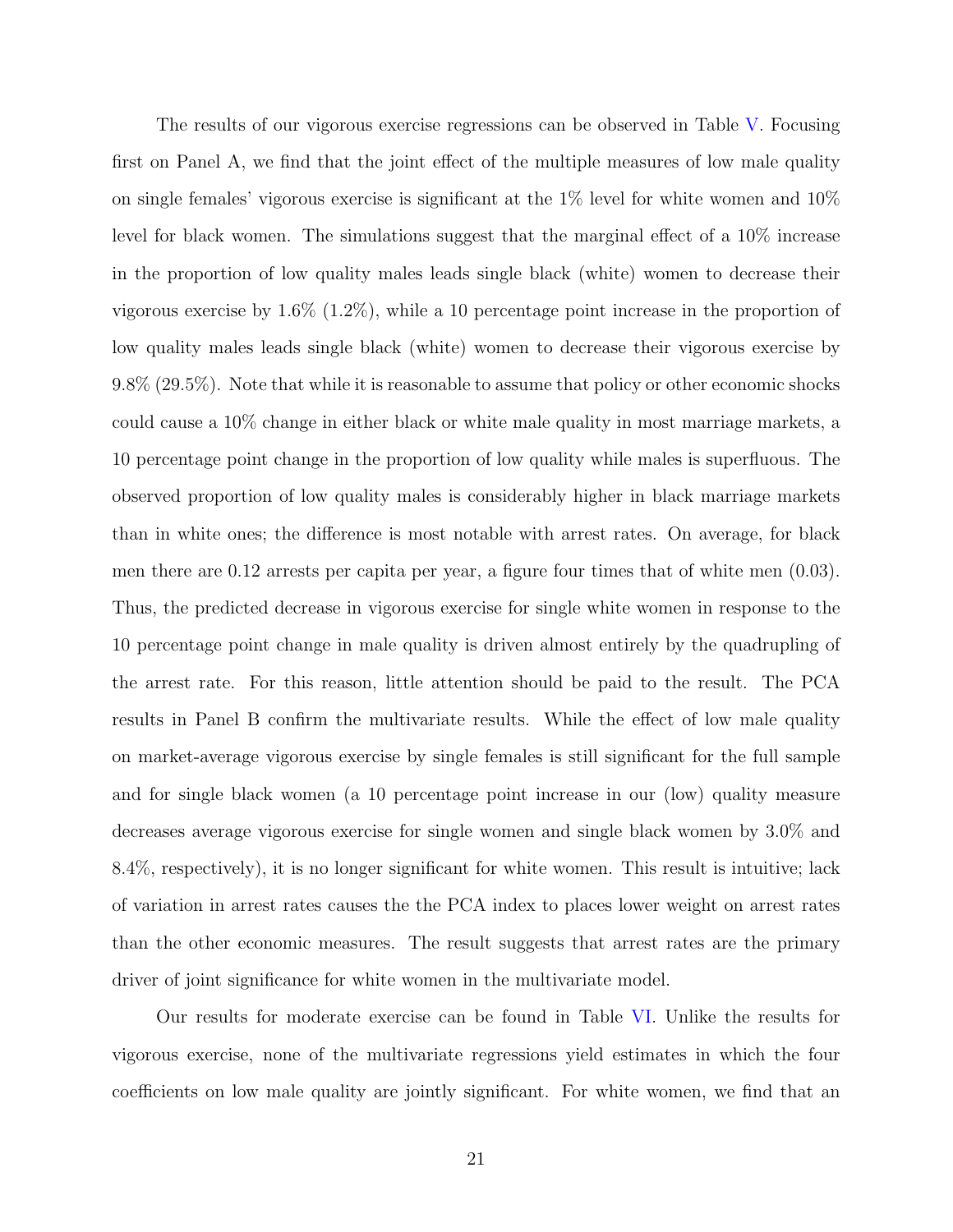The results of our vigorous exercise regressions can be observed in Table V. Focusing first on Panel A, we find that the joint effect of the multiple measures of low male quality on single females' vigorous exercise is significant at the  $1\%$  level for white women and  $10\%$ level for black women. The simulations suggest that the marginal effect of a 10% increase in the proportion of low quality males leads single black (white) women to decrease their vigorous exercise by 1.6% (1.2%), while a 10 percentage point increase in the proportion of low quality males leads single black (white) women to decrease their vigorous exercise by 9.8% (29.5%). Note that while it is reasonable to assume that policy or other economic shocks could cause a 10% change in either black or white male quality in most marriage markets, a 10 percentage point change in the proportion of low quality while males is superfluous. The observed proportion of low quality males is considerably higher in black marriage markets than in white ones; the difference is most notable with arrest rates. On average, for black men there are 0.12 arrests per capita per year, a figure four times that of white men (0.03). Thus, the predicted decrease in vigorous exercise for single white women in response to the 10 percentage point change in male quality is driven almost entirely by the quadrupling of the arrest rate. For this reason, little attention should be paid to the result. The PCA results in Panel B confirm the multivariate results. While the effect of low male quality on market-average vigorous exercise by single females is still significant for the full sample and for single black women (a 10 percentage point increase in our (low) quality measure decreases average vigorous exercise for single women and single black women by 3.0% and 8.4%, respectively), it is no longer significant for white women. This result is intuitive; lack of variation in arrest rates causes the the PCA index to places lower weight on arrest rates than the other economic measures. The result suggests that arrest rates are the primary driver of joint significance for white women in the multivariate model.

Our results for moderate exercise can be found in Table VI. Unlike the results for vigorous exercise, none of the multivariate regressions yield estimates in which the four coefficients on low male quality are jointly significant. For white women, we find that an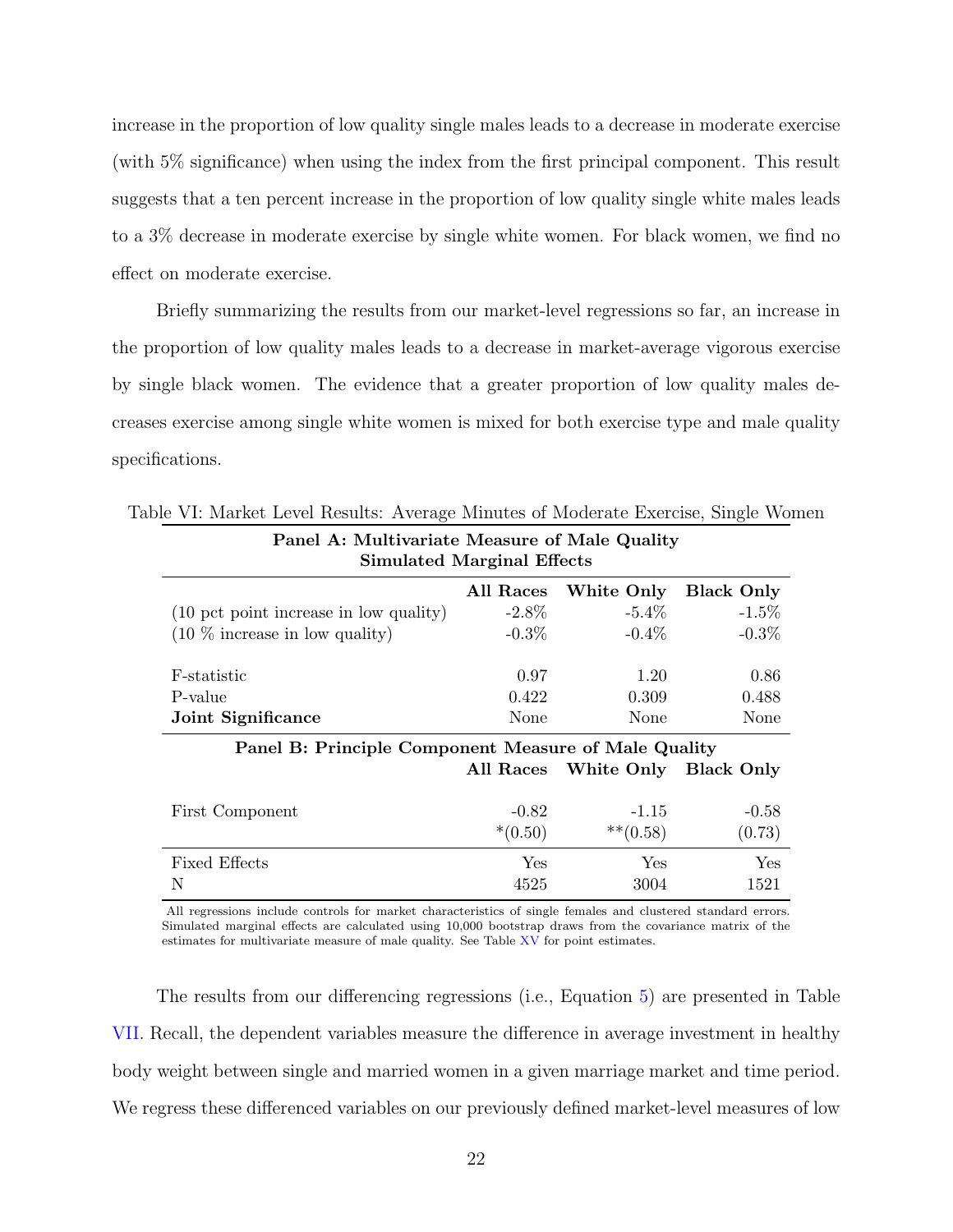increase in the proportion of low quality single males leads to a decrease in moderate exercise (with 5% significance) when using the index from the first principal component. This result suggests that a ten percent increase in the proportion of low quality single white males leads to a 3% decrease in moderate exercise by single white women. For black women, we find no effect on moderate exercise.

Briefly summarizing the results from our market-level regressions so far, an increase in the proportion of low quality males leads to a decrease in market-average vigorous exercise by single black women. The evidence that a greater proportion of low quality males decreases exercise among single white women is mixed for both exercise type and male quality specifications.

| <b>Faller A: Multivariate Measure of Male Quality</b><br><b>Simulated Marginal Effects</b> |                      |                        |                   |  |  |  |  |
|--------------------------------------------------------------------------------------------|----------------------|------------------------|-------------------|--|--|--|--|
|                                                                                            | All Races            | White Only             | <b>Black Only</b> |  |  |  |  |
| (10 pct point increase in low quality)                                                     | $-2.8\%$             | $-5.4\%$               | $-1.5\%$          |  |  |  |  |
| $(10\%$ increase in low quality)                                                           | $-0.3\%$             | $-0.4\%$               | $-0.3\%$          |  |  |  |  |
| F-statistic                                                                                | 0.97                 | 1.20                   | 0.86              |  |  |  |  |
| P-value                                                                                    | 0.422                | 0.309                  | 0.488             |  |  |  |  |
| Joint Significance                                                                         | None                 | None                   | None              |  |  |  |  |
| Panel B: Principle Component Measure of Male Quality                                       |                      |                        |                   |  |  |  |  |
|                                                                                            | All Races            | White Only Black Only  |                   |  |  |  |  |
| First Component                                                                            | $-0.82$<br>$*(0.50)$ | $-1.15$<br>$***(0.58)$ | $-0.58$<br>(0.73) |  |  |  |  |
|                                                                                            |                      |                        |                   |  |  |  |  |
| <b>Fixed Effects</b>                                                                       | <b>Yes</b>           | Yes                    | Yes               |  |  |  |  |
| N                                                                                          | 4525                 | 3004                   | 1521              |  |  |  |  |

Table VI: Market Level Results: Average Minutes of Moderate Exercise, Single Women Panel A: Multivariate Measure of Male Quality

All regressions include controls for market characteristics of single females and clustered standard errors. Simulated marginal effects are calculated using 10,000 bootstrap draws from the covariance matrix of the estimates for multivariate measure of male quality. See Table XV for point estimates.

The results from our differencing regressions (i.e., Equation 5) are presented in Table VII. Recall, the dependent variables measure the difference in average investment in healthy body weight between single and married women in a given marriage market and time period. We regress these differenced variables on our previously defined market-level measures of low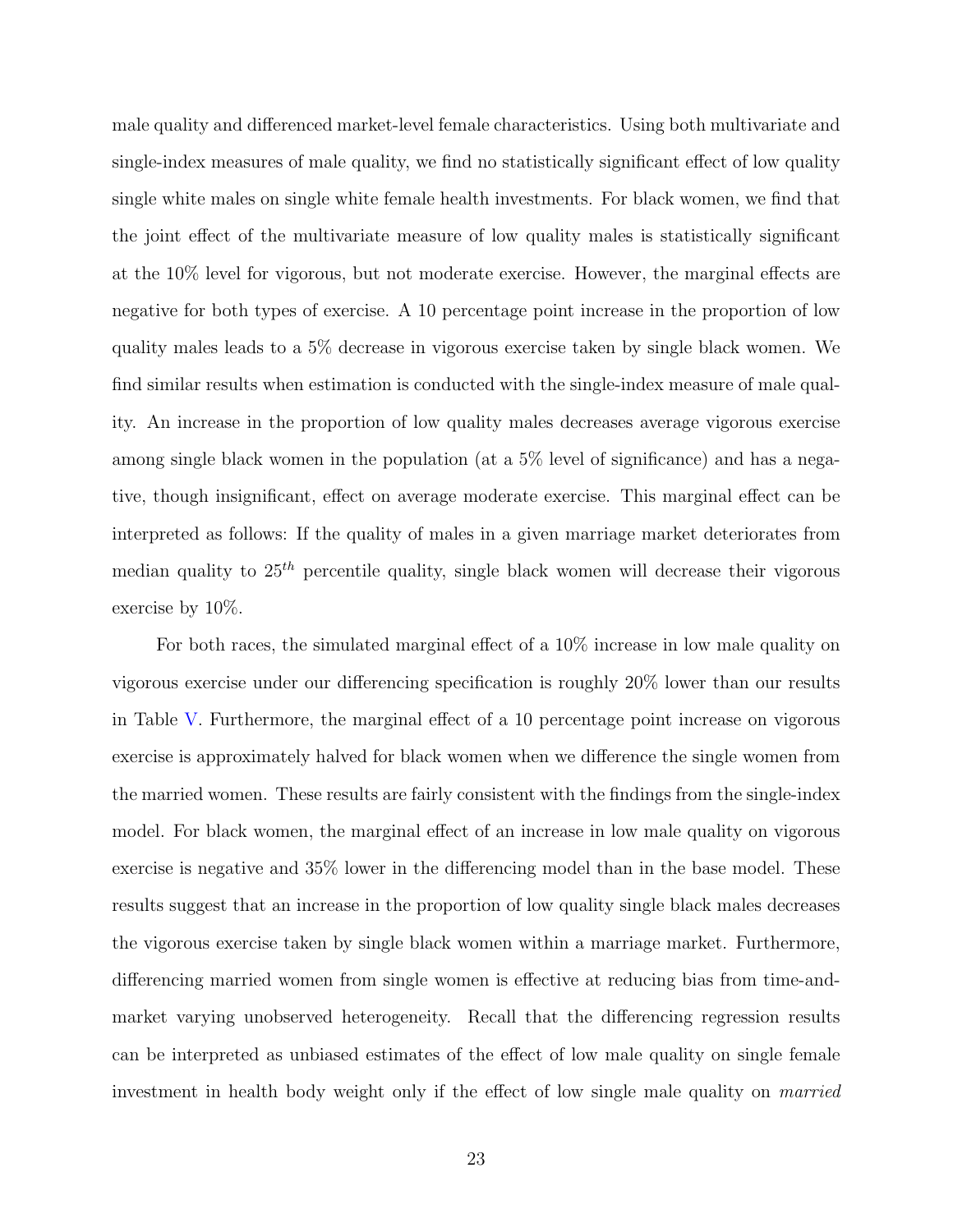male quality and differenced market-level female characteristics. Using both multivariate and single-index measures of male quality, we find no statistically significant effect of low quality single white males on single white female health investments. For black women, we find that the joint effect of the multivariate measure of low quality males is statistically significant at the 10% level for vigorous, but not moderate exercise. However, the marginal effects are negative for both types of exercise. A 10 percentage point increase in the proportion of low quality males leads to a 5% decrease in vigorous exercise taken by single black women. We find similar results when estimation is conducted with the single-index measure of male quality. An increase in the proportion of low quality males decreases average vigorous exercise among single black women in the population (at a 5% level of significance) and has a negative, though insignificant, effect on average moderate exercise. This marginal effect can be interpreted as follows: If the quality of males in a given marriage market deteriorates from median quality to  $25<sup>th</sup>$  percentile quality, single black women will decrease their vigorous exercise by 10%.

For both races, the simulated marginal effect of a 10% increase in low male quality on vigorous exercise under our differencing specification is roughly 20% lower than our results in Table V. Furthermore, the marginal effect of a 10 percentage point increase on vigorous exercise is approximately halved for black women when we difference the single women from the married women. These results are fairly consistent with the findings from the single-index model. For black women, the marginal effect of an increase in low male quality on vigorous exercise is negative and 35% lower in the differencing model than in the base model. These results suggest that an increase in the proportion of low quality single black males decreases the vigorous exercise taken by single black women within a marriage market. Furthermore, differencing married women from single women is effective at reducing bias from time-andmarket varying unobserved heterogeneity. Recall that the differencing regression results can be interpreted as unbiased estimates of the effect of low male quality on single female investment in health body weight only if the effect of low single male quality on married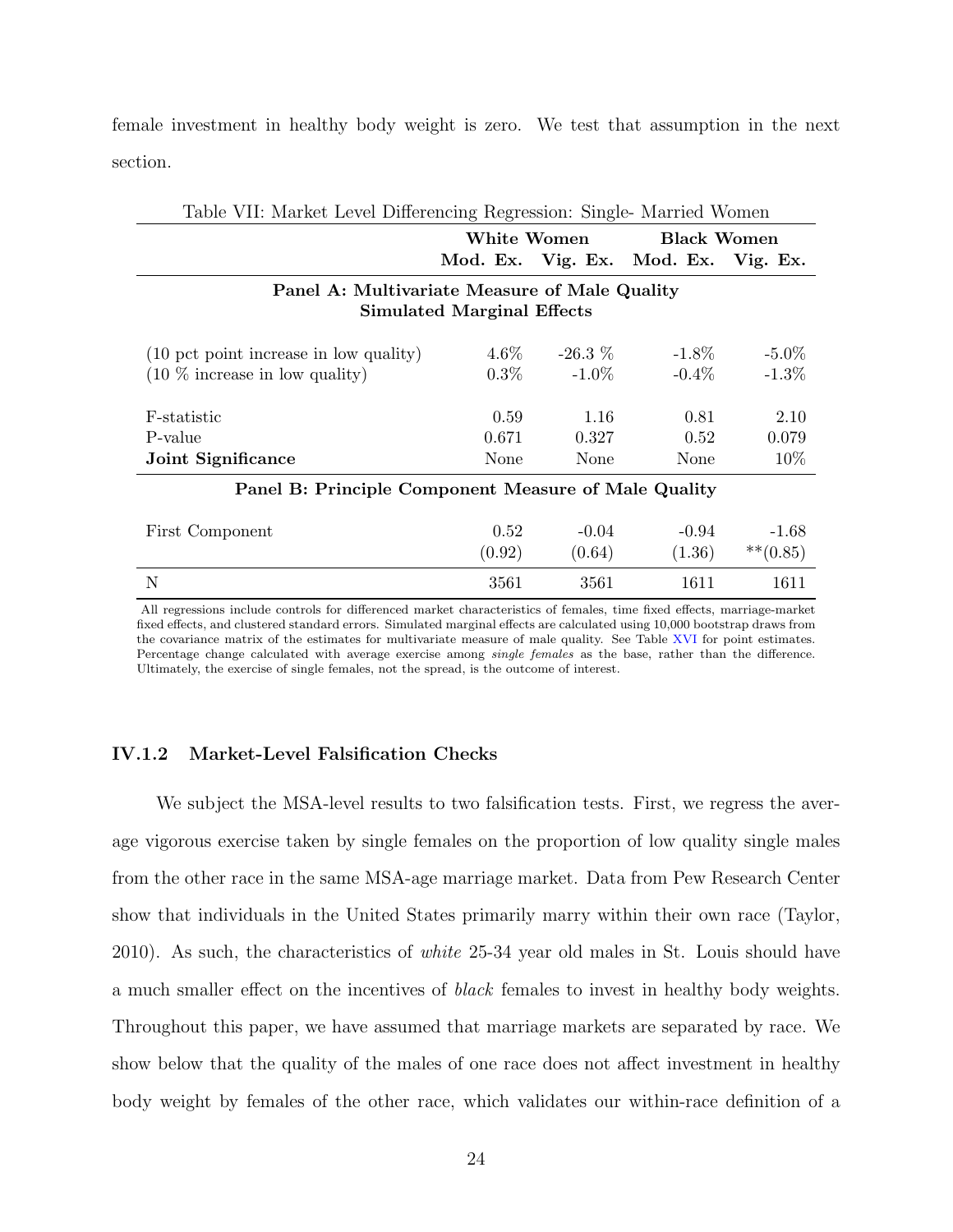female investment in healthy body weight is zero. We test that assumption in the next section.

| Table VII: Market Level Differencing Regression: Single- Married Women |                                               |                    |                                     |             |  |  |  |  |
|------------------------------------------------------------------------|-----------------------------------------------|--------------------|-------------------------------------|-------------|--|--|--|--|
|                                                                        | White Women                                   | <b>Black Women</b> |                                     |             |  |  |  |  |
|                                                                        |                                               |                    | Mod. Ex. Vig. Ex. Mod. Ex. Vig. Ex. |             |  |  |  |  |
|                                                                        | Panel A: Multivariate Measure of Male Quality |                    |                                     |             |  |  |  |  |
|                                                                        | <b>Simulated Marginal Effects</b>             |                    |                                     |             |  |  |  |  |
|                                                                        |                                               |                    |                                     |             |  |  |  |  |
| (10 pct point increase in low quality)                                 | $4.6\%$                                       | $-26.3\%$          | $-1.8\%$                            | $-5.0\%$    |  |  |  |  |
| $(10\%$ increase in low quality)                                       | $0.3\%$                                       | $-1.0\%$           | $-0.4\%$                            | $-1.3\%$    |  |  |  |  |
|                                                                        |                                               |                    |                                     |             |  |  |  |  |
| F-statistic                                                            | 0.59                                          | 1.16               | 0.81                                | 2.10        |  |  |  |  |
| P-value                                                                | 0.671                                         | 0.327              | 0.52                                | 0.079       |  |  |  |  |
| Joint Significance                                                     | None                                          | None               | None                                | 10\%        |  |  |  |  |
| Panel B: Principle Component Measure of Male Quality                   |                                               |                    |                                     |             |  |  |  |  |
|                                                                        |                                               |                    |                                     |             |  |  |  |  |
| First Component                                                        | 0.52                                          | $-0.04$            | $-0.94$                             | $-1.68$     |  |  |  |  |
|                                                                        | (0.92)                                        | (0.64)             | (1.36)                              | $***(0.85)$ |  |  |  |  |
| N                                                                      | 3561                                          | 3561               | 1611                                | 1611        |  |  |  |  |

All regressions include controls for differenced market characteristics of females, time fixed effects, marriage-market fixed effects, and clustered standard errors. Simulated marginal effects are calculated using 10,000 bootstrap draws from the covariance matrix of the estimates for multivariate measure of male quality. See Table XVI for point estimates. Percentage change calculated with average exercise among *single females* as the base, rather than the difference. Ultimately, the exercise of single females, not the spread, is the outcome of interest.

## IV.1.2 Market-Level Falsification Checks

We subject the MSA-level results to two falsification tests. First, we regress the average vigorous exercise taken by single females on the proportion of low quality single males from the other race in the same MSA-age marriage market. Data from Pew Research Center show that individuals in the United States primarily marry within their own race (Taylor, 2010). As such, the characteristics of white 25-34 year old males in St. Louis should have a much smaller effect on the incentives of black females to invest in healthy body weights. Throughout this paper, we have assumed that marriage markets are separated by race. We show below that the quality of the males of one race does not affect investment in healthy body weight by females of the other race, which validates our within-race definition of a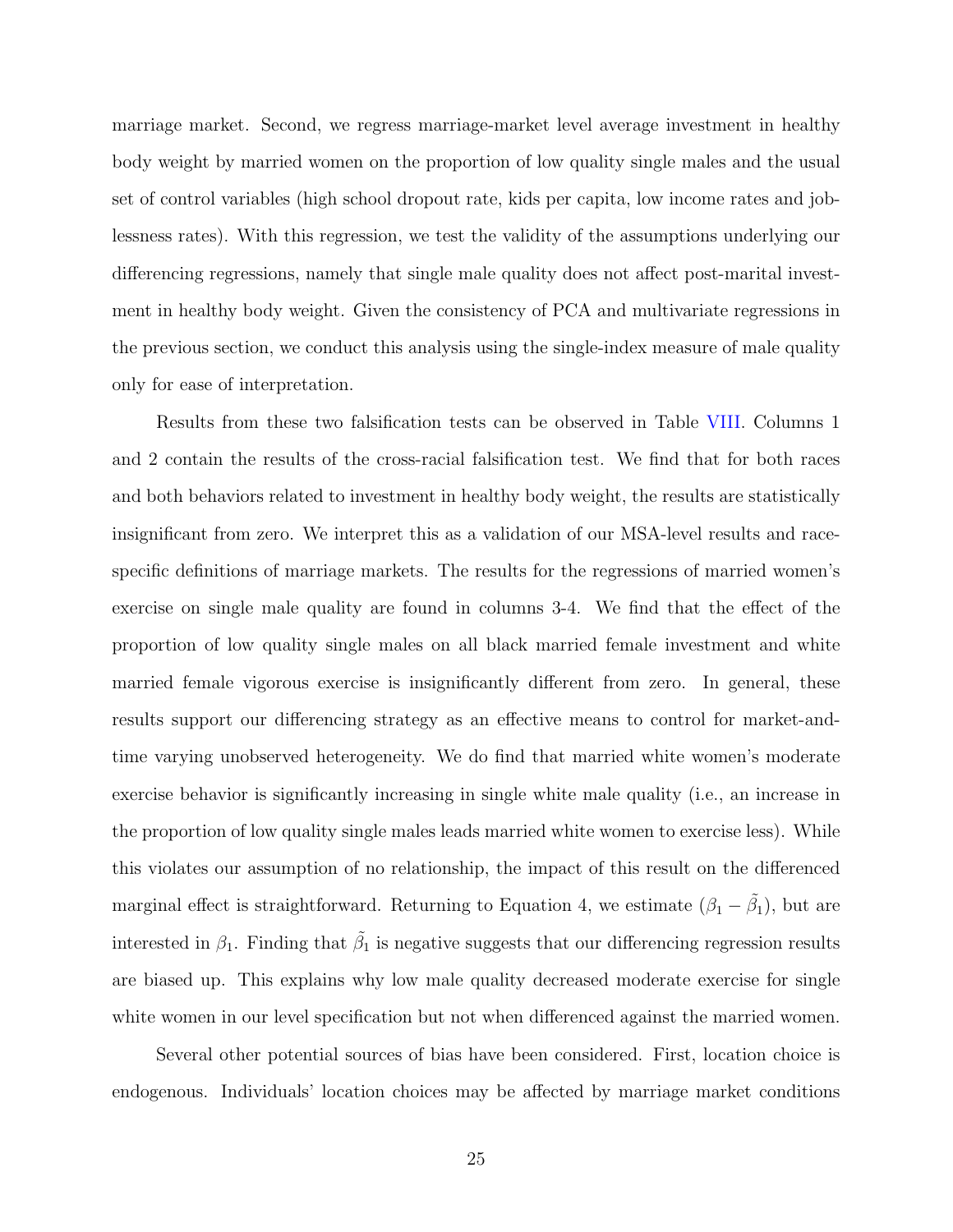marriage market. Second, we regress marriage-market level average investment in healthy body weight by married women on the proportion of low quality single males and the usual set of control variables (high school dropout rate, kids per capita, low income rates and joblessness rates). With this regression, we test the validity of the assumptions underlying our differencing regressions, namely that single male quality does not affect post-marital investment in healthy body weight. Given the consistency of PCA and multivariate regressions in the previous section, we conduct this analysis using the single-index measure of male quality only for ease of interpretation.

Results from these two falsification tests can be observed in Table VIII. Columns 1 and 2 contain the results of the cross-racial falsification test. We find that for both races and both behaviors related to investment in healthy body weight, the results are statistically insignificant from zero. We interpret this as a validation of our MSA-level results and racespecific definitions of marriage markets. The results for the regressions of married women's exercise on single male quality are found in columns 3-4. We find that the effect of the proportion of low quality single males on all black married female investment and white married female vigorous exercise is insignificantly different from zero. In general, these results support our differencing strategy as an effective means to control for market-andtime varying unobserved heterogeneity. We do find that married white women's moderate exercise behavior is significantly increasing in single white male quality (i.e., an increase in the proportion of low quality single males leads married white women to exercise less). While this violates our assumption of no relationship, the impact of this result on the differenced marginal effect is straightforward. Returning to Equation 4, we estimate  $(\beta_1 - \tilde{\beta_1})$ , but are interested in  $\beta_1$ . Finding that  $\tilde{\beta_1}$  is negative suggests that our differencing regression results are biased up. This explains why low male quality decreased moderate exercise for single white women in our level specification but not when differenced against the married women.

Several other potential sources of bias have been considered. First, location choice is endogenous. Individuals' location choices may be affected by marriage market conditions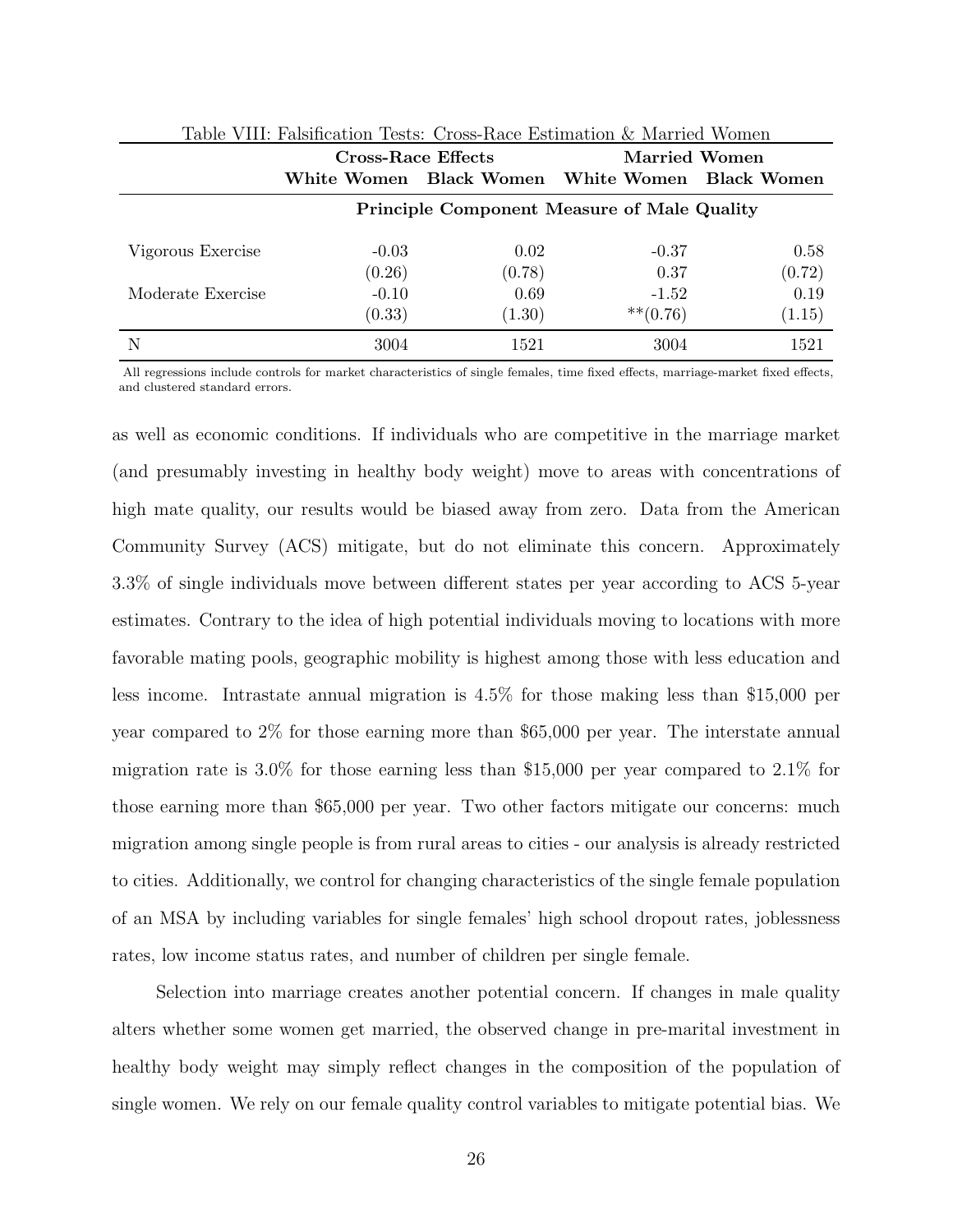|                   | <b>Cross-Race Effects</b><br>White Women Black Women White Women Black Women |                | Married Women          |                |  |  |
|-------------------|------------------------------------------------------------------------------|----------------|------------------------|----------------|--|--|
|                   | <b>Principle Component Measure of Male Quality</b>                           |                |                        |                |  |  |
| Vigorous Exercise | $-0.03$<br>(0.26)                                                            | 0.02<br>(0.78) | $-0.37$<br>0.37        | 0.58<br>(0.72) |  |  |
| Moderate Exercise | $-0.10$<br>(0.33)                                                            | 0.69<br>(1.30) | $-1.52$<br>$***(0.76)$ | 0.19<br>(1.15) |  |  |
| N                 | 3004                                                                         | 1521           | 3004                   | 1521           |  |  |

| Table VIII: Falsification Tests: Cross-Race Estimation & Married Women |  |  |  |
|------------------------------------------------------------------------|--|--|--|
|                                                                        |  |  |  |

All regressions include controls for market characteristics of single females, time fixed effects, marriage-market fixed effects, and clustered standard errors.

as well as economic conditions. If individuals who are competitive in the marriage market (and presumably investing in healthy body weight) move to areas with concentrations of high mate quality, our results would be biased away from zero. Data from the American Community Survey (ACS) mitigate, but do not eliminate this concern. Approximately 3.3% of single individuals move between different states per year according to ACS 5-year estimates. Contrary to the idea of high potential individuals moving to locations with more favorable mating pools, geographic mobility is highest among those with less education and less income. Intrastate annual migration is 4.5% for those making less than \$15,000 per year compared to 2% for those earning more than \$65,000 per year. The interstate annual migration rate is 3.0% for those earning less than \$15,000 per year compared to 2.1% for those earning more than \$65,000 per year. Two other factors mitigate our concerns: much migration among single people is from rural areas to cities - our analysis is already restricted to cities. Additionally, we control for changing characteristics of the single female population of an MSA by including variables for single females' high school dropout rates, joblessness rates, low income status rates, and number of children per single female.

Selection into marriage creates another potential concern. If changes in male quality alters whether some women get married, the observed change in pre-marital investment in healthy body weight may simply reflect changes in the composition of the population of single women. We rely on our female quality control variables to mitigate potential bias. We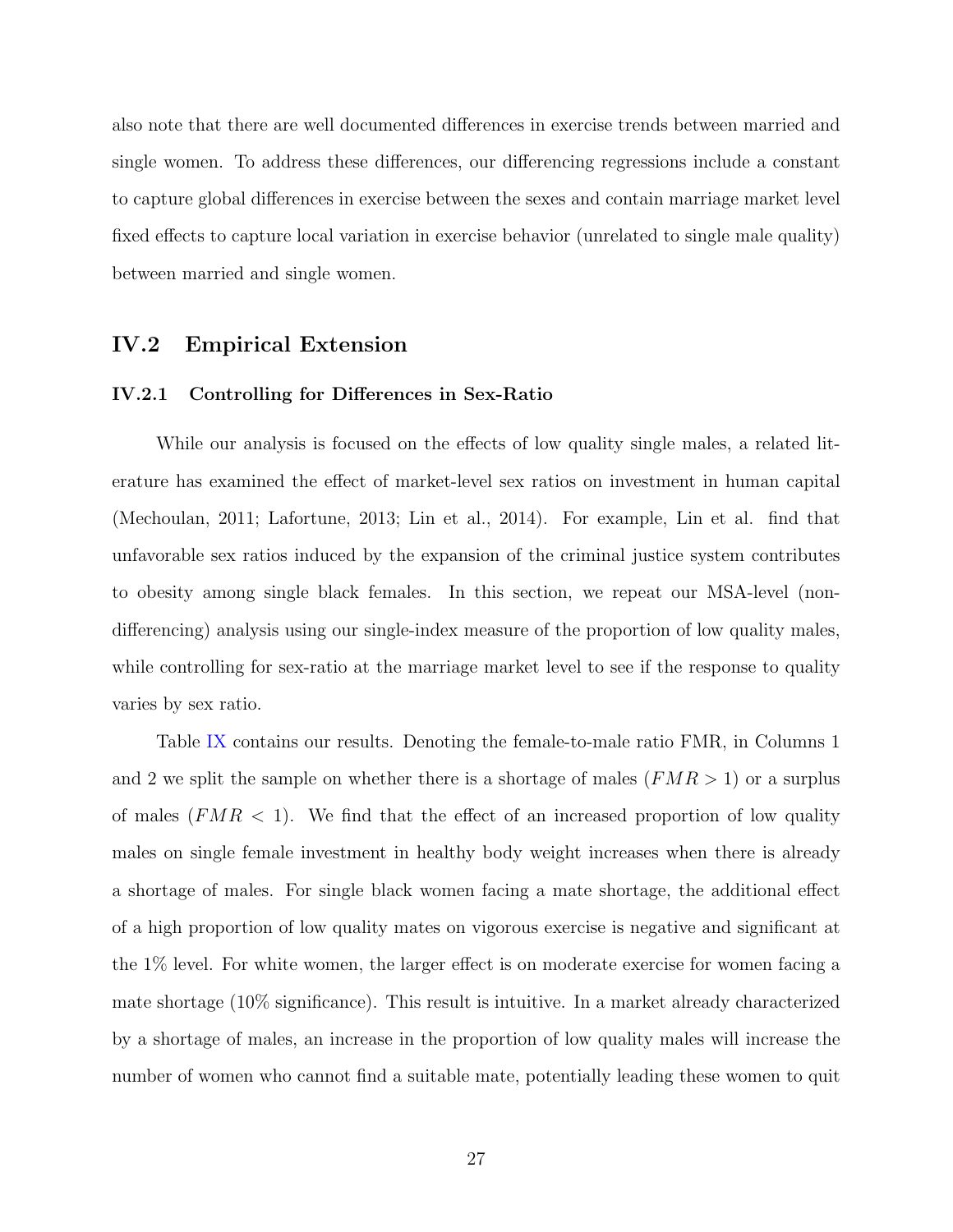also note that there are well documented differences in exercise trends between married and single women. To address these differences, our differencing regressions include a constant to capture global differences in exercise between the sexes and contain marriage market level fixed effects to capture local variation in exercise behavior (unrelated to single male quality) between married and single women.

## IV.2 Empirical Extension

### IV.2.1 Controlling for Differences in Sex-Ratio

While our analysis is focused on the effects of low quality single males, a related literature has examined the effect of market-level sex ratios on investment in human capital (Mechoulan, 2011; Lafortune, 2013; Lin et al., 2014). For example, Lin et al. find that unfavorable sex ratios induced by the expansion of the criminal justice system contributes to obesity among single black females. In this section, we repeat our MSA-level (nondifferencing) analysis using our single-index measure of the proportion of low quality males, while controlling for sex-ratio at the marriage market level to see if the response to quality varies by sex ratio.

Table IX contains our results. Denoting the female-to-male ratio FMR, in Columns 1 and 2 we split the sample on whether there is a shortage of males  $(FMR > 1)$  or a surplus of males  $(FMR < 1)$ . We find that the effect of an increased proportion of low quality males on single female investment in healthy body weight increases when there is already a shortage of males. For single black women facing a mate shortage, the additional effect of a high proportion of low quality mates on vigorous exercise is negative and significant at the 1% level. For white women, the larger effect is on moderate exercise for women facing a mate shortage (10% significance). This result is intuitive. In a market already characterized by a shortage of males, an increase in the proportion of low quality males will increase the number of women who cannot find a suitable mate, potentially leading these women to quit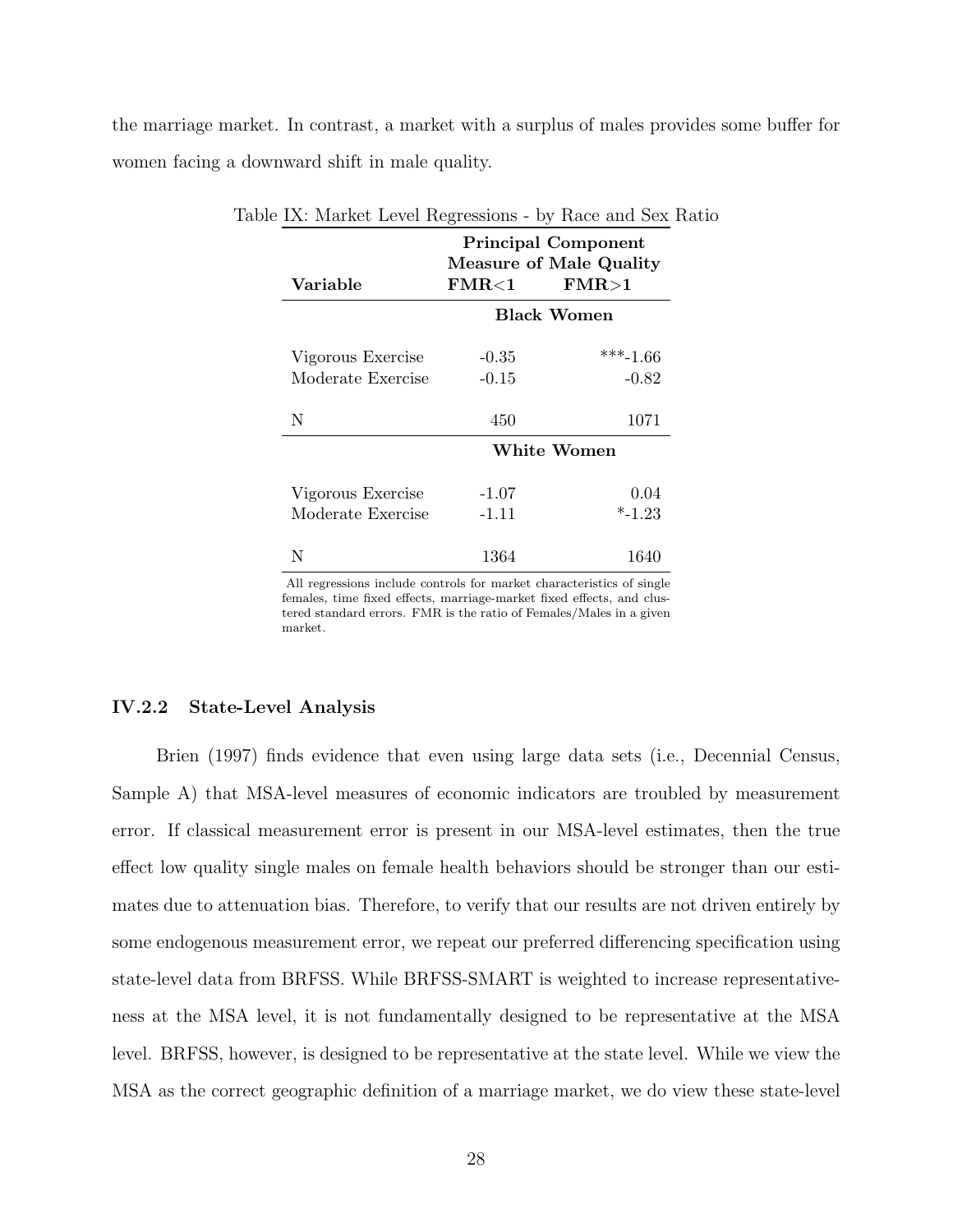the marriage market. In contrast, a market with a surplus of males provides some buffer for women facing a downward shift in male quality.

| Variable          | <b>Principal Component</b><br><b>Measure of Male Quality</b><br>$\mathrm{FMR}{<}1$<br>FMR>1 |            |  |  |  |
|-------------------|---------------------------------------------------------------------------------------------|------------|--|--|--|
|                   | <b>Black Women</b>                                                                          |            |  |  |  |
| Vigorous Exercise | $-0.35$                                                                                     | $***-1.66$ |  |  |  |
| Moderate Exercise | $-0.15$                                                                                     | $-0.82$    |  |  |  |
| N                 | 450                                                                                         | 1071       |  |  |  |
|                   | White Women                                                                                 |            |  |  |  |
| Vigorous Exercise | $-1.07$                                                                                     | 0.04       |  |  |  |
| Moderate Exercise | $-1.11$                                                                                     | $*$ -1.23  |  |  |  |
| N                 | 1364                                                                                        | 1640       |  |  |  |

Table IX: Market Level Regressions - by Race and Sex Ratio

All regressions include controls for market characteristics of single females, time fixed effects, marriage-market fixed effects, and clustered standard errors. FMR is the ratio of Females/Males in a given market.

### IV.2.2 State-Level Analysis

Brien (1997) finds evidence that even using large data sets (i.e., Decennial Census, Sample A) that MSA-level measures of economic indicators are troubled by measurement error. If classical measurement error is present in our MSA-level estimates, then the true effect low quality single males on female health behaviors should be stronger than our estimates due to attenuation bias. Therefore, to verify that our results are not driven entirely by some endogenous measurement error, we repeat our preferred differencing specification using state-level data from BRFSS. While BRFSS-SMART is weighted to increase representativeness at the MSA level, it is not fundamentally designed to be representative at the MSA level. BRFSS, however, is designed to be representative at the state level. While we view the MSA as the correct geographic definition of a marriage market, we do view these state-level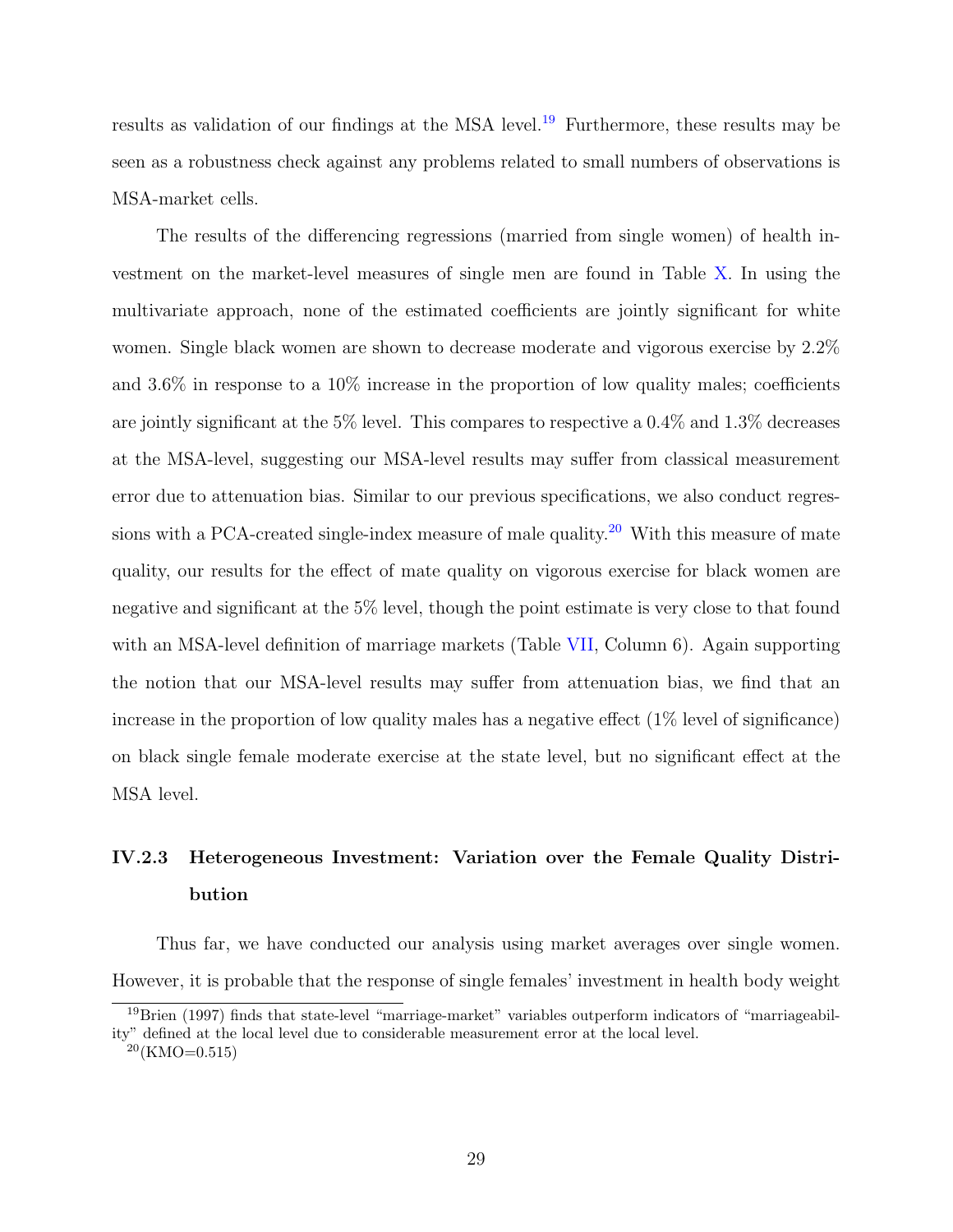results as validation of our findings at the MSA level.<sup>19</sup> Furthermore, these results may be seen as a robustness check against any problems related to small numbers of observations is MSA-market cells.

The results of the differencing regressions (married from single women) of health investment on the market-level measures of single men are found in Table X. In using the multivariate approach, none of the estimated coefficients are jointly significant for white women. Single black women are shown to decrease moderate and vigorous exercise by 2.2% and 3.6% in response to a 10% increase in the proportion of low quality males; coefficients are jointly significant at the 5% level. This compares to respective a  $0.4\%$  and  $1.3\%$  decreases at the MSA-level, suggesting our MSA-level results may suffer from classical measurement error due to attenuation bias. Similar to our previous specifications, we also conduct regressions with a PCA-created single-index measure of male quality.<sup>20</sup> With this measure of mate quality, our results for the effect of mate quality on vigorous exercise for black women are negative and significant at the 5% level, though the point estimate is very close to that found with an MSA-level definition of marriage markets (Table VII, Column 6). Again supporting the notion that our MSA-level results may suffer from attenuation bias, we find that an increase in the proportion of low quality males has a negative effect (1% level of significance) on black single female moderate exercise at the state level, but no significant effect at the MSA level.

# IV.2.3 Heterogeneous Investment: Variation over the Female Quality Distribution

Thus far, we have conducted our analysis using market averages over single women. However, it is probable that the response of single females' investment in health body weight

<sup>19</sup>Brien (1997) finds that state-level "marriage-market" variables outperform indicators of "marriageability" defined at the local level due to considerable measurement error at the local level.

 $^{20}$ (KMO=0.515)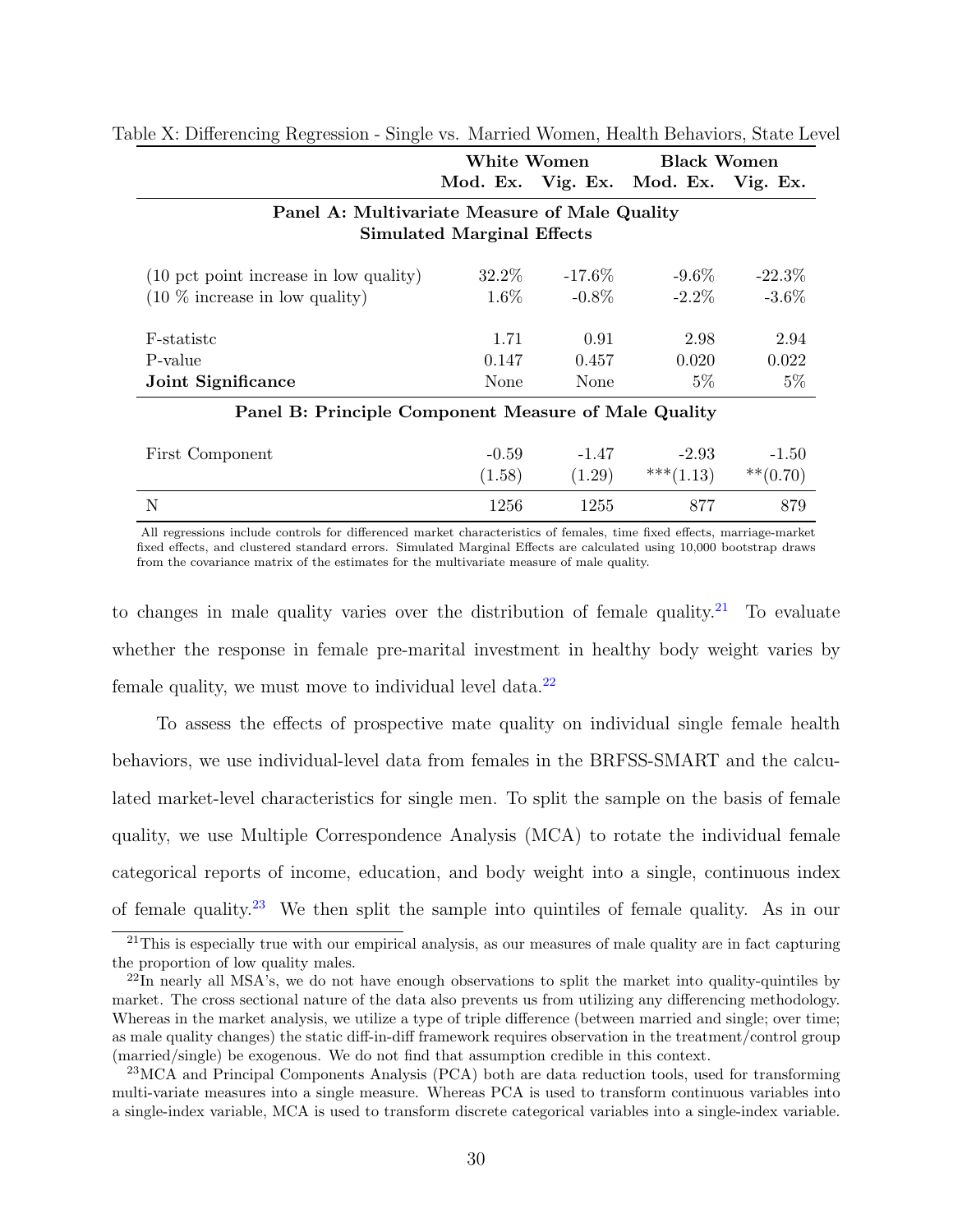|                                                                                    | White Women |            | <b>Black Women</b>                  |           |  |  |  |
|------------------------------------------------------------------------------------|-------------|------------|-------------------------------------|-----------|--|--|--|
|                                                                                    |             |            | Mod. Ex. Vig. Ex. Mod. Ex. Vig. Ex. |           |  |  |  |
| Panel A: Multivariate Measure of Male Quality<br><b>Simulated Marginal Effects</b> |             |            |                                     |           |  |  |  |
| (10 pct point increase in low quality)                                             | 32.2\%      | -17.6 $\%$ | $-9.6\%$                            | $-22.3\%$ |  |  |  |
| $(10\%$ increase in low quality)                                                   | $1.6\%$     | $-0.8\%$   | $-2.2\%$                            | $-3.6\%$  |  |  |  |
| F-statistc                                                                         | 1.71        | 0.91       | 2.98                                | 2.94      |  |  |  |
| P-value                                                                            | 0.147       | 0.457      | 0.020                               | 0.022     |  |  |  |
| Joint Significance                                                                 | None        | None       | $5\%$                               | $5\%$     |  |  |  |

#### Table X: Differencing Regression - Single vs. Married Women, Health Behaviors, State Level

Panel B: Principle Component Measure of Male Quality

| First Component | $-0.59$ | $-1.47$ | $-2.93$      | $-1.50$     |
|-----------------|---------|---------|--------------|-------------|
|                 | (1.58)  | (1.29)  | *** $(1.13)$ | $***(0.70)$ |
| N               | 1256    | 1255    | 877          | 879         |

All regressions include controls for differenced market characteristics of females, time fixed effects, marriage-market fixed effects, and clustered standard errors. Simulated Marginal Effects are calculated using 10,000 bootstrap draws from the covariance matrix of the estimates for the multivariate measure of male quality.

to changes in male quality varies over the distribution of female quality.<sup>21</sup> To evaluate whether the response in female pre-marital investment in healthy body weight varies by female quality, we must move to individual level data. $^{22}$ 

To assess the effects of prospective mate quality on individual single female health behaviors, we use individual-level data from females in the BRFSS-SMART and the calculated market-level characteristics for single men. To split the sample on the basis of female quality, we use Multiple Correspondence Analysis (MCA) to rotate the individual female categorical reports of income, education, and body weight into a single, continuous index of female quality.<sup>23</sup> We then split the sample into quintiles of female quality. As in our

<sup>&</sup>lt;sup>21</sup>This is especially true with our empirical analysis, as our measures of male quality are in fact capturing the proportion of low quality males.

 $^{22}$ In nearly all MSA's, we do not have enough observations to split the market into quality-quintiles by market. The cross sectional nature of the data also prevents us from utilizing any differencing methodology. Whereas in the market analysis, we utilize a type of triple difference (between married and single; over time; as male quality changes) the static diff-in-diff framework requires observation in the treatment/control group (married/single) be exogenous. We do not find that assumption credible in this context.

<sup>23</sup>MCA and Principal Components Analysis (PCA) both are data reduction tools, used for transforming multi-variate measures into a single measure. Whereas PCA is used to transform continuous variables into a single-index variable, MCA is used to transform discrete categorical variables into a single-index variable.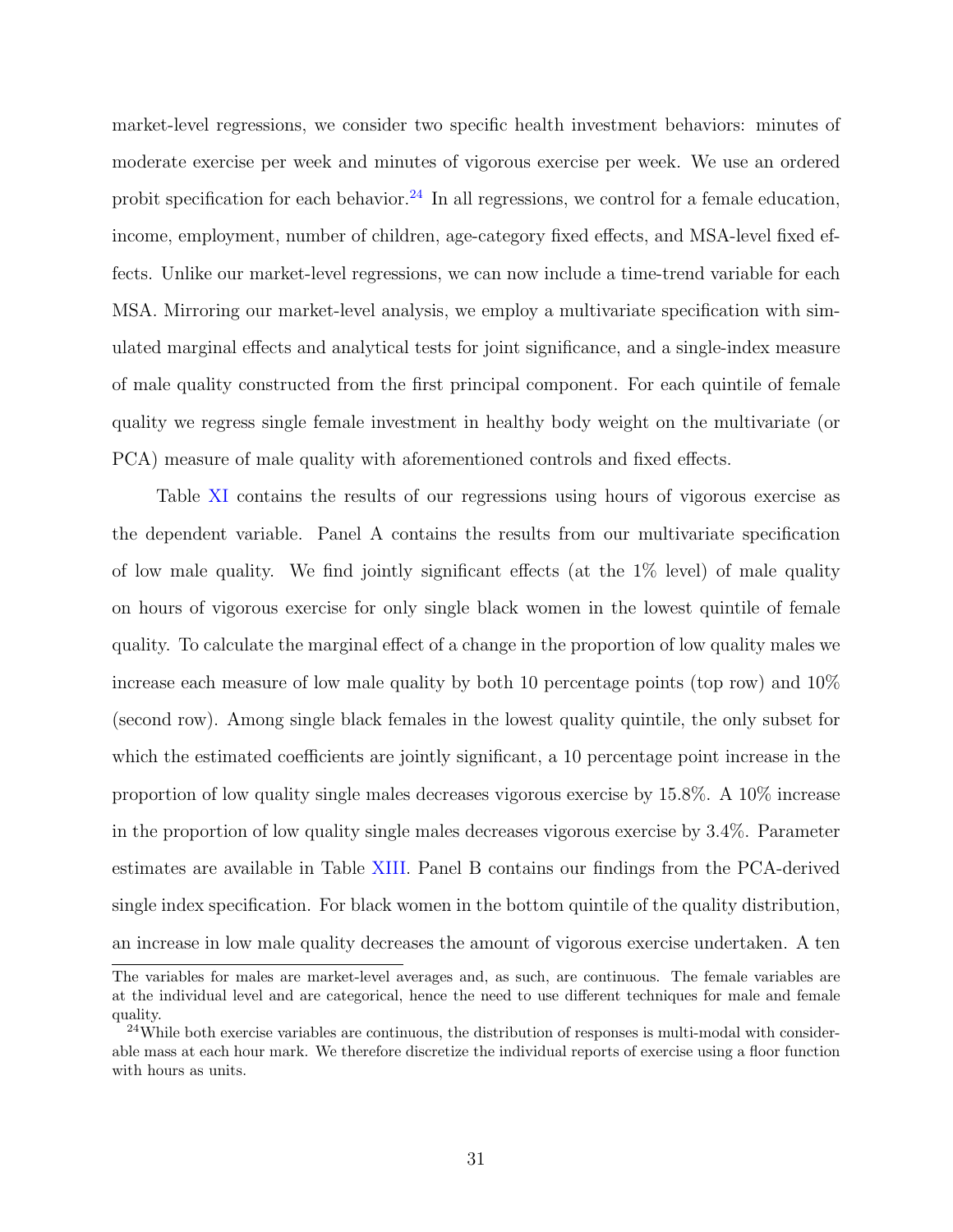market-level regressions, we consider two specific health investment behaviors: minutes of moderate exercise per week and minutes of vigorous exercise per week. We use an ordered probit specification for each behavior.<sup>24</sup> In all regressions, we control for a female education, income, employment, number of children, age-category fixed effects, and MSA-level fixed effects. Unlike our market-level regressions, we can now include a time-trend variable for each MSA. Mirroring our market-level analysis, we employ a multivariate specification with simulated marginal effects and analytical tests for joint significance, and a single-index measure of male quality constructed from the first principal component. For each quintile of female quality we regress single female investment in healthy body weight on the multivariate (or PCA) measure of male quality with aforementioned controls and fixed effects.

Table XI contains the results of our regressions using hours of vigorous exercise as the dependent variable. Panel A contains the results from our multivariate specification of low male quality. We find jointly significant effects (at the 1% level) of male quality on hours of vigorous exercise for only single black women in the lowest quintile of female quality. To calculate the marginal effect of a change in the proportion of low quality males we increase each measure of low male quality by both 10 percentage points (top row) and 10% (second row). Among single black females in the lowest quality quintile, the only subset for which the estimated coefficients are jointly significant, a 10 percentage point increase in the proportion of low quality single males decreases vigorous exercise by 15.8%. A 10% increase in the proportion of low quality single males decreases vigorous exercise by 3.4%. Parameter estimates are available in Table XIII. Panel B contains our findings from the PCA-derived single index specification. For black women in the bottom quintile of the quality distribution, an increase in low male quality decreases the amount of vigorous exercise undertaken. A ten

The variables for males are market-level averages and, as such, are continuous. The female variables are at the individual level and are categorical, hence the need to use different techniques for male and female quality.

 $24$ While both exercise variables are continuous, the distribution of responses is multi-modal with considerable mass at each hour mark. We therefore discretize the individual reports of exercise using a floor function with hours as units.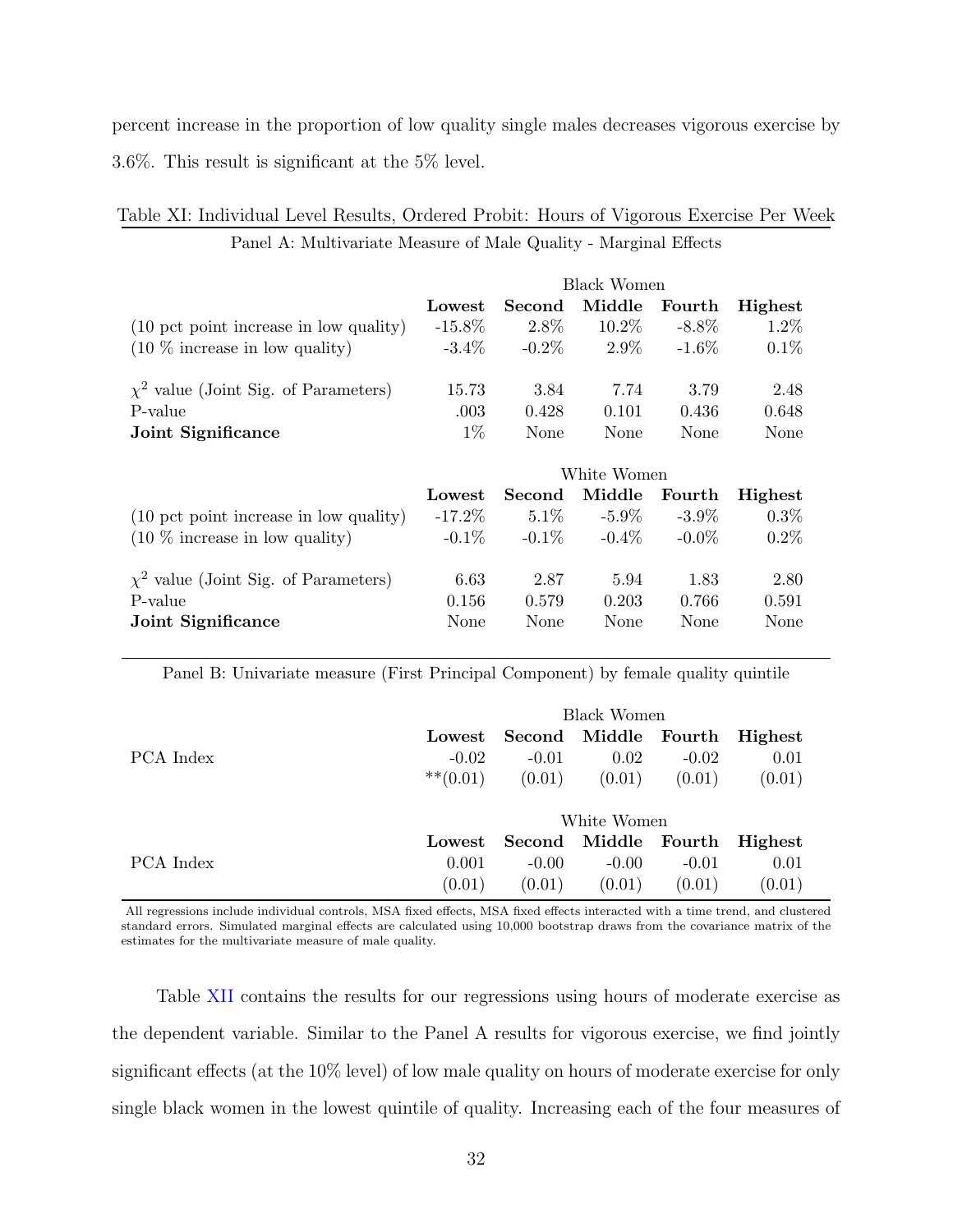percent increase in the proportion of low quality single males decreases vigorous exercise by 3.6%. This result is significant at the 5% level.

|                                           | Black Women |          |             |          |                |
|-------------------------------------------|-------------|----------|-------------|----------|----------------|
|                                           | Lowest      | Second   | Middle      | Fourth   | Highest        |
| (10 pct point increase in low quality)    | $-15.8\%$   | $2.8\%$  | $10.2\%$    | $-8.8\%$ | $1.2\%$        |
| $(10\%$ increase in low quality)          | $-3.4\%$    | $-0.2\%$ | $2.9\%$     | $-1.6\%$ | $0.1\%$        |
| $\chi^2$ value (Joint Sig. of Parameters) | 15.73       | 3.84     | 7.74        | 3.79     | 2.48           |
| P-value                                   | .003        | 0.428    | 0.101       | 0.436    | 0.648          |
| Joint Significance                        | $1\%$       | None     | None        | None     | None           |
|                                           |             |          |             |          |                |
|                                           |             |          | White Women |          |                |
|                                           | Lowest      | Second   | Middle      | Fourth   | <b>Highest</b> |
| (10 pct point increase in low quality)    | $-17.2\%$   | $5.1\%$  | $-5.9\%$    | $-3.9\%$ | $0.3\%$        |
| $(10\%$ increase in low quality)          | $-0.1\%$    | $-0.1\%$ | $-0.4\%$    | $-0.0\%$ | $0.2\%$        |
| $\chi^2$ value (Joint Sig. of Parameters) | 6.63        | 2.87     | 5.94        | 1.83     | 2.80           |
| P-value                                   | 0.156       | 0.579    | 0.203       | 0.766    | 0.591          |

| Table XI: Individual Level Results, Ordered Probit: Hours of Vigorous Exercise Per Week |                                                                  |  |  |  |  |  |
|-----------------------------------------------------------------------------------------|------------------------------------------------------------------|--|--|--|--|--|
|                                                                                         | Panel A: Multivariate Measure of Male Quality - Marginal Effects |  |  |  |  |  |

Panel B: Univariate measure (First Principal Component) by female quality quintile

|           | Black Women    |         |                              |         |        |
|-----------|----------------|---------|------------------------------|---------|--------|
|           | Lowest         |         | Second Middle Fourth Highest |         |        |
| PCA Index | $-0.02$        | $-0.01$ | 0.02                         | $-0.02$ | 0.01   |
|           | $***(0.01)$    | (0.01)  | (0.01)                       | (0.01)  | (0.01) |
|           |                |         | White Women                  |         |        |
|           | ${\rm Lowest}$ |         | Second Middle Fourth Highest |         |        |
| PCA Index | 0.001          | $-0.00$ | $-0.00$                      | $-0.01$ | 0.01   |
|           | (0.01)         | (0.01)  | (0.01)                       | (0.01)  | (0.01) |

All regressions include individual controls, MSA fixed effects, MSA fixed effects interacted with a time trend, and clustered standard errors. Simulated marginal effects are calculated using 10,000 bootstrap draws from the covariance matrix of the estimates for the multivariate measure of male quality.

Table XII contains the results for our regressions using hours of moderate exercise as the dependent variable. Similar to the Panel A results for vigorous exercise, we find jointly significant effects (at the 10% level) of low male quality on hours of moderate exercise for only single black women in the lowest quintile of quality. Increasing each of the four measures of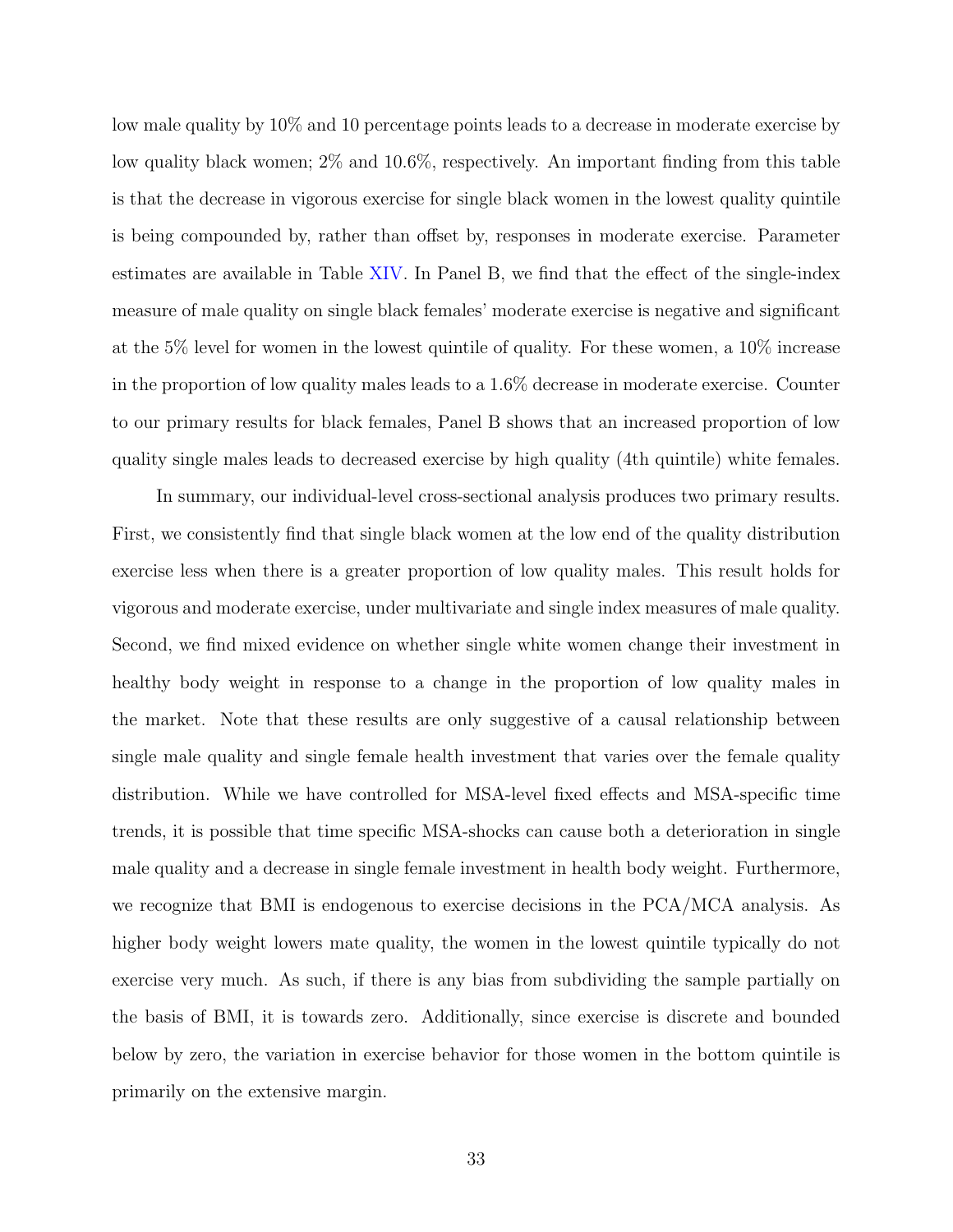low male quality by 10% and 10 percentage points leads to a decrease in moderate exercise by low quality black women; 2% and 10.6%, respectively. An important finding from this table is that the decrease in vigorous exercise for single black women in the lowest quality quintile is being compounded by, rather than offset by, responses in moderate exercise. Parameter estimates are available in Table XIV. In Panel B, we find that the effect of the single-index measure of male quality on single black females' moderate exercise is negative and significant at the 5% level for women in the lowest quintile of quality. For these women, a 10% increase in the proportion of low quality males leads to a 1.6% decrease in moderate exercise. Counter to our primary results for black females, Panel B shows that an increased proportion of low quality single males leads to decreased exercise by high quality (4th quintile) white females.

In summary, our individual-level cross-sectional analysis produces two primary results. First, we consistently find that single black women at the low end of the quality distribution exercise less when there is a greater proportion of low quality males. This result holds for vigorous and moderate exercise, under multivariate and single index measures of male quality. Second, we find mixed evidence on whether single white women change their investment in healthy body weight in response to a change in the proportion of low quality males in the market. Note that these results are only suggestive of a causal relationship between single male quality and single female health investment that varies over the female quality distribution. While we have controlled for MSA-level fixed effects and MSA-specific time trends, it is possible that time specific MSA-shocks can cause both a deterioration in single male quality and a decrease in single female investment in health body weight. Furthermore, we recognize that BMI is endogenous to exercise decisions in the PCA/MCA analysis. As higher body weight lowers mate quality, the women in the lowest quintile typically do not exercise very much. As such, if there is any bias from subdividing the sample partially on the basis of BMI, it is towards zero. Additionally, since exercise is discrete and bounded below by zero, the variation in exercise behavior for those women in the bottom quintile is primarily on the extensive margin.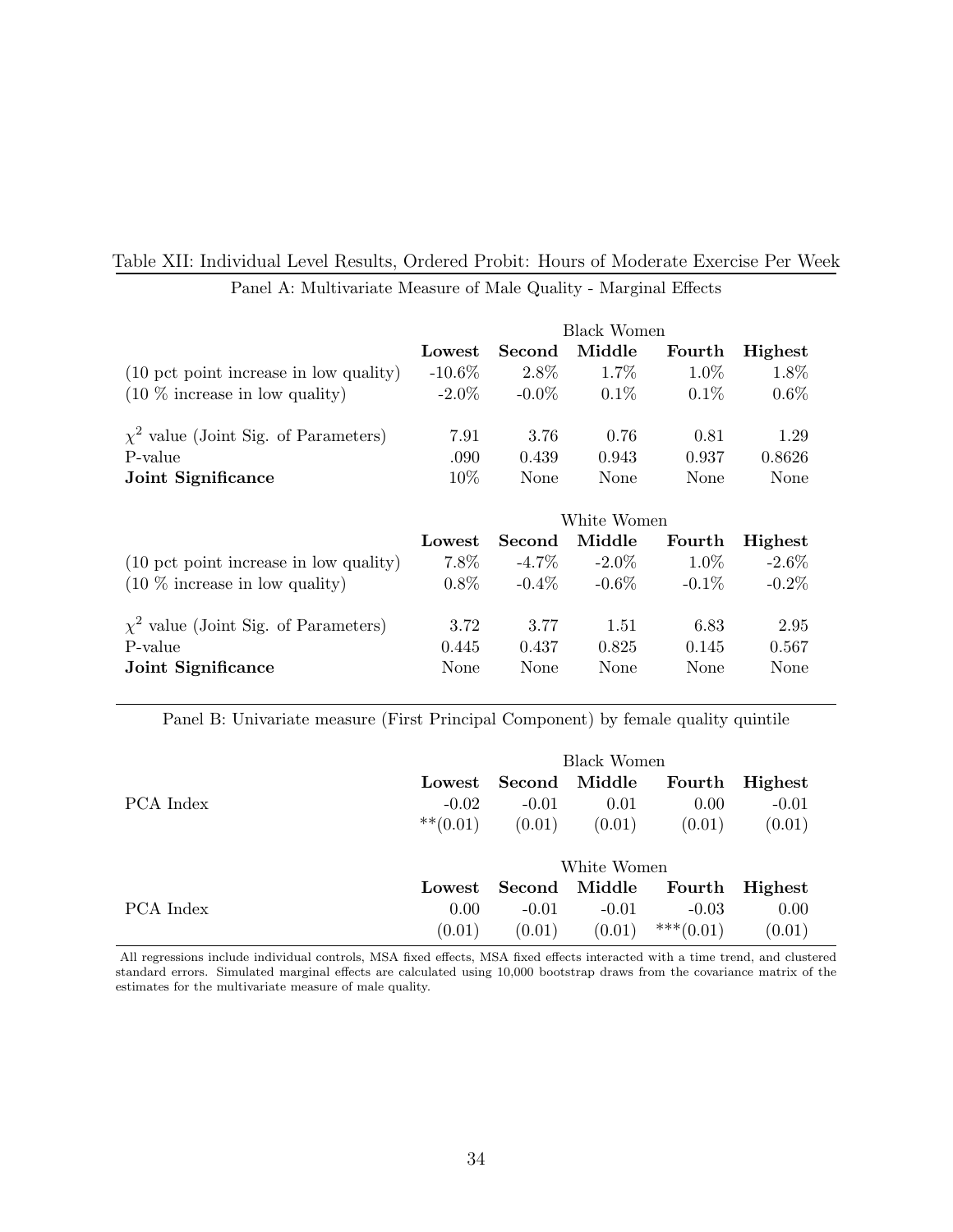## Table XII: Individual Level Results, Ordered Probit: Hours of Moderate Exercise Per Week

|                                           | Black Women |               |             |             |          |  |
|-------------------------------------------|-------------|---------------|-------------|-------------|----------|--|
|                                           | Lowest      | <b>Second</b> | Middle      | Fourth      | Highest  |  |
| (10 pct point increase in low quality)    | $-10.6\%$   | 2.8%          | $1.7\%$     | $1.0\%$     | $1.8\%$  |  |
| $(10\%$ increase in low quality)          | $-2.0\%$    | $-0.0\%$      | $0.1\%$     | $0.1\%$     | $0.6\%$  |  |
| $\chi^2$ value (Joint Sig. of Parameters) | 7.91        | 3.76          | 0.76        | 0.81        | 1.29     |  |
| P-value                                   | .090        | 0.439         | 0.943       | 0.937       | 0.8626   |  |
| Joint Significance                        | 10\%        | None          | None        | <b>None</b> | None     |  |
|                                           |             |               | White Women |             |          |  |
|                                           | Lowest      | Second        | Middle      | Fourth      | Highest  |  |
| (10 pct point increase in low quality)    | $7.8\%$     | -4.7 $\%$     | $-2.0\%$    | $1.0\%$     | $-2.6\%$ |  |
| $(10\%$ increase in low quality)          | $0.8\%$     | $-0.4\%$      | $-0.6\%$    | $-0.1\%$    | $-0.2\%$ |  |
| $\chi^2$ value (Joint Sig. of Parameters) |             |               | 1.51        | 6.83        | 2.95     |  |
|                                           | 3.72        | 3.77          |             |             |          |  |
| P-value                                   | 0.445       | 0.437         | 0.825       | 0.145       | 0.567    |  |

Panel A: Multivariate Measure of Male Quality - Marginal Effects

Panel B: Univariate measure (First Principal Component) by female quality quintile

|           | <b>Black Women</b> |         |             |             |         |  |
|-----------|--------------------|---------|-------------|-------------|---------|--|
|           | Lowest             | Second  | Middle      | Fourth      | Highest |  |
| PCA Index | $-0.02$            | $-0.01$ | 0.01        | 0.00        | $-0.01$ |  |
|           | $***(0.01)$        | (0.01)  | (0.01)      | (0.01)      | (0.01)  |  |
|           |                    |         | White Women |             |         |  |
|           | Lowest             | Second  | Middle      | Fourth      | Highest |  |
| PCA Index | 0.00               | $-0.01$ | $-0.01$     | $-0.03$     | 0.00    |  |
|           | (0.01)             | (0.01)  | (0.01)      | $***(0.01)$ | (0.01)  |  |

All regressions include individual controls, MSA fixed effects, MSA fixed effects interacted with a time trend, and clustered standard errors. Simulated marginal effects are calculated using 10,000 bootstrap draws from the covariance matrix of the estimates for the multivariate measure of male quality.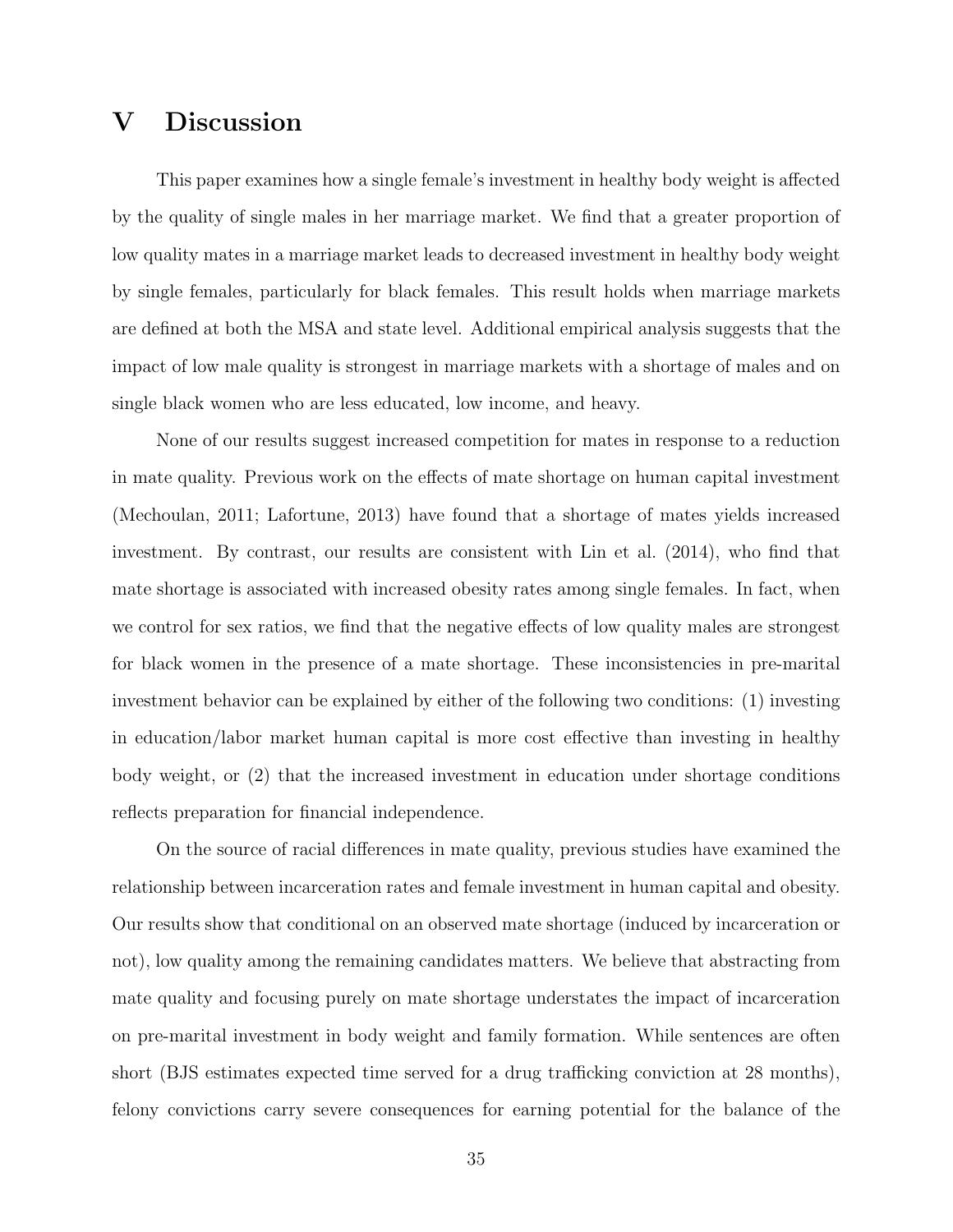# V Discussion

This paper examines how a single female's investment in healthy body weight is affected by the quality of single males in her marriage market. We find that a greater proportion of low quality mates in a marriage market leads to decreased investment in healthy body weight by single females, particularly for black females. This result holds when marriage markets are defined at both the MSA and state level. Additional empirical analysis suggests that the impact of low male quality is strongest in marriage markets with a shortage of males and on single black women who are less educated, low income, and heavy.

None of our results suggest increased competition for mates in response to a reduction in mate quality. Previous work on the effects of mate shortage on human capital investment (Mechoulan, 2011; Lafortune, 2013) have found that a shortage of mates yields increased investment. By contrast, our results are consistent with Lin et al. (2014), who find that mate shortage is associated with increased obesity rates among single females. In fact, when we control for sex ratios, we find that the negative effects of low quality males are strongest for black women in the presence of a mate shortage. These inconsistencies in pre-marital investment behavior can be explained by either of the following two conditions: (1) investing in education/labor market human capital is more cost effective than investing in healthy body weight, or (2) that the increased investment in education under shortage conditions reflects preparation for financial independence.

On the source of racial differences in mate quality, previous studies have examined the relationship between incarceration rates and female investment in human capital and obesity. Our results show that conditional on an observed mate shortage (induced by incarceration or not), low quality among the remaining candidates matters. We believe that abstracting from mate quality and focusing purely on mate shortage understates the impact of incarceration on pre-marital investment in body weight and family formation. While sentences are often short (BJS estimates expected time served for a drug trafficking conviction at 28 months), felony convictions carry severe consequences for earning potential for the balance of the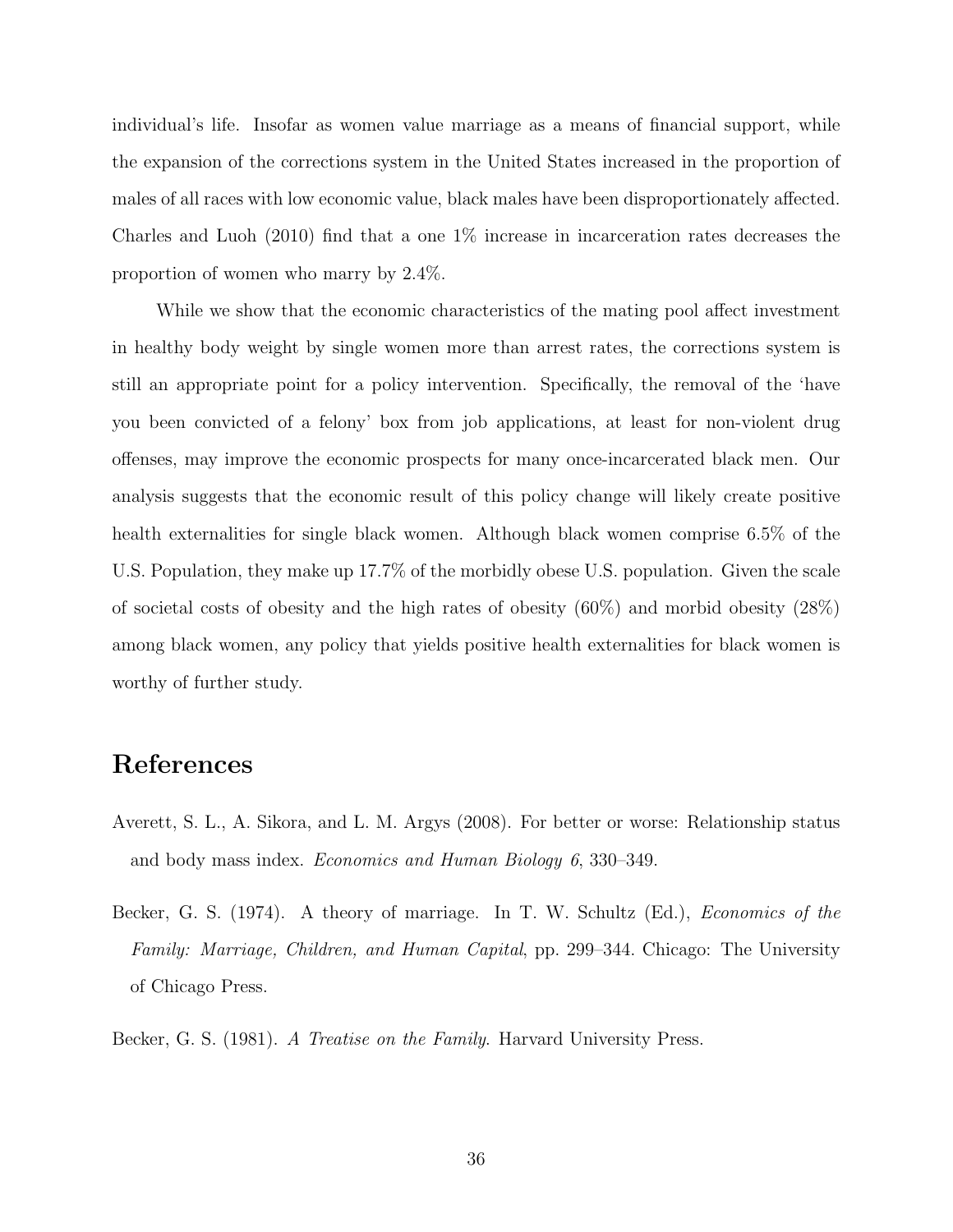individual's life. Insofar as women value marriage as a means of financial support, while the expansion of the corrections system in the United States increased in the proportion of males of all races with low economic value, black males have been disproportionately affected. Charles and Luoh (2010) find that a one 1% increase in incarceration rates decreases the proportion of women who marry by 2.4%.

While we show that the economic characteristics of the mating pool affect investment in healthy body weight by single women more than arrest rates, the corrections system is still an appropriate point for a policy intervention. Specifically, the removal of the 'have you been convicted of a felony' box from job applications, at least for non-violent drug offenses, may improve the economic prospects for many once-incarcerated black men. Our analysis suggests that the economic result of this policy change will likely create positive health externalities for single black women. Although black women comprise 6.5% of the U.S. Population, they make up 17.7% of the morbidly obese U.S. population. Given the scale of societal costs of obesity and the high rates of obesity  $(60\%)$  and morbid obesity  $(28\%)$ among black women, any policy that yields positive health externalities for black women is worthy of further study.

# References

- Averett, S. L., A. Sikora, and L. M. Argys (2008). For better or worse: Relationship status and body mass index. Economics and Human Biology 6, 330–349.
- Becker, G. S. (1974). A theory of marriage. In T. W. Schultz (Ed.), *Economics of the* Family: Marriage, Children, and Human Capital, pp. 299–344. Chicago: The University of Chicago Press.

Becker, G. S. (1981). A Treatise on the Family. Harvard University Press.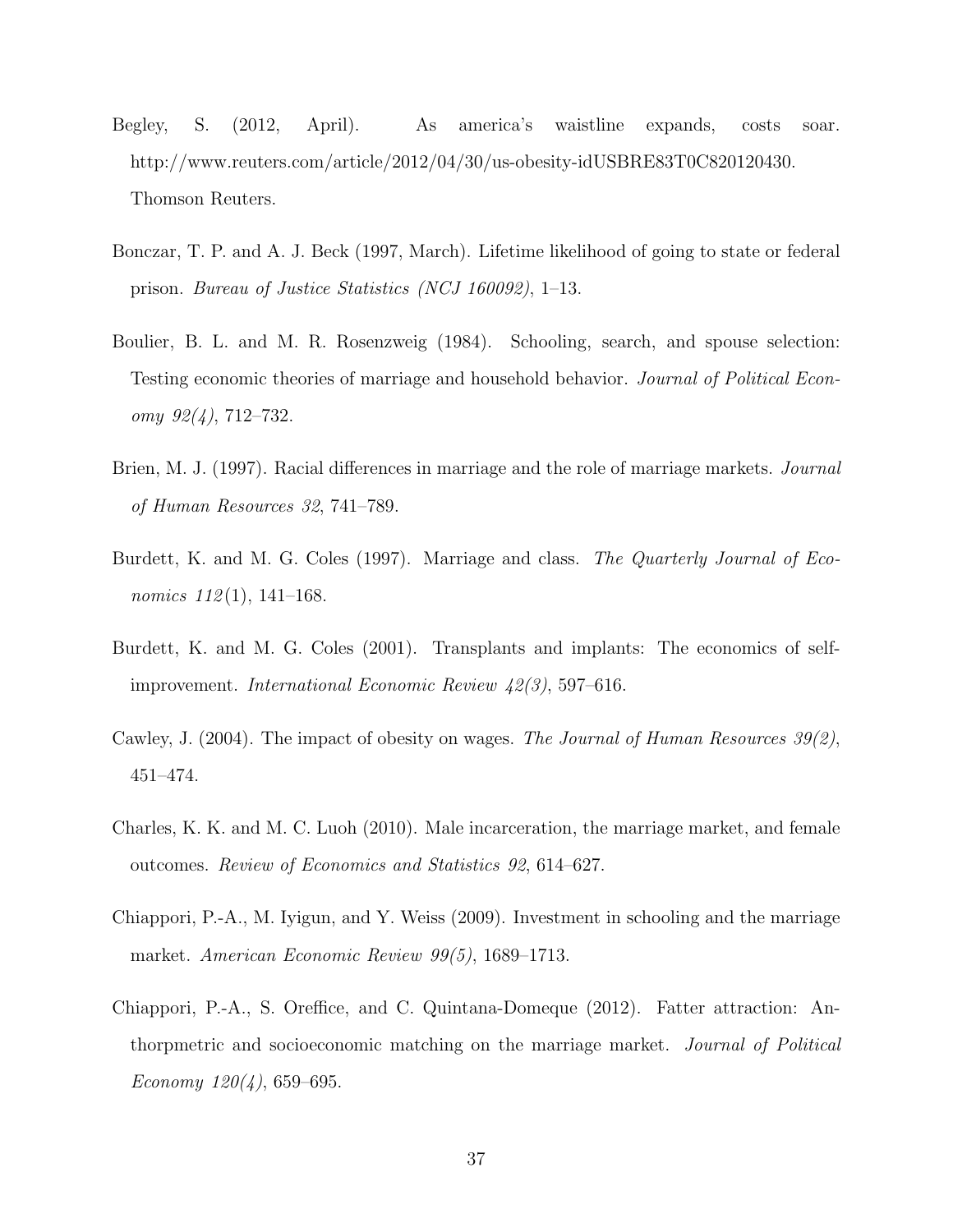- Begley, S. (2012, April). As america's waistline expands, costs soar. http://www.reuters.com/article/2012/04/30/us-obesity-idUSBRE83T0C820120430. Thomson Reuters.
- Bonczar, T. P. and A. J. Beck (1997, March). Lifetime likelihood of going to state or federal prison. Bureau of Justice Statistics (NCJ 160092), 1–13.
- Boulier, B. L. and M. R. Rosenzweig (1984). Schooling, search, and spouse selection: Testing economic theories of marriage and household behavior. Journal of Political Econ $omy \; 92(4)$ , 712–732.
- Brien, M. J. (1997). Racial differences in marriage and the role of marriage markets. *Journal* of Human Resources 32, 741–789.
- Burdett, K. and M. G. Coles (1997). Marriage and class. The Quarterly Journal of Economics  $112(1)$ , 141–168.
- Burdett, K. and M. G. Coles (2001). Transplants and implants: The economics of selfimprovement. International Economic Review 42(3), 597–616.
- Cawley, J. (2004). The impact of obesity on wages. The Journal of Human Resources  $39(2)$ , 451–474.
- Charles, K. K. and M. C. Luoh (2010). Male incarceration, the marriage market, and female outcomes. Review of Economics and Statistics 92, 614–627.
- Chiappori, P.-A., M. Iyigun, and Y. Weiss (2009). Investment in schooling and the marriage market. American Economic Review 99(5), 1689–1713.
- Chiappori, P.-A., S. Oreffice, and C. Quintana-Domeque (2012). Fatter attraction: Anthorpmetric and socioeconomic matching on the marriage market. Journal of Political Economy  $120(4)$ , 659–695.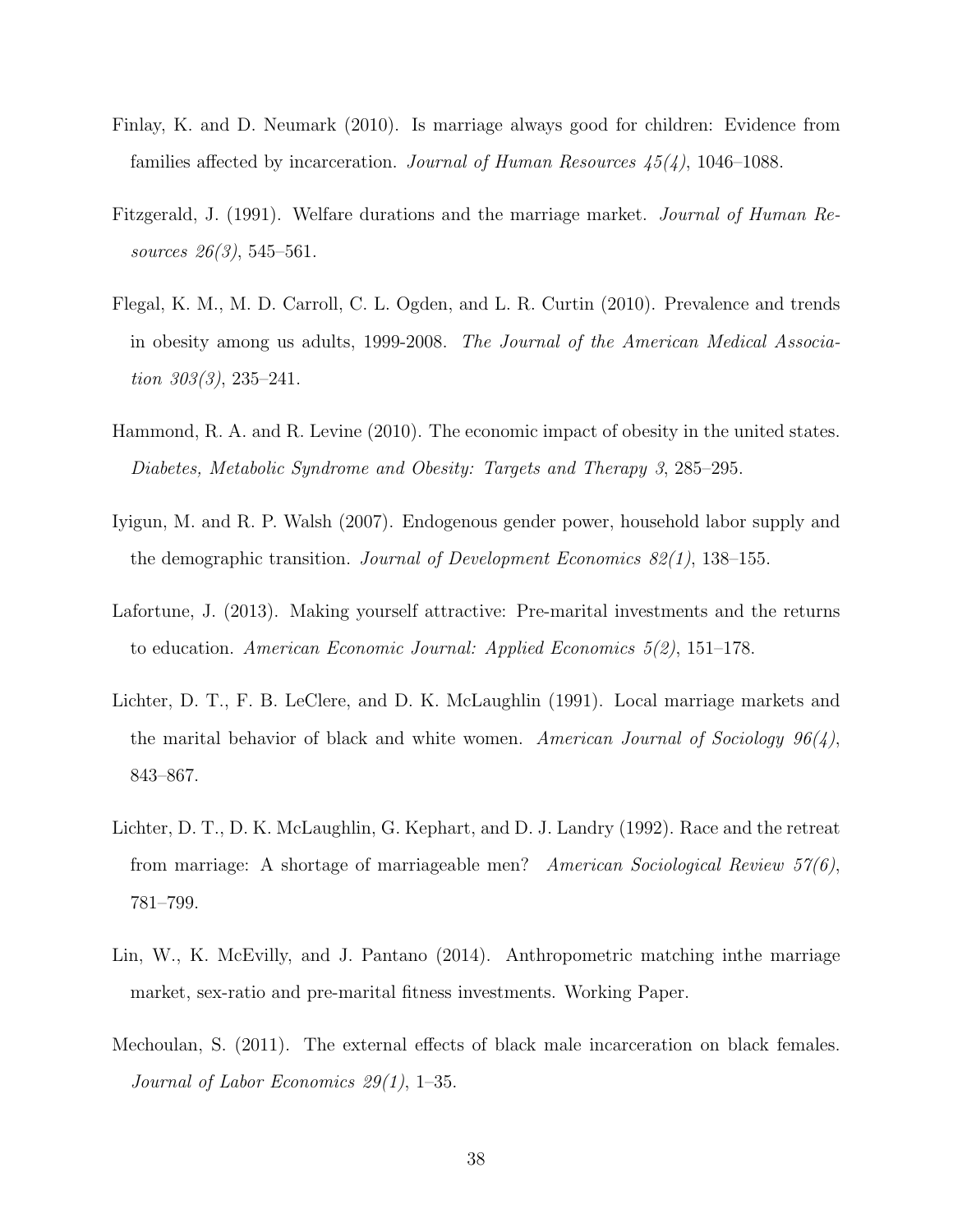- Finlay, K. and D. Neumark (2010). Is marriage always good for children: Evidence from families affected by incarceration. Journal of Human Resources  $45(4)$ , 1046–1088.
- Fitzgerald, J. (1991). Welfare durations and the marriage market. Journal of Human Resources 26(3), 545–561.
- Flegal, K. M., M. D. Carroll, C. L. Ogden, and L. R. Curtin (2010). Prevalence and trends in obesity among us adults, 1999-2008. The Journal of the American Medical Association  $303(3)$ ,  $235-241$ .
- Hammond, R. A. and R. Levine (2010). The economic impact of obesity in the united states. Diabetes, Metabolic Syndrome and Obesity: Targets and Therapy 3, 285–295.
- Iyigun, M. and R. P. Walsh (2007). Endogenous gender power, household labor supply and the demographic transition. Journal of Development Economics  $82(1)$ , 138–155.
- Lafortune, J. (2013). Making yourself attractive: Pre-marital investments and the returns to education. American Economic Journal: Applied Economics 5(2), 151–178.
- Lichter, D. T., F. B. LeClere, and D. K. McLaughlin (1991). Local marriage markets and the marital behavior of black and white women. American Journal of Sociology  $96(4)$ , 843–867.
- Lichter, D. T., D. K. McLaughlin, G. Kephart, and D. J. Landry (1992). Race and the retreat from marriage: A shortage of marriageable men? American Sociological Review 57(6), 781–799.
- Lin, W., K. McEvilly, and J. Pantano (2014). Anthropometric matching inthe marriage market, sex-ratio and pre-marital fitness investments. Working Paper.
- Mechoulan, S. (2011). The external effects of black male incarceration on black females. Journal of Labor Economics 29(1), 1–35.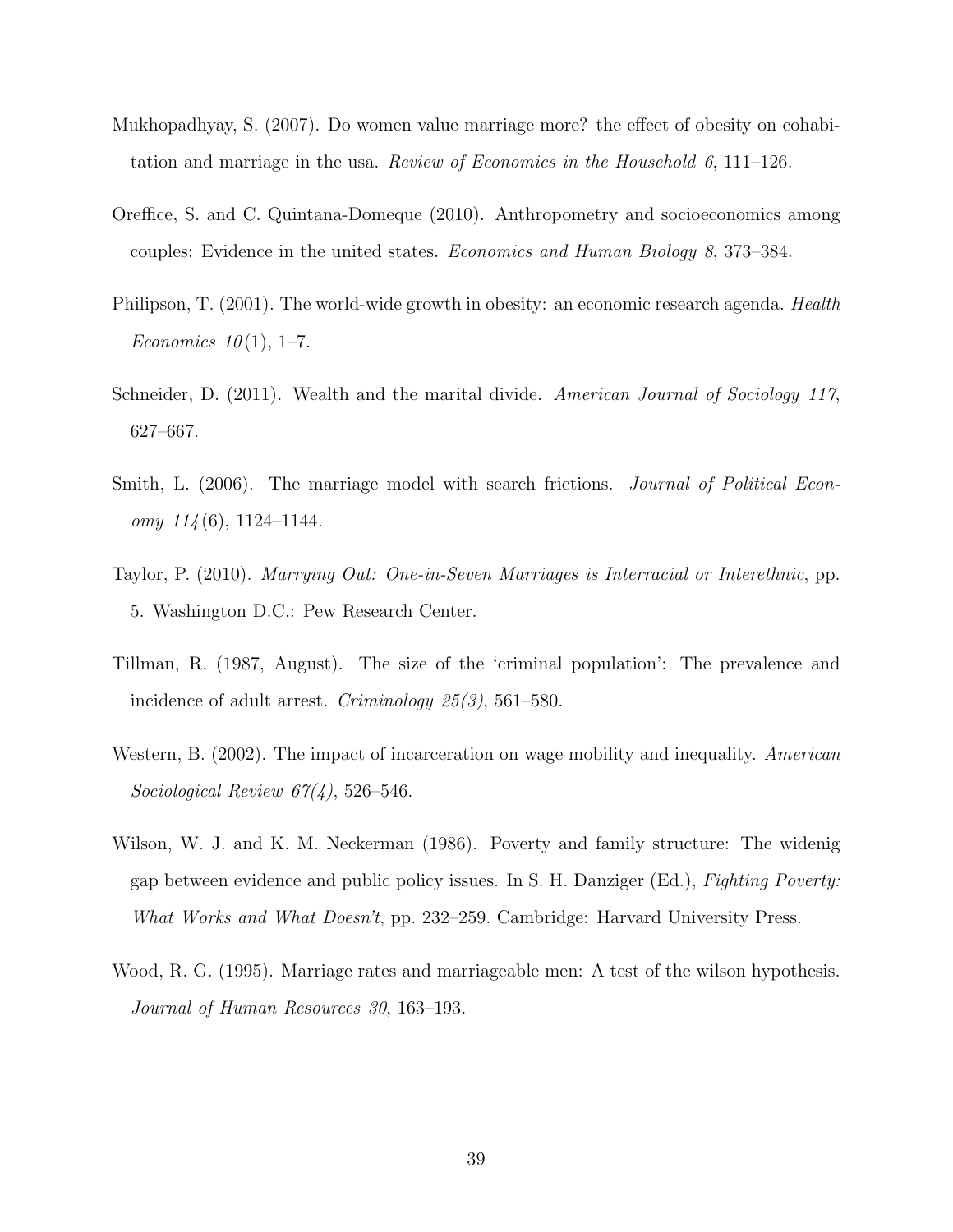- Mukhopadhyay, S. (2007). Do women value marriage more? the effect of obesity on cohabitation and marriage in the usa. Review of Economics in the Household 6,  $111-126$ .
- Oreffice, S. and C. Quintana-Domeque (2010). Anthropometry and socioeconomics among couples: Evidence in the united states. Economics and Human Biology 8, 373–384.
- Philipson, T. (2001). The world-wide growth in obesity: an economic research agenda. *Health* Economics  $10(1)$ , 1–7.
- Schneider, D. (2011). Wealth and the marital divide. American Journal of Sociology 117, 627–667.
- Smith, L. (2006). The marriage model with search frictions. *Journal of Political Econ*omy  $114(6)$ , 1124–1144.
- Taylor, P. (2010). Marrying Out: One-in-Seven Marriages is Interracial or Interethnic, pp. 5. Washington D.C.: Pew Research Center.
- Tillman, R. (1987, August). The size of the 'criminal population': The prevalence and incidence of adult arrest. Criminology 25(3), 561–580.
- Western, B. (2002). The impact of incarceration on wage mobility and inequality. American Sociological Review  $67(4)$ , 526–546.
- Wilson, W. J. and K. M. Neckerman (1986). Poverty and family structure: The widenig gap between evidence and public policy issues. In S. H. Danziger (Ed.), Fighting Poverty: What Works and What Doesn't, pp. 232–259. Cambridge: Harvard University Press.
- Wood, R. G. (1995). Marriage rates and marriageable men: A test of the wilson hypothesis. Journal of Human Resources 30, 163–193.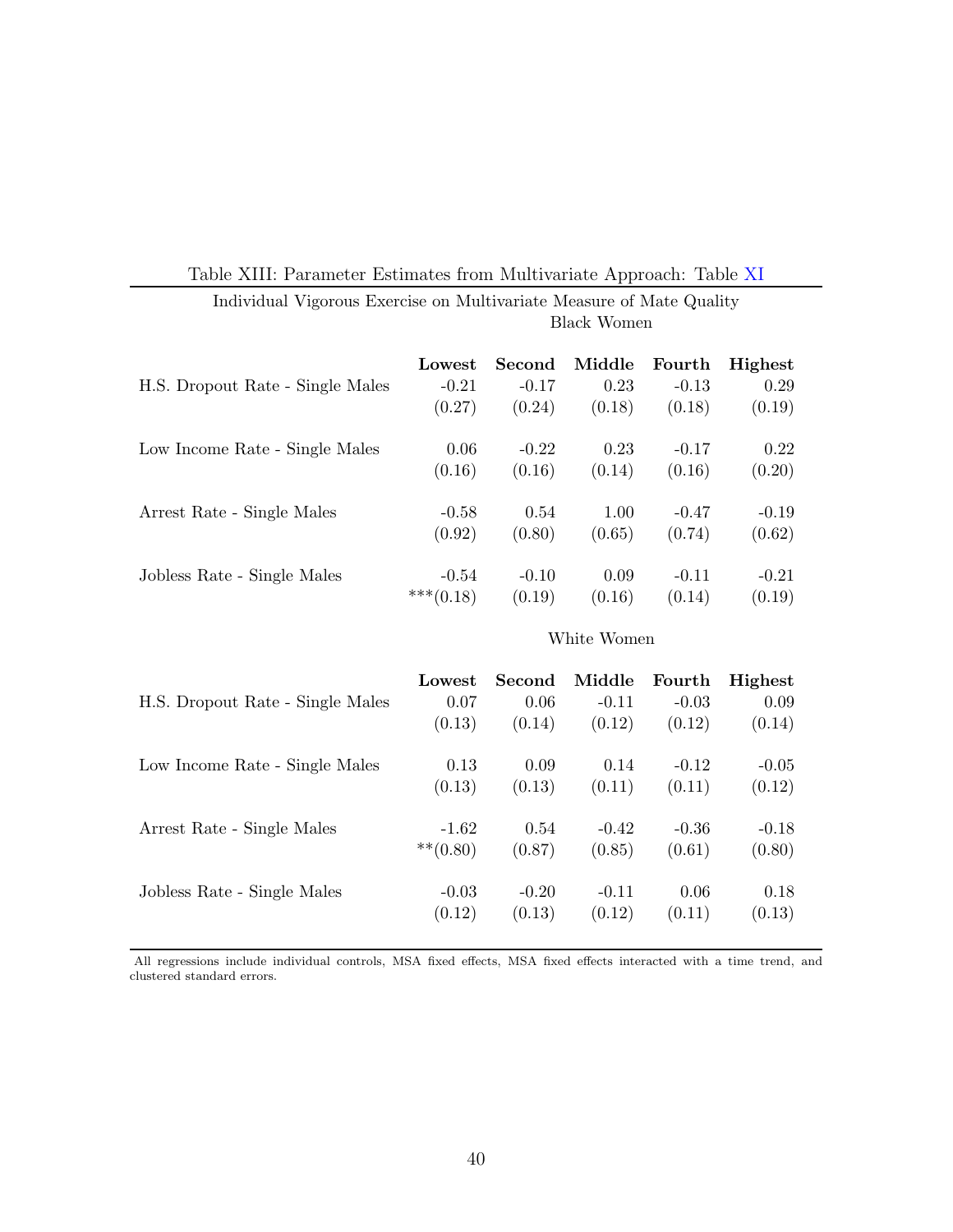|  | Table XIII: Parameter Estimates from Multivariate Approach: Table XI |  |  |  |  |
|--|----------------------------------------------------------------------|--|--|--|--|
|--|----------------------------------------------------------------------|--|--|--|--|

|                                  | Lowest      | Second  | Middle | Fourth  | Highest |
|----------------------------------|-------------|---------|--------|---------|---------|
| H.S. Dropout Rate - Single Males | $-0.21$     | $-0.17$ | 0.23   | $-0.13$ | 0.29    |
|                                  | (0.27)      | (0.24)  | (0.18) | (0.18)  | (0.19)  |
| Low Income Rate - Single Males   | 0.06        | $-0.22$ | 0.23   | $-0.17$ | 0.22    |
|                                  | (0.16)      | (0.16)  | (0.14) | (0.16)  | (0.20)  |
| Arrest Rate - Single Males       | $-0.58$     | 0.54    | 1.00   | $-0.47$ | $-0.19$ |
|                                  | (0.92)      | (0.80)  | (0.65) | (0.74)  | (0.62)  |
| Jobless Rate - Single Males      | $-0.54$     | $-0.10$ | 0.09   | $-0.11$ | $-0.21$ |
|                                  | $***(0.18)$ | (0.19)  | (0.16) | (0.14)  | (0.19)  |
|                                  |             |         |        |         |         |

Individual Vigorous Exercise on Multivariate Measure of Mate Quality Black Women

### White Women

| H.S. Dropout Rate - Single Males | Lowest      | Second  | Middle  | Fourth  | Highest |
|----------------------------------|-------------|---------|---------|---------|---------|
|                                  | 0.07        | 0.06    | $-0.11$ | $-0.03$ | 0.09    |
|                                  | (0.13)      | (0.14)  | (0.12)  | (0.12)  | (0.14)  |
| Low Income Rate - Single Males   | 0.13        | 0.09    | 0.14    | $-0.12$ | $-0.05$ |
|                                  | (0.13)      | (0.13)  | (0.11)  | (0.11)  | (0.12)  |
| Arrest Rate - Single Males       | $-1.62$     | 0.54    | $-0.42$ | $-0.36$ | $-0.18$ |
|                                  | $***(0.80)$ | (0.87)  | (0.85)  | (0.61)  | (0.80)  |
| Jobless Rate - Single Males      | $-0.03$     | $-0.20$ | $-0.11$ | 0.06    | 0.18    |
|                                  | (0.12)      | (0.13)  | (0.12)  | (0.11)  | (0.13)  |

All regressions include individual controls, MSA fixed effects, MSA fixed effects interacted with a time trend, and clustered standard errors.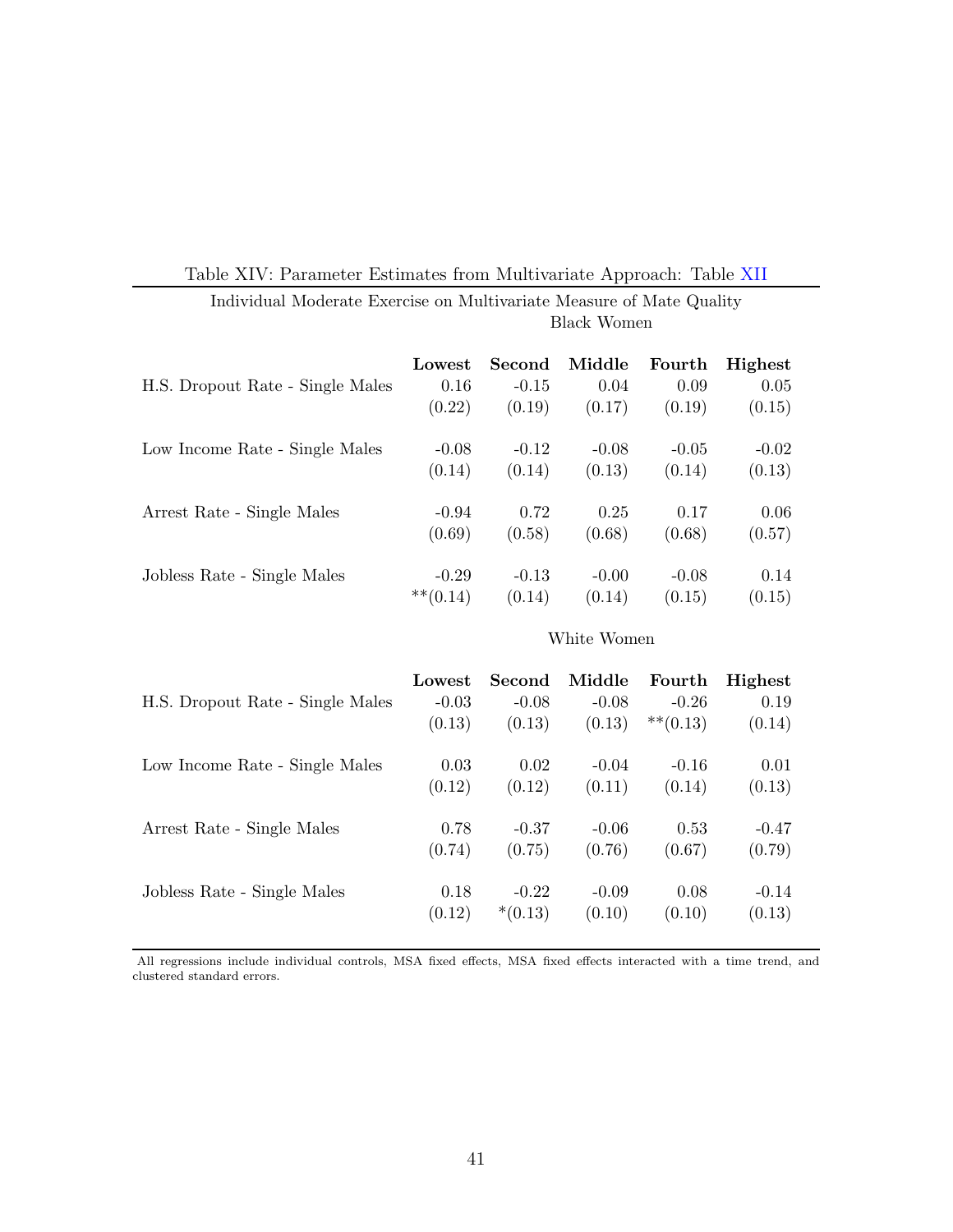|                                  | Lowest      | Second  | Middle  | Fourth  | Highest |
|----------------------------------|-------------|---------|---------|---------|---------|
| H.S. Dropout Rate - Single Males | 0.16        | $-0.15$ | 0.04    | 0.09    | 0.05    |
|                                  | (0.22)      | (0.19)  | (0.17)  | (0.19)  | (0.15)  |
| Low Income Rate - Single Males   | $-0.08$     | $-0.12$ | $-0.08$ | $-0.05$ | $-0.02$ |
|                                  | (0.14)      | (0.14)  | (0.13)  | (0.14)  | (0.13)  |
| Arrest Rate - Single Males       | $-0.94$     | 0.72    | 0.25    | 0.17    | 0.06    |
|                                  | (0.69)      | (0.58)  | (0.68)  | (0.68)  | (0.57)  |
| Jobless Rate - Single Males      | $-0.29$     | $-0.13$ | $-0.00$ | $-0.08$ | 0.14    |
|                                  | $***(0.14)$ | (0.14)  | (0.14)  | (0.15)  | (0.15)  |

## Individual Moderate Exercise on Multivariate Measure of Mate Quality Black Women

### White Women

| H.S. Dropout Rate - Single Males | Lowest  | Second    | Middle  | Fourth      | Highest |
|----------------------------------|---------|-----------|---------|-------------|---------|
|                                  | $-0.03$ | $-0.08$   | $-0.08$ | $-0.26$     | 0.19    |
|                                  | (0.13)  | (0.13)    | (0.13)  | $***(0.13)$ | (0.14)  |
| Low Income Rate - Single Males   | 0.03    | 0.02      | $-0.04$ | $-0.16$     | 0.01    |
|                                  | (0.12)  | (0.12)    | (0.11)  | (0.14)      | (0.13)  |
| Arrest Rate - Single Males       | 0.78    | $-0.37$   | $-0.06$ | 0.53        | $-0.47$ |
|                                  | (0.74)  | (0.75)    | (0.76)  | (0.67)      | (0.79)  |
| Jobless Rate - Single Males      | 0.18    | $-0.22$   | $-0.09$ | 0.08        | $-0.14$ |
|                                  | (0.12)  | $*(0.13)$ | (0.10)  | (0.10)      | (0.13)  |

All regressions include individual controls, MSA fixed effects, MSA fixed effects interacted with a time trend, and clustered standard errors.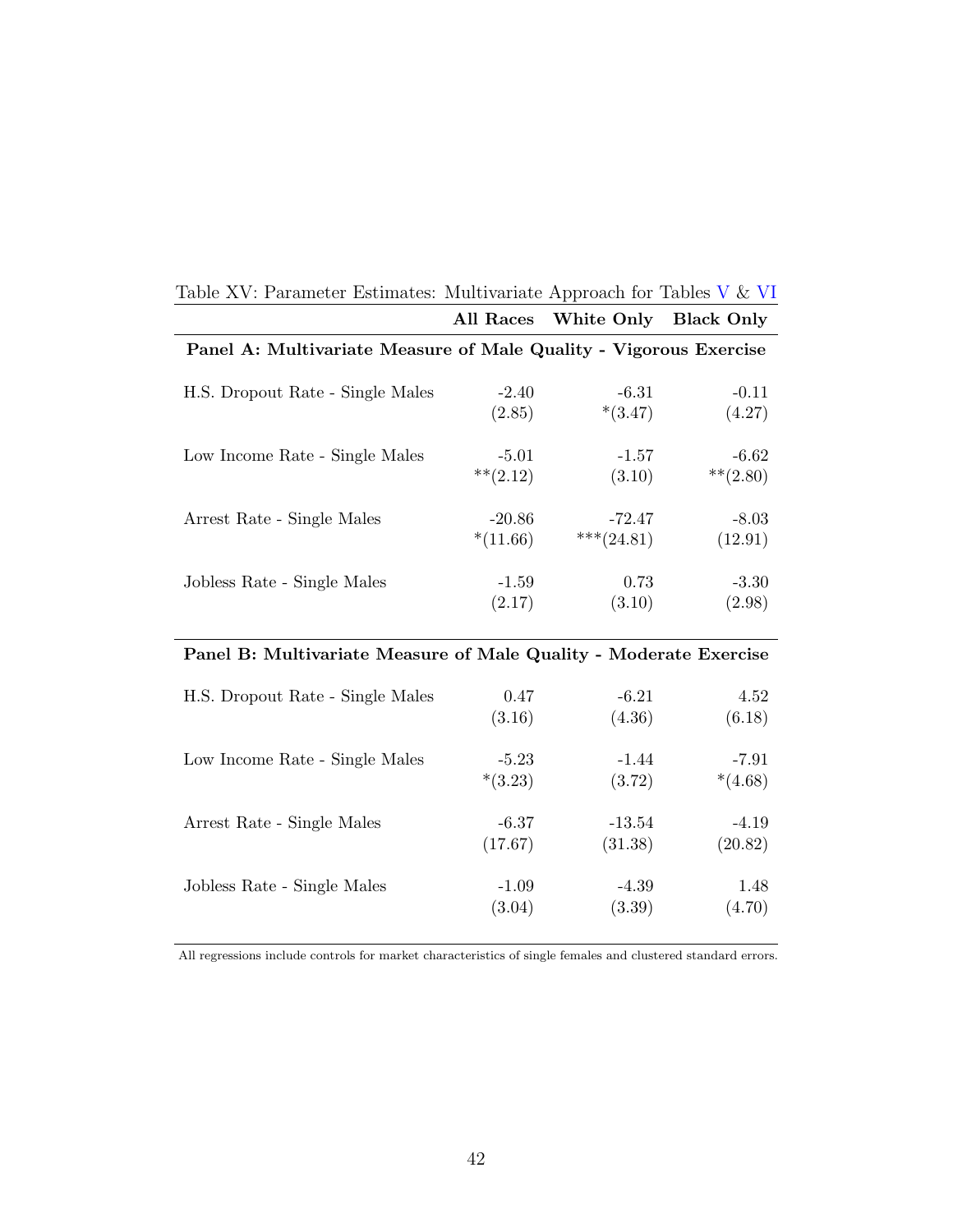| Table $\Delta v$ . Farameter Estimates. Multivariate Approach for Tables $v \propto vT$ |             |               |                   |
|-----------------------------------------------------------------------------------------|-------------|---------------|-------------------|
|                                                                                         | All Races   | White Only    | <b>Black Only</b> |
| Panel A: Multivariate Measure of Male Quality - Vigorous Exercise                       |             |               |                   |
| H.S. Dropout Rate - Single Males                                                        | $-2.40$     | $-6.31$       | $-0.11$           |
|                                                                                         | (2.85)      | $*(3.47)$     | (4.27)            |
| Low Income Rate - Single Males                                                          | $-5.01$     | $-1.57$       | $-6.62$           |
|                                                                                         | $***(2.12)$ | (3.10)        | $**$ (2.80)       |
| Arrest Rate - Single Males                                                              | $-20.86$    | $-72.47$      | $-8.03$           |
|                                                                                         | $*(11.66)$  | *** $(24.81)$ | (12.91)           |
| Jobless Rate - Single Males                                                             | $-1.59$     | 0.73          | $-3.30$           |
|                                                                                         | (2.17)      | (3.10)        | (2.98)            |

# Table XV: Parameter Estimates: Multivariate Approach for Tables V  $\&$  VI

## Panel B: Multivariate Measure of Male Quality - Moderate Exercise

| H.S. Dropout Rate - Single Males | 0.47      | $-6.21$  | 4.52      |
|----------------------------------|-----------|----------|-----------|
|                                  | (3.16)    | (4.36)   | (6.18)    |
| Low Income Rate - Single Males   | $-5.23$   | $-1.44$  | $-7.91$   |
|                                  | $*(3.23)$ | (3.72)   | $*(4.68)$ |
| Arrest Rate - Single Males       | $-6.37$   | $-13.54$ | $-4.19$   |
|                                  | (17.67)   | (31.38)  | (20.82)   |
| Jobless Rate - Single Males      | $-1.09$   | $-4.39$  | 1.48      |
|                                  | (3.04)    | (3.39)   | (4.70)    |

All regressions include controls for market characteristics of single females and clustered standard errors.